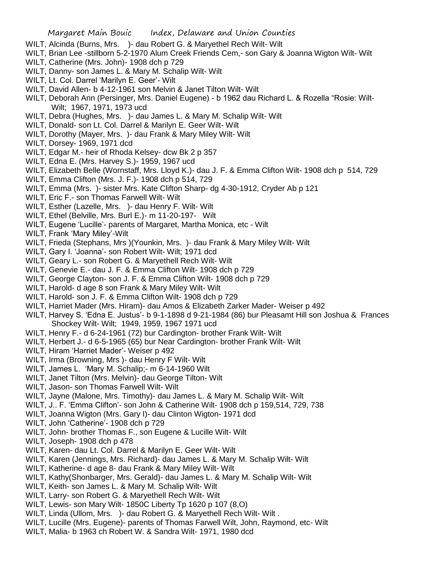- WILT, Alcinda (Burns, Mrs. )- dau Robert G. & Maryethel Rech Wilt- Wilt
- WILT, Brian Lee -stillborn 5-2-1970 Alum Creek Friends Cem,- son Gary & Joanna Wigton Wilt- Wilt
- WILT, Catherine (Mrs. John)- 1908 dch p 729
- WILT, Danny- son James L. & Mary M. Schalip Wilt- Wilt
- WILT, Lt. Col. Darrel 'Marilyn E. Geer'- Wilt
- WILT, David Allen- b 4-12-1961 son Melvin & Janet Tilton Wilt- Wilt
- WILT, Deborah Ann (Persinger, Mrs. Daniel Eugene) b 1962 dau Richard L. & Rozella "Rosie: Wilt-Wilt; 1967, 1971, 1973 ucd
- WILT, Debra (Hughes, Mrs. )- dau James L. & Mary M. Schalip Wilt- Wilt
- WILT, Donald- son Lt. Col. Darrel & Marilyn E. Geer Wilt- Wilt
- WILT, Dorothy (Mayer, Mrs. )- dau Frank & Mary Miley Wilt- Wilt
- WILT, Dorsey- 1969, 1971 dcd
- WILT, Edgar M.- heir of Rhoda Kelsey- dcw Bk 2 p 357
- WILT, Edna E. (Mrs. Harvey S.)- 1959, 1967 ucd
- WILT, Elizabeth Belle (Wornstaff, Mrs. Lloyd K.)- dau J. F. & Emma Clifton Wilt- 1908 dch p 514, 729
- WILT, Emma Clifton (Mrs. J. F.)- 1908 dch p 514, 729
- WILT, Emma (Mrs. )- sister Mrs. Kate Clifton Sharp- dg 4-30-1912, Cryder Ab p 121
- WILT, Eric F.- son Thomas Farwell Wilt- Wilt
- WILT, Esther (Lazelle, Mrs. )- dau Henry F. Wilt- Wilt
- WILT, Ethel (Belville, Mrs. Burl E.)- m 11-20-197- Wilt
- WILT, Eugene 'Lucille'- parents of Margaret, Martha Monica, etc Wilt
- WILT, Frank 'Mary Miley'-Wilt
- WILT, Frieda (Stephans, Mrs )(Younkin, Mrs. )- dau Frank & Mary Miley Wilt- Wilt
- WILT, Gary I. 'Joanna'- son Robert Wilt- Wilt; 1971 dcd
- WILT, Geary L.- son Robert G. & Maryethell Rech Wilt- Wilt
- WILT, Genevie E.- dau J. F. & Emma Clifton Wilt- 1908 dch p 729
- WILT, George Clayton- son J. F. & Emma Clifton Wilt- 1908 dch p 729
- WILT, Harold- d age 8 son Frank & Mary Miley Wilt- Wilt
- WILT, Harold- son J. F. & Emma Clifton Wilt- 1908 dch p 729
- WILT, Harriet Mader (Mrs. Hiram)- dau Amos & Elizabeth Zarker Mader- Weiser p 492
- WILT, Harvey S. 'Edna E. Justus'- b 9-1-1898 d 9-21-1984 (86) bur Pleasamt Hill son Joshua & Frances Shockey Wilt- Wilt; 1949, 1959, 1967 1971 ucd
- WILT, Henry F.- d 6-24-1961 (72) bur Cardington- brother Frank Wilt- Wilt
- WILT, Herbert J.- d 6-5-1965 (65) bur Near Cardington- brother Frank Wilt- Wilt
- WILT, Hiram 'Harriet Mader'- Weiser p 492
- WILT, Irma (Browning, Mrs )- dau Henry F Wilt- Wilt
- WILT, James L. 'Mary M. Schalip;- m 6-14-1960 Wilt
- WILT, Janet Tilton (Mrs. Melvin)- dau George Tilton- Wilt
- WILT, Jason- son Thomas Farwell Wilt- Wilt
- WILT, Jayne (Malone, Mrs. Timothy)- dau James L. & Mary M. Schalip Wilt- Wilt
- WILT, J.. F. 'Emma Clifton'- son John & Catherine Wilt- 1908 dch p 159,514, 729, 738
- WILT, Joanna Wigton (Mrs. Gary I)- dau Clinton Wigton- 1971 dcd
- WILT, John 'Catherine'- 1908 dch p 729
- WILT, John- brother Thomas F., son Eugene & Lucille Wilt- Wilt
- WILT, Joseph- 1908 dch p 478
- WILT, Karen- dau Lt. Col. Darrel & Marilyn E. Geer Wilt- Wilt
- WILT, Karen (Jennings, Mrs. Richard)- dau James L. & Mary M. Schalip Wilt- Wilt
- WILT, Katherine- d age 8- dau Frank & Mary Miley Wilt- Wilt
- WILT, Kathy(Shonbarger, Mrs. Gerald)- dau James L. & Mary M. Schalip Wilt- Wilt
- WILT, Keith- son James L. & Mary M. Schalip Wilt- Wilt
- WILT, Larry- son Robert G. & Maryethell Rech Wilt- Wilt
- WILT, Lewis- son Mary Wilt- 1850C Liberty Tp 1620 p 107 (8,O)
- WILT, Linda (Ullom, Mrs. )- dau Robert G. & Maryethell Rech Wilt- Wilt .
- WILT, Lucille (Mrs. Eugene)- parents of Thomas Farwell Wilt, John, Raymond, etc- Wilt
- WILT, Malia- b 1963 ch Robert W. & Sandra Wilt- 1971, 1980 dcd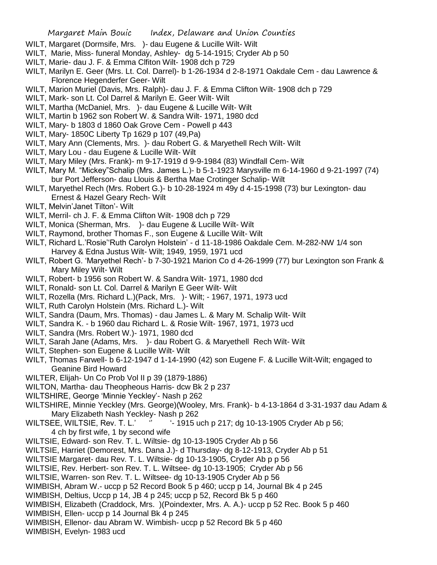- WILT, Margaret (Dormsife, Mrs. )- dau Eugene & Lucille Wilt- Wilt
- WILT, Marie, Miss- funeral Monday, Ashley- dg 5-14-1915; Cryder Ab p 50
- WILT, Marie- dau J. F. & Emma Clfiton Wilt- 1908 dch p 729
- WILT, Marilyn E. Geer (Mrs. Lt. Col. Darrel)- b 1-26-1934 d 2-8-1971 Oakdale Cem dau Lawrence & Florence Hegenderfer Geer- Wilt
- WILT, Marion Muriel (Davis, Mrs. Ralph)- dau J. F. & Emma Clifton Wilt- 1908 dch p 729
- WILT, Mark- son Lt. Col Darrel & Marilyn E. Geer Wilt- Wilt
- WILT, Martha (McDaniel, Mrs. )- dau Eugene & Lucille Wilt- Wilt
- WILT, Martin b 1962 son Robert W. & Sandra Wilt- 1971, 1980 dcd
- WILT, Mary- b 1803 d 1860 Oak Grove Cem Powell p 443
- WILT, Mary- 1850C Liberty Tp 1629 p 107 (49,Pa)
- WILT, Mary Ann (Clements, Mrs. )- dau Robert G. & Maryethell Rech Wilt- Wilt
- WILT, Mary Lou dau Eugene & Lucille Wilt- Wilt
- WILT, Mary Miley (Mrs. Frank)- m 9-17-1919 d 9-9-1984 (83) Windfall Cem- Wilt
- WILT, Mary M. "Mickey"Schalip (Mrs. James L.)- b 5-1-1923 Marysville m 6-14-1960 d 9-21-1997 (74) bur Port Jefferson- dau Llouis & Bertha Mae Crotinger Schalip- Wilt
- WILT, Maryethel Rech (Mrs. Robert G.)- b 10-28-1924 m 49y d 4-15-1998 (73) bur Lexington- dau Ernest & Hazel Geary Rech- Wilt
- WILT, Melvin'Janet Tilton'- Wilt
- WILT, Merril- ch J. F. & Emma Clifton Wilt- 1908 dch p 729
- WILT, Monica (Sherman, Mrs. )- dau Eugene & Lucille Wilt- Wilt
- WILT, Raymond, brother Thomas F., son Eugene & Lucille Wilt- Wilt
- WILT, Richard L.'Rosie''Ruth Carolyn Holstein' d 11-18-1986 Oakdale Cem. M-282-NW 1/4 son Harvey & Edna Justus Wilt- Wilt; 1949, 1959, 1971 ucd
- WILT, Robert G. 'Maryethel Rech'- b 7-30-1921 Marion Co d 4-26-1999 (77) bur Lexington son Frank & Mary Miley Wilt- Wilt
- WILT, Robert- b 1956 son Robert W. & Sandra Wilt- 1971, 1980 dcd
- WILT, Ronald- son Lt. Col. Darrel & Marilyn E Geer Wilt- Wilt
- WILT, Rozella (Mrs. Richard L.)(Pack, Mrs. )- Wilt; 1967, 1971, 1973 ucd
- WILT, Ruth Carolyn Holstein (Mrs. Richard L.)- Wilt
- WILT, Sandra (Daum, Mrs. Thomas) dau James L. & Mary M. Schalip Wilt- Wilt
- WILT, Sandra K. b 1960 dau Richard L. & Rosie Wilt- 1967, 1971, 1973 ucd
- WILT, Sandra (Mrs. Robert W.)- 1971, 1980 dcd
- WILT, Sarah Jane (Adams, Mrs. )- dau Robert G. & Maryethell Rech Wilt- Wilt
- WILT, Stephen- son Eugene & Lucille Wilt- Wilt
- WILT, Thomas Farwell- b 6-12-1947 d 1-14-1990 (42) son Eugene F. & Lucille Wilt-Wilt; engaged to Geanine Bird Howard
- WILTER, Elijah- Un Co Prob Vol II p 39 (1879-1886)
- WILTON, Martha- dau Theopheous Harris- dcw Bk 2 p 237
- WILTSHIRE, George 'Minnie Yeckley'- Nash p 262
- WILTSHIRE, Minnie Yeckley (Mrs. George)(Wooley, Mrs. Frank)- b 4-13-1864 d 3-31-1937 dau Adam & Mary Elizabeth Nash Yeckley- Nash p 262
- WILTSEE, WILTSIE, Rev. T. L.' " '- 1915 uch p 217; dg 10-13-1905 Cryder Ab p 56; 4 ch by first wife, 1 by second wife
- WILTSIE, Edward- son Rev. T. L. Wiltsie- dg 10-13-1905 Cryder Ab p 56
- WILTSIE, Harriet (Demorest, Mrs. Dana J.)- d Thursday- dg 8-12-1913, Cryder Ab p 51
- WILTSIE Margaret- dau Rev. T. L. Wiltsie- dg 10-13-1905, Cryder Ab p p 56
- WILTSIE, Rev. Herbert- son Rev. T. L. Wiltsee- dg 10-13-1905; Cryder Ab p 56
- WILTSIE, Warren- son Rev. T. L. Wiltsee- dg 10-13-1905 Cryder Ab p 56
- WIMBISH, Abram W.- uccp p 52 Record Book 5 p 460; uccp p 14, Journal Bk 4 p 245
- WIMBISH, Deltius, Uccp p 14, JB 4 p 245; uccp p 52, Record Bk 5 p 460
- WIMBISH, Elizabeth (Craddock, Mrs. )(Poindexter, Mrs. A. A.)- uccp p 52 Rec. Book 5 p 460
- WIMBISH, Ellen- uccp p 14 Journal Bk 4 p 245
- WIMBISH, Ellenor- dau Abram W. Wimbish- uccp p 52 Record Bk 5 p 460
- WIMBISH, Evelyn- 1983 ucd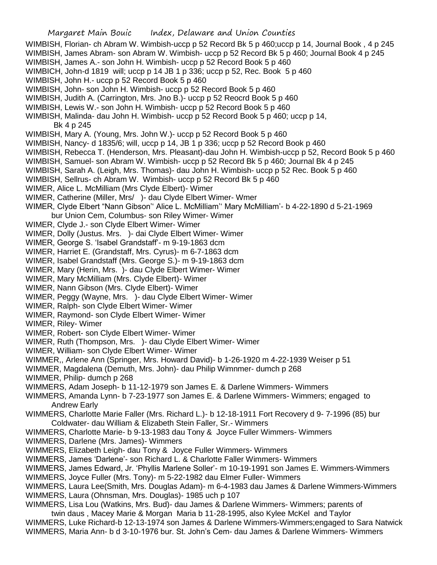WIMBISH, Florian- ch Abram W. Wimbish-uccp p 52 Record Bk 5 p 460;uccp p 14, Journal Book , 4 p 245 WIMBISH, James Abram- son Abram W. Wimbish- uccp p 52 Record Bk 5 p 460; Journal Book 4 p 245

- WIMBISH, James A.- son John H. Wimbish- uccp p 52 Record Book 5 p 460
- WIMBICH, John-d 1819 will; uccp p 14 JB 1 p 336; uccp p 52, Rec. Book 5 p 460
- WIMBISH, John H.- uccp p 52 Record Book 5 p 460
- WIMBISH, John- son John H. Wimbish- uccp p 52 Record Book 5 p 460
- WIMBISH, Judith A. (Carrington, Mrs. Jno B.)- uccp p 52 Reocrd Book 5 p 460
- WIMBISH, Lewis W.- son John H. Wimbish- uccp p 52 Record Book 5 p 460
- WIMBISH, Malinda- dau John H. Wimbish- uccp p 52 Record Book 5 p 460; uccp p 14,

Bk 4 p 245

- WIMBISH, Mary A. (Young, Mrs. John W.)- uccp p 52 Record Book 5 p 460
- WIMBISH, Nancy- d 1835/6; will, uccp p 14, JB 1 p 336; uccp p 52 Record Book p 460
- WIMBISH, Rebecca T. (Henderson, Mrs. Pleasant)-dau John H. Wimbish-uccp p 52, Record Book 5 p 460
- WIMBISH, Samuel- son Abram W. Wimbish- uccp p 52 Record Bk 5 p 460; Journal Bk 4 p 245
- WIMBISH, Sarah A. (Leigh, Mrs. Thomas)- dau John H. Wimbish- uccp p 52 Rec. Book 5 p 460
- WIMBISH, Sellrus- ch Abram W. Wimbish- uccp p 52 Record Bk 5 p 460
- WIMER, Alice L. McMilliam (Mrs Clyde Elbert)- Wimer
- WIMER, Catherine (Miller, Mrs/ )- dau Clyde Elbert Wimer- Wmer
- WIMER, Clyde Elbert "Nann Gibson'' Alice L. McMilliam'' Mary McMilliam'- b 4-22-1890 d 5-21-1969 bur Union Cem, Columbus- son Riley Wimer- Wimer
- WIMER, Clyde J.- son Clyde Elbert Wimer- Wimer
- WIMER, Dolly (Justus. Mrs. )- dai Clyde Elbert Wimer- Wimer
- WIMER, George S. 'Isabel Grandstaff'- m 9-19-1863 dcm
- WIMER, Harriet E. (Grandstaff, Mrs. Cyrus)- m 6-7-1863 dcm
- WIMER, Isabel Grandstaff (Mrs. George S.)- m 9-19-1863 dcm
- WIMER, Mary (Herin, Mrs. )- dau Clyde Elbert Wimer- Wimer
- WIMER, Mary McMilliam (Mrs. Clyde Elbert)- Wimer
- WIMER, Nann Gibson (Mrs. Clyde Elbert)- Wimer
- WIMER, Peggy (Wayne, Mrs. )- dau Clyde Elbert Wimer- Wimer
- WIMER, Ralph- son Clyde Elbert Wimer- Wimer
- WIMER, Raymond- son Clyde Elbert Wimer- Wimer
- WIMER, Riley- Wimer
- WIMER, Robert- son Clyde Elbert Wimer- Wimer
- WIMER, Ruth (Thompson, Mrs. )- dau Clyde Elbert Wimer- Wimer
- WIMER, William- son Clyde Elbert Wimer- Wimer
- WIMMER,, Arlene Ann (Springer, Mrs. Howard David)- b 1-26-1920 m 4-22-1939 Weiser p 51
- WIMMER, Magdalena (Demuth, Mrs. John)- dau Philip Wimnmer- dumch p 268
- WIMMER, Philip- dumch p 268
- WIMMERS, Adam Joseph- b 11-12-1979 son James E. & Darlene Wimmers- Wimmers
- WIMMERS, Amanda Lynn- b 7-23-1977 son James E. & Darlene Wimmers- Wimmers; engaged to Andrew Early
- WIMMERS, Charlotte Marie Faller (Mrs. Richard L.)- b 12-18-1911 Fort Recovery d 9- 7-1996 (85) bur Coldwater- dau William & Elizabeth Stein Faller, Sr.- Wimmers
- WIMMERS, Charlotte Marie- b 9-13-1983 dau Tony & Joyce Fuller Wimmers- Wimmers
- WIMMERS, Darlene (Mrs. James)- Wimmers
- WIMMERS, Elizabeth Leigh- dau Tony & Joyce Fuller Wimmers- Wimmers
- WIMMERS, James 'Darlene'- son Richard L. & Charlotte Faller Wimmers- Wimmers
- WIMMERS, James Edward, Jr. 'Phyllis Marlene Soller'- m 10-19-1991 son James E. Wimmers-Wimmers
- WIMMERS, Joyce Fuller (Mrs. Tony)- m 5-22-1982 dau Elmer Fuller- Wimmers
- WIMMERS, Laura Lee(Smith, Mrs. Douglas Adam)- m 6-4-1983 dau James & Darlene Wimmers-Wimmers WIMMERS, Laura (Ohnsman, Mrs. Douglas)- 1985 uch p 107
- WIMMERS, Lisa Lou (Watkins, Mrs. Bud)- dau James & Darlene Wimmers- Wimmers; parents of twin daus , Macey Marie & Morgan Maria b 11-28-1995, also Kylee McKel and Taylor
- WIMMERS, Luke Richard-b 12-13-1974 son James & Darlene Wimmers-Wimmers;engaged to Sara Natwick WIMMERS, Maria Ann- b d 3-10-1976 bur. St. John's Cem- dau James & Darlene Wimmers- Wimmers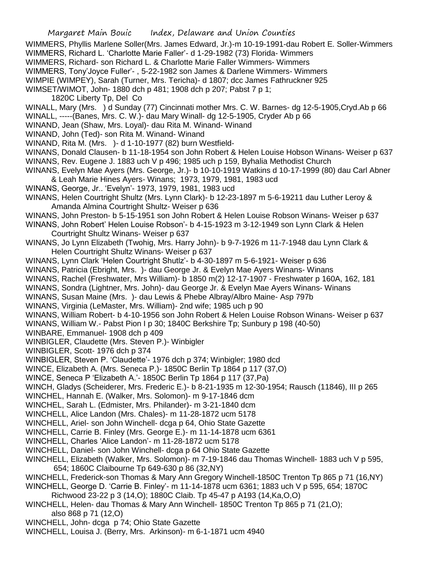- WIMMERS, Phyllis Marlene Soller(Mrs. James Edward, Jr.)-m 10-19-1991-dau Robert E. Soller-Wimmers WIMMERS, Richard L. 'Charlotte Marie Faller'- d 1-29-1982 (73) Florida- Wimmers
- WIMMERS, Richard- son Richard L. & Charlotte Marie Faller Wimmers- Wimmers
- WIMMERS, Tony'Joyce Fuller'- , 5-22-1982 son James & Darlene Wimmers- Wimmers
- WIMPIE (WIMPEY), Sarah (Turner, Mrs. Tericha)- d 1807; dcc James Fathruckner 925
- WIMSET/WIMOT, John- 1880 dch p 481; 1908 dch p 207; Pabst 7 p 1;
	- 1820C Liberty Tp, Del Co
- WINALL, Mary (Mrs. ) d Sunday (77) Cincinnati mother Mrs. C. W. Barnes- dg 12-5-1905,Cryd.Ab p 66
- WINALL, -----(Banes, Mrs. C. W.)- dau Mary Winall- dg 12-5-1905, Cryder Ab p 66
- WINAND, Jean (Shaw, Mrs. Loyal)- dau Rita M. Winand- Winand
- WINAND, John (Ted)- son Rita M. Winand- Winand
- WINAND, Rita M. (Mrs. )- d 1-10-1977 (82) burn Westfield-
- WINANS, Donald Clausen- b 11-18-1954 son John Robert & Helen Louise Hobson Winans- Weiser p 637 WINANS, Rev. Eugene J. 1883 uch V p 496; 1985 uch p 159, Byhalia Methodist Church
- WINANS, Evelyn Mae Ayers (Mrs. George, Jr.)- b 10-10-1919 Watkins d 10-17-1999 (80) dau Carl Abner & Leah Marie Hines Ayers- Winans; 1973, 1979, 1981, 1983 ucd
- WINANS, George, Jr.. 'Evelyn'- 1973, 1979, 1981, 1983 ucd
- WINANS, Helen Courtright Shultz (Mrs. Lynn Clark)- b 12-23-1897 m 5-6-19211 dau Luther Leroy & Amanda Almina Courtright Shultz- Weiser p 636
- WINANS, John Preston- b 5-15-1951 son John Robert & Helen Louise Robson Winans- Weiser p 637
- WINANS, John Robert' Helen Louise Robson'- b 4-15-1923 m 3-12-1949 son Lynn Clark & Helen Courtright Shultz Winans- Weiser p 637
- WINANS, Jo Lynn Elizabeth (Twohig, Mrs. Harry John)- b 9-7-1926 m 11-7-1948 dau Lynn Clark & Helen Courtright Shultz Winans- Weiser p 637
- WINANS, Lynn Clark 'Helen Courtright Shutlz'- b 4-30-1897 m 5-6-1921- Weiser p 636
- WINANS, Patricia (Ebright, Mrs. )- dau George Jr. & Evelyn Mae Ayers Winans- Winans
- WINANS, Rachel (Freshwater, Mrs William)- b 1850 m(2) 12-17-1907 Freshwater p 160A, 162, 181
- WINANS, Sondra (Lightner, Mrs. John)- dau George Jr. & Evelyn Mae Ayers Winans- Winans
- WINANS, Susan Maine (Mrs. )- dau Lewis & Phebe Albray/Albro Maine- Asp 797b
- WINANS, Virginia (LeMaster, Mrs. William)- 2nd wife; 1985 uch p 90
- WINANS, William Robert- b 4-10-1956 son John Robert & Helen Louise Robson Winans- Weiser p 637
- WINANS, William W.- Pabst Pion I p 30; 1840C Berkshire Tp; Sunbury p 198 (40-50)
- WINBARE, Emmanuel- 1908 dch p 409
- WINBIGLER, Claudette (Mrs. Steven P.)- Winbigler
- WINBIGLER, Scott- 1976 dch p 374
- WINBIGLER, Steven P. 'Claudette'- 1976 dch p 374; Winbigler; 1980 dcd
- WINCE, Elizabeth A. (Mrs. Seneca P.)- 1850C Berlin Tp 1864 p 117 (37,O)
- WINCE, Seneca P 'Elizabeth A.'- 1850C Berlin Tp 1864 p 117 (37,Pa)
- WINCH, Gladys (Scheiderer, Mrs. Frederic E.)- b 8-21-1935 m 12-30-1954; Rausch (11846), III p 265
- WINCHEL, Hannah E. (Walker, Mrs. Solomon)- m 9-17-1846 dcm
- WINCHEL, Sarah L. (Edmister, Mrs. Philander)- m 3-21-1840 dcm
- WINCHELL, Alice Landon (Mrs. Chales)- m 11-28-1872 ucm 5178
- WINCHELL, Ariel- son John Winchell- dcga p 64, Ohio State Gazette
- WINCHELL, Carrie B. Finley (Mrs. George E.)- m 11-14-1878 ucm 6361
- WINCHELL, Charles 'Alice Landon'- m 11-28-1872 ucm 5178
- WINCHELL, Daniel- son John Winchell- dcga p 64 Ohio State Gazette
- WINCHELL, Elizabeth (Walker, Mrs. Solomon)- m 7-19-1846 dau Thomas Winchell- 1883 uch V p 595, 654; 1860C Claibourne Tp 649-630 p 86 (32,NY)
- WINCHELL, Frederick-son Thomas & Mary Ann Gregory Winchell-1850C Trenton Tp 865 p 71 (16,NY)
- WINCHELL, George D. 'Carrie B. Finley'- m 11-14-1878 ucm 6361; 1883 uch V p 595, 654; 1870C
- Richwood 23-22 p 3 (14,O); 1880C Claib. Tp 45-47 p A193 (14,Ka,O,O)
- WINCHELL, Helen- dau Thomas & Mary Ann Winchell- 1850C Trenton Tp 865 p 71 (21,O); also 868 p 71 (12,O)
- WINCHELL, John- dcga p 74; Ohio State Gazette
- WINCHELL, Louisa J. (Berry, Mrs. Arkinson)- m 6-1-1871 ucm 4940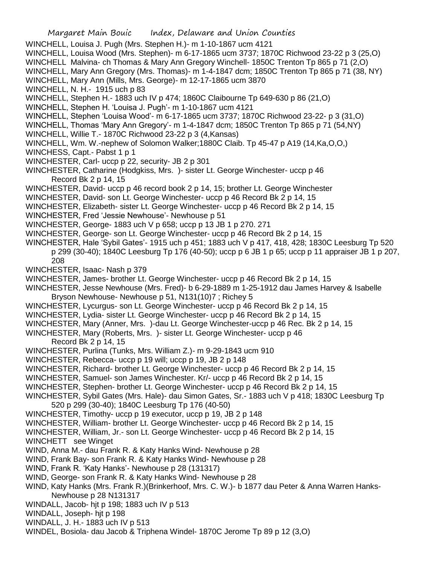- WINCHELL, Louisa J. Pugh (Mrs. Stephen H.)- m 1-10-1867 ucm 4121
- WINCHELL, Louisa Wood (Mrs. Stephen)- m 6-17-1865 ucm 3737; 1870C Richwood 23-22 p 3 (25,O)
- WINCHELL Malvina- ch Thomas & Mary Ann Gregory Winchell- 1850C Trenton Tp 865 p 71 (2,O)
- WINCHELL, Mary Ann Gregory (Mrs. Thomas)- m 1-4-1847 dcm; 1850C Trenton Tp 865 p 71 (38, NY)
- WINCHELL, Mary Ann (Mills, Mrs. George)- m 12-17-1865 ucm 3870
- WINCHELL, N. H.- 1915 uch p 83
- WINCHELL, Stephen H.- 1883 uch IV p 474; 1860C Claibourne Tp 649-630 p 86 (21,O)
- WINCHELL, Stephen H. 'Louisa J. Pugh'- m 1-10-1867 ucm 4121
- WINCHELL, Stephen 'Louisa Wood'- m 6-17-1865 ucm 3737; 1870C Richwood 23-22- p 3 (31,O)
- WINCHELL, Thomas 'Mary Ann Gregory'- m 1-4-1847 dcm; 1850C Trenton Tp 865 p 71 (54,NY)
- WINCHELL, Willie T.- 1870C Richwood 23-22 p 3 (4,Kansas)
- WINCHELL, Wm. W.-nephew of Solomon Walker;1880C Claib. Tp 45-47 p A19 (14,Ka,O,O,)
- WINCHESS, Capt.- Pabst 1 p 1
- WINCHESTER, Carl- uccp p 22, security- JB 2 p 301
- WINCHESTER, Catharine (Hodgkiss, Mrs. )- sister Lt. George Winchester- uccp p 46 Record Bk 2 p 14, 15
- WINCHESTER, David- uccp p 46 record book 2 p 14, 15; brother Lt. George Winchester
- WINCHESTER, David- son Lt. George Winchester- uccp p 46 Record Bk 2 p 14, 15
- WINCHESTER, Elizabeth- sister Lt. George Winchester- uccp p 46 Record Bk 2 p 14, 15
- WINCHESTER, Fred 'Jessie Newhouse'- Newhouse p 51
- WINCHESTER, George- 1883 uch V p 658; uccp p 13 JB 1 p 270. 271
- WINCHESTER, George- son Lt. George Winchester- uccp p 46 Record Bk 2 p 14, 15
- WINCHESTER, Hale 'Sybil Gates'- 1915 uch p 451; 1883 uch V p 417, 418, 428; 1830C Leesburg Tp 520 p 299 (30-40); 1840C Leesburg Tp 176 (40-50); uccp p 6 JB 1 p 65; uccp p 11 appraiser JB 1 p 207, 208
- WINCHESTER, Isaac- Nash p 379
- WINCHESTER, James- brother Lt. George Winchester- uccp p 46 Record Bk 2 p 14, 15
- WINCHESTER, Jesse Newhouse (Mrs. Fred)- b 6-29-1889 m 1-25-1912 dau James Harvey & Isabelle Bryson Newhouse- Newhouse p 51, N131(10)7 ; Richey 5
- WINCHESTER, Lycurgus- son Lt. George Winchester- uccp p 46 Record Bk 2 p 14, 15
- WINCHESTER, Lydia- sister Lt. George Winchester- uccp p 46 Record Bk 2 p 14, 15
- WINCHESTER, Mary (Anner, Mrs. )-dau Lt. George Winchester-uccp p 46 Rec. Bk 2 p 14, 15
- WINCHESTER, Mary (Roberts, Mrs. )- sister Lt. George Winchester- uccp p 46 Record Bk 2 p 14, 15
- WINCHESTER, Purlina (Tunks, Mrs. William Z.)- m 9-29-1843 ucm 910
- WINCHESTER, Rebecca- uccp p 19 will; uccp p 19, JB 2 p 148
- WINCHESTER, Richard- brother Lt. George Winchester- uccp p 46 Record Bk 2 p 14, 15
- WINCHESTER, Samuel- son James Winchester. Kr/- uccp p 46 Record Bk 2 p 14, 15
- WINCHESTER, Stephen- brother Lt. George Winchester- uccp p 46 Record Bk 2 p 14, 15
- WINCHESTER, Sybil Gates (Mrs. Hale)- dau Simon Gates, Sr.- 1883 uch V p 418; 1830C Leesburg Tp
	- 520 p 299 (30-40); 1840C Leesburg Tp 176 (40-50)
- WINCHESTER, Timothy- uccp p 19 executor, uccp p 19, JB 2 p 148
- WINCHESTER, William- brother Lt. George Winchester- uccp p 46 Record Bk 2 p 14, 15
- WINCHESTER, William, Jr.- son Lt. George Winchester- uccp p 46 Record Bk 2 p 14, 15 WINCHETT see Winget
- WIND, Anna M.- dau Frank R. & Katy Hanks Wind- Newhouse p 28
- WIND, Frank Bay- son Frank R. & Katy Hanks Wind- Newhouse p 28
- WIND, Frank R. 'Katy Hanks'- Newhouse p 28 (131317)
- WIND, George- son Frank R. & Katy Hanks Wind- Newhouse p 28
- WIND, Katy Hanks (Mrs. Frank R.)(Brinkerhoof, Mrs. C. W.)- b 1877 dau Peter & Anna Warren Hanks-Newhouse p 28 N131317
- WINDALL, Jacob- hjt p 198; 1883 uch IV p 513
- WINDALL, Joseph- hjt p 198
- WINDALL, J. H.- 1883 uch IV p 513
- WINDEL, Bosiola- dau Jacob & Triphena Windel- 1870C Jerome Tp 89 p 12 (3,O)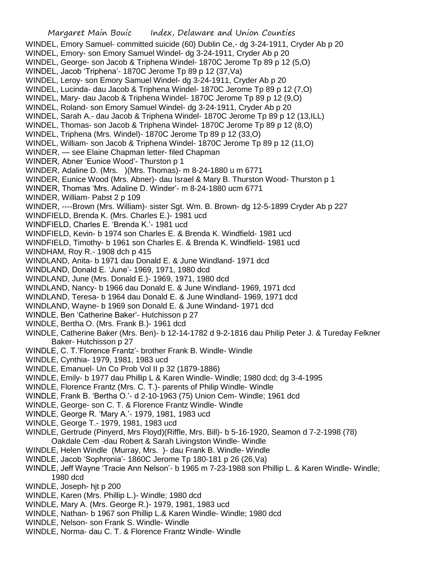Margaret Main Bouic Index, Delaware and Union Counties WINDEL, Emory Samuel- committed suicide (60) Dublin Ce,- dg 3-24-1911, Cryder Ab p 20 WINDEL, Emory- son Emory Samuel Windel- dg 3-24-1911, Cryder Ab p 20 WINDEL, George- son Jacob & Triphena Windel- 1870C Jerome Tp 89 p 12 (5,O) WINDEL, Jacob 'Triphena'- 1870C Jerome Tp 89 p 12 (37,Va) WINDEL, Leroy- son Emory Samuel Windel- dg 3-24-1911, Cryder Ab p 20 WINDEL, Lucinda- dau Jacob & Triphena Windel- 1870C Jerome Tp 89 p 12 (7,O) WINDEL, Mary- dau Jacob & Triphena Windel- 1870C Jerome Tp 89 p 12 (9,O) WINDEL, Roland- son Emory Samuel Windel- dg 3-24-1911, Cryder Ab p 20 WINDEL, Sarah A.- dau Jacob & Triphena Windel- 1870C Jerome Tp 89 p 12 (13,ILL) WINDEL, Thomas- son Jacob & Triphena Windel- 1870C Jerome Tp 89 p 12 (8,O) WINDEL, Triphena (Mrs. Windel)- 1870C Jerome Tp 89 p 12 (33,O) WINDEL, William- son Jacob & Triphena Windel- 1870C Jerome Tp 89 p 12 (11,O) WINDER, — see Elaine Chapman letter- filed Chapman WINDER, Abner 'Eunice Wood'- Thurston p 1 WINDER, Adaline D. (Mrs. )(Mrs. Thomas)- m 8-24-1880 u m 6771 WINDER, Eunice Wood (Mrs. Abner)- dau Israel & Mary B. Thurston Wood- Thurston p 1 WINDER, Thomas 'Mrs. Adaline D. Winder'- m 8-24-1880 ucm 6771 WINDER, William- Pabst 2 p 109 WINDER, ----Brown (Mrs. William)- sister Sgt. Wm. B. Brown- dg 12-5-1899 Cryder Ab p 227 WINDFIELD, Brenda K. (Mrs. Charles E.)- 1981 ucd WINDFIELD, Charles E. 'Brenda K.'- 1981 ucd WINDFIELD, Kevin- b 1974 son Charles E. & Brenda K. Windfield- 1981 ucd WINDFIELD, Timothy- b 1961 son Charles E. & Brenda K. Windfield- 1981 ucd WINDHAM, Roy R.- 1908 dch p 415 WINDLAND, Anita- b 1971 dau Donald E. & June Windland- 1971 dcd WINDLAND, Donald E. 'June'- 1969, 1971, 1980 dcd WINDLAND, June (Mrs. Donald E.)- 1969, 1971, 1980 dcd

- WINDLAND, Nancy- b 1966 dau Donald E. & June Windland- 1969, 1971 dcd
- WINDLAND, Teresa- b 1964 dau Donald E. & June Windland- 1969, 1971 dcd
- WINDLAND, Wayne- b 1969 son Donald E. & June Windand- 1971 dcd
- WINDLE, Ben 'Catherine Baker'- Hutchisson p 27
- WINDLE, Bertha O. (Mrs. Frank B.)- 1961 dcd
- WINDLE, Catherine Baker (Mrs. Ben)- b 12-14-1782 d 9-2-1816 dau Philip Peter J. & Tureday Felkner Baker- Hutchisson p 27
- WINDLE, C. T.'Florence Frantz'- brother Frank B. Windle- Windle
- WINDLE, Cynthia- 1979, 1981, 1983 ucd
- WINDLE, Emanuel- Un Co Prob Vol II p 32 (1879-1886)
- WINDLE, Emily- b 1977 dau Phillip L & Karen Windle- Windle; 1980 dcd; dg 3-4-1995
- WINDLE, Florence Frantz (Mrs. C. T.)- parents of Philip Windle- Windle
- WINDLE, Frank B. 'Bertha O.'- d 2-10-1963 (75) Union Cem- Windle; 1961 dcd
- WINDLE, George- son C. T. & Florence Frantz Windle- Windle
- WINDLE, George R. 'Mary A.'- 1979, 1981, 1983 ucd
- WINDLE, George T.- 1979, 1981, 1983 ucd
- WINDLE, Gertrude (Pinyerd, Mrs Floyd)(Riffle, Mrs. Bill)- b 5-16-1920, Seamon d 7-2-1998 (78) Oakdale Cem -dau Robert & Sarah Livingston Windle- Windle
- WINDLE, Helen Windle (Murray, Mrs. )- dau Frank B. Windle- Windle
- WINDLE, Jacob 'Sophronia'- 1860C Jerome Tp 180-181 p 26 (26,Va)
- WINDLE, Jeff Wayne 'Tracie Ann Nelson'- b 1965 m 7-23-1988 son Phillip L. & Karen Windle- Windle; 1980 dcd
- WINDLE, Joseph- hjt p 200
- WINDLE, Karen (Mrs. Phillip L.)- Windle; 1980 dcd
- WINDLE, Mary A. (Mrs. George R.)- 1979, 1981, 1983 ucd
- WINDLE, Nathan- b 1967 son Phillip L.& Karen Windle- Windle; 1980 dcd
- WINDLE, Nelson- son Frank S. Windle- Windle
- WINDLE, Norma- dau C. T. & Florence Frantz Windle- Windle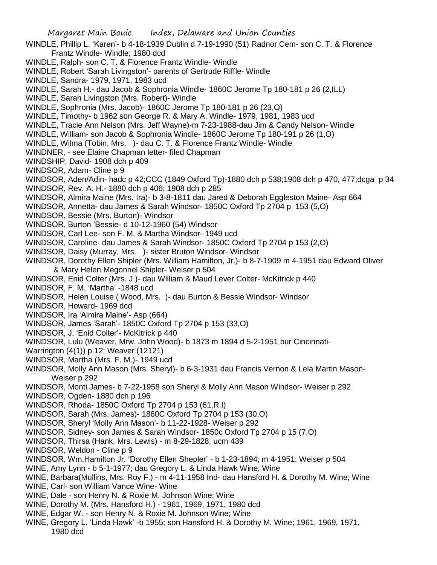Margaret Main Bouic Index, Delaware and Union Counties WINDLE, Phillip L. 'Karen'- b 4-18-1939 Dublin d 7-19-1990 (51) Radnor Cem- son C. T. & Florence Frantz Windle- Windle; 1980 dcd WINDLE, Ralph- son C. T. & Florence Frantz Windle- Windle WINDLE, Robert 'Sarah Livingston'- parents of Gertrude Riffle- Windle WINDLE, Sandra- 1979, 1971, 1983 ucd WINDLE, Sarah H.- dau Jacob & Sophronia Windle- 1860C Jerome Tp 180-181 p 26 (2,ILL) WINDLE, Sarah Livingston (Mrs. Robert)- Windle WINDLE, Sophronia (Mrs. Jacob)- 1860C Jerome Tp 180-181 p 26 (23,O) WINDLE, Timothy- b 1962 son George R. & Mary A. Windle- 1979, 1981, 1983 ucd WINDLE, Tracie Ann Nelson (Mrs. Jeff Wayne)-m 7-23-1988-dau Jim & Candy Nelson- Windle WINDLE, William- son Jacob & Sophronia Windle- 1860C Jerome Tp 180-191 p 26 (1,O) WINDLE, Wilma (Tobin, Mrs. )- dau C. T. & Florence Frantz Windle- Windle WINDNER, - see Elaine Chapman letter- filed Chapman WINDSHIP, David- 1908 dch p 409 WINDSOR, Adam- Cline p 9 WINDSOR, Aden/Adin- hadc p 42;CCC (1849 Oxford Tp)-1880 dch p 538;1908 dch p 470, 477;dcga p 34 WINDSOR, Rev. A. H.- 1880 dch p 406; 1908 dch p 285 WINDSOR, Almira Maine (Mrs. Ira)- b 3-8-1811 dau Jared & Deborah Eggleston Maine- Asp 664 WINDSOR, Annetta- dau James & Sarah Windsor- 1850C Oxford Tp 2704 p 153 (5,O) WINDSOR, Bessie (Mrs. Burton)- Windsor WINDSOR, Burton 'Bessie- d 10-12-1960 (54) Windsor WINDSOR, Carl Lee- son F. M. & Martha Windsor- 1949 ucd WINDSOR, Caroline- dau James & Sarah Windsor- 1850C Oxford Tp 2704 p 153 (2,O) WINDSOR, Daisy (Murray, Mrs. )- sister Bruton Windsor- Windsor WINDSOR, Dorothy Ellen Shipler (Mrs. William Hamilton, Jr.)- b 8-7-1909 m 4-1951 dau Edward Oliver & Mary Helen Megonnel Shipler- Weiser p 504 WINDSOR, Enid Colter (Mrs. J.)- dau William & Maud Lever Colter- McKitrick p 440 WINDSOR, F. M. 'Martha' -1848 ucd WINDSOR, Helen Louise ( Wood, Mrs. )- dau Burton & Bessie Windsor- Windsor WINDSOR, Howard- 1969 dcd WINDSOR, Ira 'Almira Maine'- Asp (664) WINDSOR, James 'Sarah'- 1850C Oxford Tp 2704 p 153 (33,O) WINDSOR, J. 'Enid Colter'- McKitrick p 440 WINDSOR, Lulu (Weaver, Mrw. John Wood)- b 1873 m 1894 d 5-2-1951 bur Cincinnati-Warrington (4(1)) p 12; Weaver (12121) WINDSOR, Martha (Mrs. F. M.)- 1949 ucd WINDSOR, Molly Ann Mason (Mrs. Sheryl)- b 6-3-1931 dau Francis Vernon & Lela Martin Mason-Weiser p 292 WINDSOR, Monti James- b 7-22-1958 son Sheryl & Molly Ann Mason Windsor- Weiser p 292 WINDSOR, Ogden- 1880 dch p 196 WINDSOR, Rhoda- 1850C Oxford Tp 2704 p 153 (61,R.I) WINDSOR, Sarah (Mrs. James)- 1860C Oxford Tp 2704 p 153 (30,O) WINDSOR, Sheryl 'Molly Ann Mason'- b 11-22-1928- Weiser p 292 WINDSOR, Sidney- son James & Sarah Windsor- 1850c Oxford Tp 2704 p 15 (7,O) WINDSOR, Thirsa (Hank, Mrs. Lewis) - m 8-29-1828; ucm 439 WINDSOR, Weldon - Cline p 9 WINDSOR, Wm.Hamilton Jr. 'Dorothy Ellen Shepler' - b 1-23-1894; m 4-1951; Weiser p 504 WINE, Amy Lynn - b 5-1-1977; dau Gregory L. & Linda Hawk Wine; Wine WINE, Barbara(Mullins, Mrs. Roy F.) - m 4-11-1958 Ind- dau Hansford H. & Dorothy M. Wine; Wine WINE, Carl- son William Vance Wine- Wine WINE, Dale - son Henry N. & Roxie M. Johnson Wine; Wine WINE, Dorothy M. (Mrs. Hansford H.) - 1961, 1969, 1971, 1980 dcd WINE, Edgar W. - son Henry N. & Roxie M. Johnson Wine; Wine

WINE, Gregory L. 'Linda Hawk' -b 1955; son Hansford H. & Dorothy M. Wine; 1961, 1969, 1971, 1980 dcd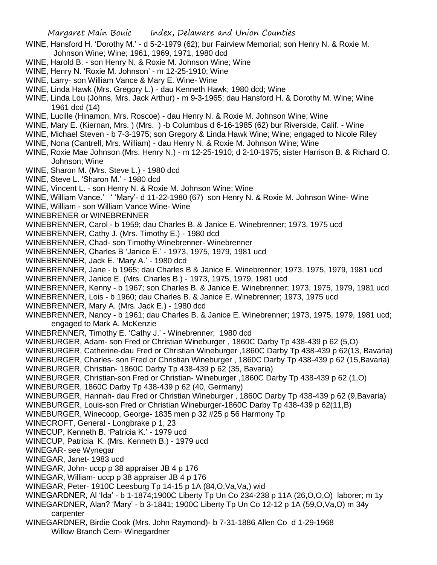- WINE, Hansford H. 'Dorothy M.' d 5-2-1979 (62); bur Fairview Memorial; son Henry N. & Roxie M. Johnson Wine; Wine; 1961, 1969, 1971, 1980 dcd
- WINE, Harold B. son Henry N. & Roxie M. Johnson Wine; Wine
- WINE, Henry N. 'Roxie M. Johnson' m 12-25-1910; Wine
- WINE, Larry- son William Vance & Mary E. Wine- Wine
- WINE, Linda Hawk (Mrs. Gregory L.) dau Kenneth Hawk; 1980 dcd; Wine
- WINE, Linda Lou (Johns, Mrs. Jack Arthur) m 9-3-1965; dau Hansford H. & Dorothy M. Wine; Wine 1961 dcd (14)
- WINE, Lucille (Hinamon, Mrs. Roscoe) dau Henry N. & Roxie M. Johnson Wine; Wine
- WINE, Mary E. (Kiernan, Mrs. ) (Mrs. ) -b Columbus d 6-16-1985 (62) bur Riverside, Calif. Wine
- WINE, Michael Steven b 7-3-1975; son Gregory & Linda Hawk Wine; Wine; engaged to Nicole Riley
- WINE, Nona (Cantrell, Mrs. William) dau Henry N. & Roxie M. Johnson Wine; Wine
- WINE, Roxie Mae Johnson (Mrs. Henry N.) m 12-25-1910; d 2-10-1975; sister Harrison B. & Richard O. Johnson; Wine
- WINE, Sharon M. (Mrs. Steve L.) 1980 dcd
- WINE, Steve L. 'Sharon M.' 1980 dcd
- WINE, Vincent L. son Henry N. & Roxie M. Johnson Wine; Wine
- WINE, William Vance.' ' 'Mary'- d 11-22-1980 (67) son Henry N. & Roxie M. Johnson Wine- Wine
- WINE, William son William Vance Wine- Wine
- WINEBRENER or WINEBRENNER
- WINEBRENNER, Carol b 1959; dau Charles B. & Janice E. Winebrenner; 1973, 1975 ucd
- WINEBRENNER, Cathy J. (Mrs. Timothy E.) 1980 dcd
- WINEBRENNER, Chad- son Timothy Winebrenner- Winebrenner
- WINEBRENNER, Charles B 'Janice E.' 1973, 1975, 1979, 1981 ucd
- WINEBRENNER, Jack E. 'Mary A.' 1980 dcd
- WINEBRENNER, Jane b 1965; dau Charles B & Janice E. Winebrenner; 1973, 1975, 1979, 1981 ucd
- WINEBRENNER, Janice E. (Mrs. Charles B.) 1973, 1975, 1979, 1981 ucd
- WINEBRENNER, Kenny b 1967; son Charles B. & Janice E. Winebrenner; 1973, 1975, 1979, 1981 ucd
- WINEBRENNER, Lois b 1960; dau Charles B. & Janice E. Winebrenner; 1973, 1975 ucd
- WINEBRENNER, Mary A. (Mrs. Jack E.) 1980 dcd
- WINEBRENNER, Nancy b 1961; dau Charles B. & Janice E. Winebrenner; 1973, 1975, 1979, 1981 ucd; engaged to Mark A. McKenzie
- WINEBRENNER, Timothy E. 'Cathy J.' Winebrenner; 1980 dcd
- WINEBURGER, Adam- son Fred or Christian Wineburger , 1860C Darby Tp 438-439 p 62 (5,O)
- WINEBURGER, Catherine-dau Fred or Christian Wineburger ,1860C Darby Tp 438-439 p 62(13, Bavaria)
- WINEBURGER, Charles- son Fred or Christian Wineburger , 1860C Darby Tp 438-439 p 62 (15,Bavaria) WINEBURGER, Christian- 1860C Darby Tp 438-439 p 62 (35, Bavaria)
- 
- WINEBURGER, Christian-son Fred or Christian- Wineburger ,1860C Darby Tp 438-439 p 62 (1,O)
- WINEBURGER, 1860C Darby Tp 438-439 p 62 (40, Germany)
- WINEBURGER, Hannah- dau Fred or Christian Wineburger , 1860C Darby Tp 438-439 p 62 (9,Bavaria) WINEBURGER, Louis-son Fred or Christian Wineburger-1860C Darby Tp 438-439 p 62(11,B)
- WINEBURGER, Winecoop, George- 1835 men p 32 #25 p 56 Harmony Tp
- WINECROFT, General Longbrake p 1, 23
- WINECUP, Kenneth B. 'Patricia K.' 1979 ucd
- WINECUP, Patricia K. (Mrs. Kenneth B.) 1979 ucd
- WINEGAR- see Wynegar
- WINEGAR, Janet- 1983 ucd
- WINEGAR, John- uccp p 38 appraiser JB 4 p 176
- WINEGAR, William- uccp p 38 appraiser JB 4 p 176
- WINEGAR, Peter- 1910C Leesburg Tp 14-15 p 1A (84, O, Va, Va,) wid
- WINEGARDNER, Al 'Ida' b 1-1874;1900C Liberty Tp Un Co 234-238 p 11A (26,O,O,O) laborer; m 1y
- WINEGARDNER, Alan? 'Mary' b 3-1841; 1900C Liberty Tp Un Co 12-12 p 1A (59,O,Va,O) m 34y carpenter
- WINEGARDNER, Birdie Cook (Mrs. John Raymond)- b 7-31-1886 Allen Co d 1-29-1968 Willow Branch Cem- Winegardner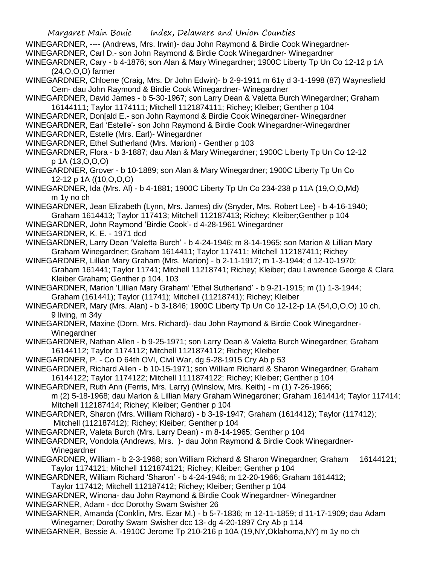WINEGARDNER, ---- (Andrews, Mrs. Irwin)- dau John Raymond & Birdie Cook Winegardner-

- WINEGARDNER, Carl D.- son John Raymond & Birdie Cook Winegardner- Winegardner
- WINEGARDNER, Cary b 4-1876; son Alan & Mary Winegardner; 1900C Liberty Tp Un Co 12-12 p 1A (24,O,O,O) farmer
- WINEGARDNER, Chloene (Craig, Mrs. Dr John Edwin)- b 2-9-1911 m 61y d 3-1-1998 (87) Waynesfield Cem- dau John Raymond & Birdie Cook Winegardner- Winegardner
- WINEGARDNER, David James b 5-30-1967; son Larry Dean & Valetta Burch Winegardner; Graham 16144111; Taylor 1174111; Mitchell 1121874111; Richey; Kleiber; Genther p 104
- WINEGARDNER, Don[ald E.- son John Raymond & Birdie Cook Winegardner- Winegardner
- WINEGARDNER, Earl 'Estelle'- son John Raymond & Birdie Cook Winegardner-Winegardner
- WINEGARDNER, Estelle (Mrs. Earl)- Winegardner
- WINEGARDNER, Ethel Sutherland (Mrs. Marion) Genther p 103
- WINEGARDNER, Flora b 3-1887; dau Alan & Mary Winegardner; 1900C Liberty Tp Un Co 12-12 p 1A (13,O,O,O)
- WINEGARDNER, Grover b 10-1889; son Alan & Mary Winegardner; 1900C Liberty Tp Un Co 12-12 p 1A ((10,O,O,O)
- WINEGARDNER, Ida (Mrs. Al) b 4-1881; 1900C Liberty Tp Un Co 234-238 p 11A (19,O,O,Md) m 1y no ch
- WINEGARDNER, Jean Elizabeth (Lynn, Mrs. James) div (Snyder, Mrs. Robert Lee) b 4-16-1940; Graham 1614413; Taylor 117413; Mitchell 112187413; Richey; Kleiber;Genther p 104
- WINEGARDNER, John Raymond 'Birdie Cook'- d 4-28-1961 Winegardner
- WINEGARDNER, K. E. 1971 dcd
- WINEGARDNER, Larry Dean 'Valetta Burch' b 4-24-1946; m 8-14-1965; son Marion & Lillian Mary Graham Winegardner; Graham 1614411; Taylor 117411; Mitchell 112187411; Richey
- WINEGARDNER, Lillian Mary Graham (Mrs. Marion) b 2-11-1917; m 1-3-1944; d 12-10-1970; Graham 161441; Taylor 11741; Mitchell 11218741; Richey; Kleiber; dau Lawrence George & Clara Kleiber Graham; Genther p 104, 103
- WINEGARDNER, Marion 'Lillian Mary Graham' 'Ethel Sutherland' b 9-21-1915; m (1) 1-3-1944; Graham (161441); Taylor (11741); Mitchell (11218741); Richey; Kleiber
- WINEGARDNER, Mary (Mrs. Alan) b 3-1846; 1900C Liberty Tp Un Co 12-12-p 1A (54,O,O,O) 10 ch, 9 living, m 34y
- WINEGARDNER, Maxine (Dorn, Mrs. Richard)- dau John Raymond & Birdie Cook Winegardner-**Winegardner**
- WINEGARDNER, Nathan Allen b 9-25-1971; son Larry Dean & Valetta Burch Winegardner; Graham 16144112; Taylor 1174112; Mitchell 1121874112; Richey; Kleiber
- WINEGARDNER, P. Co D 64th OVI, Civil War, dg 5-28-1915 Cry Ab p 53
- WINEGARDNER, Richard Allen b 10-15-1971; son William Richard & Sharon Winegardner; Graham 16144122; Taylor 1174122; Mitchell 1111874122; Richey; Kleiber; Genther p 104
- WINEGARDNER, Ruth Ann (Ferris, Mrs. Larry) (Winslow, Mrs. Keith) m (1) 7-26-1966;
- m (2) 5-18-1968; dau Marion & Lillian Mary Graham Winegardner; Graham 1614414; Taylor 117414; Mitchell 112187414; Richey; Kleiber; Genther p 104
- WINEGARDNER, Sharon (Mrs. William Richard) b 3-19-1947; Graham (1614412); Taylor (117412); Mitchell (112187412); Richey; Kleiber; Genther p 104
- WINEGARDNER, Valeta Burch (Mrs. Larry Dean) m 8-14-1965; Genther p 104
- WINEGARDNER, Vondola (Andrews, Mrs. )- dau John Raymond & Birdie Cook Winegardner-Winegardner
- WINEGARDNER, William b 2-3-1968; son William Richard & Sharon Winegardner; Graham 16144121; Taylor 1174121; Mitchell 1121874121; Richey; Kleiber; Genther p 104
- WINEGARDNER, William Richard 'Sharon' b 4-24-1946; m 12-20-1966; Graham 1614412;
	- Taylor 117412; Mitchell 112187412; Richey; Kleiber; Genther p 104
- WINEGARDNER, Winona- dau John Raymond & Birdie Cook Winegardner- Winegardner WINEGARNER, Adam - dcc Dorothy Swam Swisher 26
- WINEGARNER, Amanda (Conklin, Mrs. Ezar M.) b 5-7-1836; m 12-11-1859; d 11-17-1909; dau Adam Winegarner; Dorothy Swam Swisher dcc 13- dg 4-20-1897 Cry Ab p 114
- WINEGARNER, Bessie A. -1910C Jerome Tp 210-216 p 10A (19,NY,Oklahoma,NY) m 1y no ch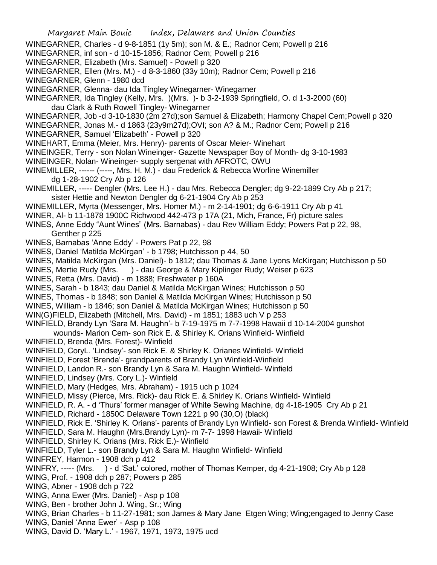- WINEGARNER, Charles d 9-8-1851 (1y 5m); son M. & E.; Radnor Cem; Powell p 216
- WINEGARNER, inf son d 10-15-1856; Radnor Cem; Powell p 216
- WINEGARNER, Elizabeth (Mrs. Samuel) Powell p 320
- WINEGARNER, Ellen (Mrs. M.) d 8-3-1860 (33y 10m); Radnor Cem; Powell p 216
- WINEGARNER, Glenn 1980 dcd
- WINEGARNER, Glenna- dau Ida Tingley Winegarner- Winegarner
- WINEGARNER, Ida Tingley (Kelly, Mrs. )(Mrs. )- b 3-2-1939 Springfield, O. d 1-3-2000 (60) dau Clark & Ruth Rowell Tingley- Winegarner
- WINEGARNER, Job -d 3-10-1830 (2m 27d);son Samuel & Elizabeth; Harmony Chapel Cem;Powell p 320
- WINEGARNER, Jonas M.- d 1863 (23y9m27d);OVI; son A? & M.; Radnor Cem; Powell p 216
- WINEGARNER, Samuel 'Elizabeth' Powell p 320
- WINEHART, Emma (Meier, Mrs. Henry)- parents of Oscar Meier- Winehart
- WINEINGER, Terry son Nolan Wineinger- Gazette Newspaper Boy of Month- dg 3-10-1983
- WINEINGER, Nolan- Wineinger- supply sergenat with AFROTC, OWU
- WINEMILLER, ------ (-----, Mrs. H. M.) dau Frederick & Rebecca Worline Winemiller dg 1-28-1902 Cry Ab p 126
- WINEMILLER, ----- Dengler (Mrs. Lee H.) dau Mrs. Rebecca Dengler; dg 9-22-1899 Cry Ab p 217; sister Hettie and Newton Dengler dg 6-21-1904 Cry Ab p 253
- WINEMILLER, Myrta (Messenger, Mrs. Homer M.) m 2-14-1901; dg 6-6-1911 Cry Ab p 41
- WINER, Al- b 11-1878 1900C Richwood 442-473 p 17A (21, Mich, France, Fr) picture sales
- WINES, Anne Eddy "Aunt Wines" (Mrs. Barnabas) dau Rev William Eddy; Powers Pat p 22, 98, Genther p 225
- WINES, Barnabas 'Anne Eddy' Powers Pat p 22, 98
- WINES, Daniel 'Matilda McKirgan' b 1798; Hutchisson p 44, 50
- WINES, Matilda McKirgan (Mrs. Daniel)- b 1812; dau Thomas & Jane Lyons McKirgan; Hutchisson p 50
- WINES, Mertie Rudy (Mrs. ) dau George & Mary Kiplinger Rudy; Weiser p 623
- WINES, Retta (Mrs. David) m 1888; Freshwater p 160A
- WINES, Sarah b 1843; dau Daniel & Matilda McKirgan Wines; Hutchisson p 50
- WINES, Thomas b 1848; son Daniel & Matilda McKirgan Wines; Hutchisson p 50
- WINES, William b 1846; son Daniel & Matilda McKirgan Wines; Hutchisson p 50
- WIN(G)FIELD, Elizabeth (Mitchell, Mrs. David) m 1851; 1883 uch V p 253
- WINFIELD, Brandy Lyn 'Sara M. Haughn'- b 7-19-1975 m 7-7-1998 Hawaii d 10-14-2004 gunshot wounds- Marion Cem- son Rick E. & Shirley K. Orians Winfield- Winfield
- WINFIELD, Brenda (Mrs. Forest)- Winfield
- WINFIELD, CoryL. 'Lindsey'- son Rick E. & Shirley K. Orianes Winfield- Winfield
- WINFIELD, Forest 'Brenda'- grandparents of Brandy Lyn Winfield-Winfield
- WINFIELD, Landon R.- son Brandy Lyn & Sara M. Haughn Winfield- Winfield
- WINFIELD, Lindsey (Mrs. Cory L.)- Winfield
- WINFIELD, Mary (Hedges, Mrs. Abraham) 1915 uch p 1024
- WINFIELD, Missy (Pierce, Mrs. Rick)- dau Rick E. & Shirley K. Orians Winfield- Winfield
- WINFIELD, R. A. d 'Thurs' former manager of White Sewing Machine, dg 4-18-1905 Cry Ab p 21
- WINFIELD, Richard 1850C Delaware Town 1221 p 90 (30,O) (black)
- WINFIELD, Rick E. 'Shirley K. Orians'- parents of Brandy Lyn Winfield- son Forest & Brenda Winfield- Winfield
- WINFIELD, Sara M. Haughn (Mrs.Brandy Lyn)- m 7-7- 1998 Hawaii- Winfield
- WINFIELD, Shirley K. Orians (Mrs. Rick E.)- Winfield
- WINFIELD, Tyler L.- son Brandy Lyn & Sara M. Haughn Winfield- Winfield
- WINFREY, Harmon 1908 dch p 412
- WINFRY, ----- (Mrs. ) d 'Sat.' colored, mother of Thomas Kemper, dg 4-21-1908; Cry Ab p 128
- WING, Prof. 1908 dch p 287; Powers p 285
- WING, Abner 1908 dch p 722
- WING, Anna Ewer (Mrs. Daniel) Asp p 108
- WING, Ben brother John J. Wing, Sr.; Wing
- WING, Brian Charles b 11-27-1981; son James & Mary Jane Etgen Wing; Wing;engaged to Jenny Case
- WING, Daniel 'Anna Ewer' Asp p 108
- WING, David D. 'Mary L.' 1967, 1971, 1973, 1975 ucd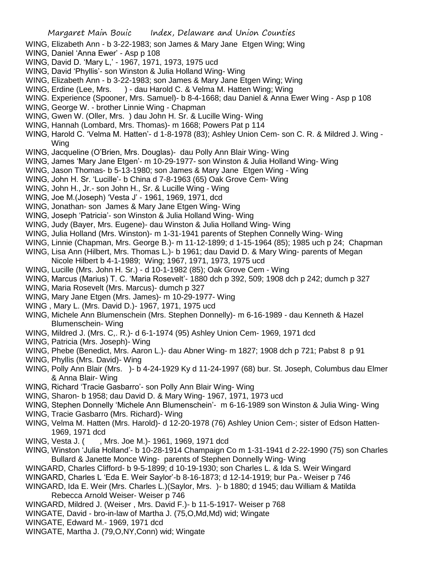- WING, Elizabeth Ann b 3-22-1983; son James & Mary Jane Etgen Wing; Wing
- WING, Daniel 'Anna Ewer' Asp p 108
- WING, David D. 'Mary L,' 1967, 1971, 1973, 1975 ucd
- WING, David 'Phyllis'- son Winston & Julia Holland Wing- Wing
- WING, Elizabeth Ann b 3-22-1983; son James & Mary Jane Etgen Wing; Wing
- WING, Erdine (Lee, Mrs. ) dau Harold C. & Velma M. Hatten Wing; Wing
- WING. Experience (Spooner, Mrs. Samuel)- b 8-4-1668; dau Daniel & Anna Ewer Wing Asp p 108
- WING, George W. brother Linnie Wing Chapman
- WING, Gwen W. (Oller, Mrs. ) dau John H. Sr. & Lucille Wing- Wing
- WING, Hannah (Lombard, Mrs. Thomas)- m 1668; Powers Pat p 114
- WING, Harold C. 'Velma M. Hatten'- d 1-8-1978 (83); Ashley Union Cem- son C. R. & Mildred J. Wing Wing
- WING, Jacqueline (O'Brien, Mrs. Douglas)- dau Polly Ann Blair Wing- Wing
- WING, James 'Mary Jane Etgen'- m 10-29-1977- son Winston & Julia Holland Wing- Wing
- WING, Jason Thomas- b 5-13-1980; son James & Mary Jane Etgen Wing Wing
- WING, John H. Sr. 'Lucille'- b China d 7-8-1963 (65) Oak Grove Cem- Wing
- WING, John H., Jr.- son John H., Sr. & Lucille Wing Wing
- WING, Joe M.(Joseph) 'Vesta J' 1961, 1969, 1971, dcd
- WING, Jonathan- son James & Mary Jane Etgen Wing- Wing
- WING, Joseph 'Patricia'- son Winston & Julia Holland Wing- Wing
- WING, Judy (Bayer, Mrs. Eugene)- dau Winston & Julia Holland Wing- Wing
- WING, Julia Holland (Mrs. Winston)- m 1-31-1941 parents of Stephen Connelly Wing- Wing
- WING, Linnie (Chapman, Mrs. George B.)- m 11-12-1899; d 1-15-1964 (85); 1985 uch p 24; Chapman
- WING, Lisa Ann (Hilbert, Mrs. Thomas L.)- b 1961; dau David D. & Mary Wing- parents of Megan Nicole Hilbert b 4-1-1989; Wing; 1967, 1971, 1973, 1975 ucd
- WING, Lucille (Mrs. John H. Sr.) d 10-1-1982 (85); Oak Grove Cem Wing
- WING, Marcus (Marius) T. C. 'Maria Rosevelt'- 1880 dch p 392, 509; 1908 dch p 242; dumch p 327
- WING, Maria Rosevelt (Mrs. Marcus)- dumch p 327
- WING, Mary Jane Etgen (Mrs. James)- m 10-29-1977- Wing
- WING , Mary L. (Mrs. David D.)- 1967, 1971, 1975 ucd
- WING, Michele Ann Blumenschein (Mrs. Stephen Donnelly)- m 6-16-1989 dau Kenneth & Hazel Blumenschein- Wing
- WING, Mildred J. (Mrs. C,. R.)- d 6-1-1974 (95) Ashley Union Cem- 1969, 1971 dcd
- WING, Patricia (Mrs. Joseph)- Wing
- WING, Phebe (Benedict, Mrs. Aaron L.)- dau Abner Wing- m 1827; 1908 dch p 721; Pabst 8 p 91
- WING, Phyllis (Mrs. David)- Wing
- WING, Polly Ann Blair (Mrs. )- b 4-24-1929 Ky d 11-24-1997 (68) bur. St. Joseph, Columbus dau Elmer & Anna Blair- Wing
- WING, Richard 'Tracie Gasbarro'- son Polly Ann Blair Wing- Wing
- WING, Sharon- b 1958; dau David D. & Mary Wing- 1967, 1971, 1973 ucd
- WING, Stephen Donnelly 'Michele Ann Blumenschein'- m 6-16-1989 son Winston & Julia Wing- Wing
- WING, Tracie Gasbarro (Mrs. Richard)- Wing
- WING, Velma M. Hatten (Mrs. Harold)- d 12-20-1978 (76) Ashley Union Cem-; sister of Edson Hatten-1969, 1971 dcd
- WING, Vesta J. ( , Mrs. Joe M.) 1961, 1969, 1971 dcd
- WING, Winston 'Julia Holland'- b 10-28-1914 Champaign Co m 1-31-1941 d 2-22-1990 (75) son Charles Bullard & Janette Monce Wing- parents of Stephen Donnelly Wing- Wing
- WINGARD, Charles Clifford- b 9-5-1899; d 10-19-1930; son Charles L. & Ida S. Weir Wingard
- WINGARD, Charles L 'Eda E. Weir Saylor'-b 8-16-1873; d 12-14-1919; bur Pa.- Weiser p 746
- WINGARD, Ida E. Weir (Mrs. Charles L.)(Saylor, Mrs. )- b 1880; d 1945; dau William & Matilda Rebecca Arnold Weiser- Weiser p 746
- WINGARD, Mildred J. (Weiser , Mrs. David F.)- b 11-5-1917- Weiser p 768
- WINGATE, David bro-in-law of Martha J. (75,O,Md,Md) wid; Wingate
- WINGATE, Edward M.- 1969, 1971 dcd
- WINGATE, Martha J. (79,O,NY,Conn) wid; Wingate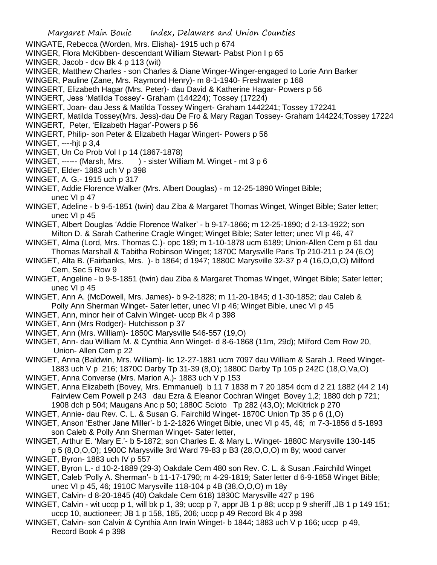- WINGATE, Rebecca (Worden, Mrs. Elisha)- 1915 uch p 674
- WINGER, Flora McKibben- descendant William Stewart- Pabst Pion I p 65
- WINGER, Jacob dcw Bk 4 p 113 (wit)
- WINGER, Matthew Charles son Charles & Diane Winger-Winger-engaged to Lorie Ann Barker
- WINGER, Pauline (Zane, Mrs. Raymond Henry)- m 8-1-1940- Freshwater p 168
- WINGERT, Elizabeth Hagar (Mrs. Peter)- dau David & Katherine Hagar- Powers p 56
- WINGERT, Jess 'Matilda Tossey'- Graham (144224); Tossey (17224)
- WINGERT, Joan- dau Jess & Matilda Tossey Wingert- Graham 1442241; Tossey 172241
- WINGERT, Matilda Tossey(Mrs. Jess)-dau De Fro & Mary Ragan Tossey- Graham 144224;Tossey 17224
- WINGERT, Peter, 'Elizabeth Hagar'-Powers p 56
- WINGERT, Philip- son Peter & Elizabeth Hagar Wingert- Powers p 56
- WINGET, ----hjt p 3,4
- WINGET, Un Co Prob Vol I p 14 (1867-1878)
- WINGET, ------ (Marsh, Mrs. ) sister William M. Winget mt 3 p 6
- WINGET, Elder- 1883 uch V p 398
- WINGET, A. G.- 1915 uch p 317
- WINGET, Addie Florence Walker (Mrs. Albert Douglas) m 12-25-1890 Winget Bible; unec VI p 47
- WINGET, Adeline b 9-5-1851 (twin) dau Ziba & Margaret Thomas Winget, Winget Bible; Sater letter; unec VI p 45
- WINGET, Albert Douglas 'Addie Florence Walker' b 9-17-1866; m 12-25-1890; d 2-13-1922; son Milton D. & Sarah Catherine Cragle Winget; Winget Bible; Sater letter; unec VI p 46, 47
- WINGET, Alma (Lord, Mrs. Thomas C.)- opc 189; m 1-10-1878 ucm 6189; Union-Allen Cem p 61 dau Thomas Marshall & Tabitha Robinson Winget; 1870C Marysville Paris Tp 210-211 p 24 (6,O)
- WINGET, Alta B. (Fairbanks, Mrs. )- b 1864; d 1947; 1880C Marysville 32-37 p 4 (16,O,O,O) Milford Cem, Sec 5 Row 9
- WINGET, Angeline b 9-5-1851 (twin) dau Ziba & Margaret Thomas Winget, Winget Bible; Sater letter; unec VI p 45
- WINGET, Ann A. (McDowell, Mrs. James)- b 9-2-1828; m 11-20-1845; d 1-30-1852; dau Caleb & Polly Ann Sherman Winget- Sater letter, unec VI p 46; Winget Bible, unec VI p 45
- WINGET, Ann, minor heir of Calvin Winget- uccp Bk 4 p 398
- WINGET, Ann (Mrs Rodger)- Hutchisson p 37
- WINGET, Ann (Mrs. William)- 1850C Marysville 546-557 (19,O)
- WINGET, Ann- dau William M. & Cynthia Ann Winget- d 8-6-1868 (11m, 29d); Milford Cem Row 20, Union- Allen Cem p 22
- WINGET, Anna (Baldwin, Mrs. William)- lic 12-27-1881 ucm 7097 dau William & Sarah J. Reed Winget-1883 uch V p 216; 1870C Darby Tp 31-39 (8,O); 1880C Darby Tp 105 p 242C (18,O,Va,O)
- WINGET, Anna Converse (Mrs. Marion A.)- 1883 uch V p 153
- WINGET, Anna Elizabeth (Bovey, Mrs. Emmanuel) b 11 7 1838 m 7 20 1854 dcm d 2 21 1882 (44 2 14) Fairview Cem Powell p 243 dau Ezra & Eleanor Cochran Winget Bovey 1,2; 1880 dch p 721; 1908 dch p 504; Maugans Anc p 50; 1880C Scioto Tp 282 (43,O); McKitrick p 270
- WINGET, Annie- dau Rev. C. L. & Susan G. Fairchild Winget- 1870C Union Tp 35 p 6 (1,O)
- WINGET, Anson 'Esther Jane Miller'- b 1-2-1826 Winget Bible, unec VI p 45, 46; m 7-3-1856 d 5-1893 son Caleb & Polly Ann Sherman Winget- Sater letter,
- WINGET, Arthur E. 'Mary E.'- b 5-1872; son Charles E. & Mary L. Winget- 1880C Marysville 130-145 p 5 (8,O,O,O); 1900C Marysville 3rd Ward 79-83 p B3 (28,O,O,O) m 8y; wood carver
- WINGET, Byron- 1883 uch IV p 557
- WINGET, Byron L.- d 10-2-1889 (29-3) Oakdale Cem 480 son Rev. C. L. & Susan .Fairchild Winget
- WINGET, Caleb 'Polly A. Sherman'- b 11-17-1790; m 4-29-1819; Sater letter d 6-9-1858 Winget Bible; unec VI p 45, 46; 1910C Marysville 118-104 p 4B (38,O,O,O) m 18y
- WINGET, Calvin- d 8-20-1845 (40) Oakdale Cem 618) 1830C Marysville 427 p 196
- WINGET, Calvin wit uccp p 1, will bk p 1, 39; uccp p 7, appr JB 1 p 88; uccp p 9 sheriff ,JB 1 p 149 151; uccp 10, auctioneer; JB 1 p 158, 185, 206; uccp p 49 Record Bk 4 p 398
- WINGET, Calvin- son Calvin & Cynthia Ann Irwin Winget- b 1844; 1883 uch V p 166; uccp p 49, Record Book 4 p 398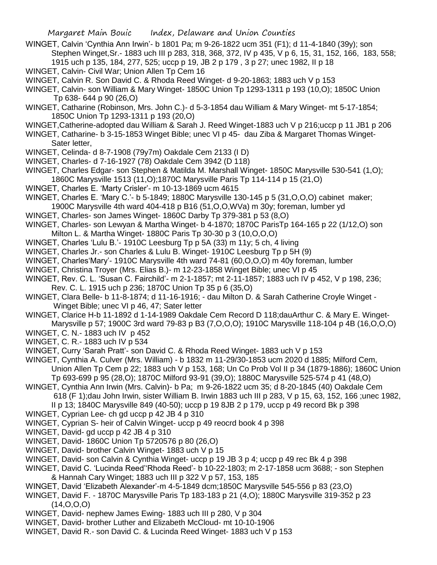- WINGET, Calvin 'Cynthia Ann Irwin'- b 1801 Pa; m 9-26-1822 ucm 351 (F1); d 11-4-1840 (39y); son Stephen Winget,Sr.- 1883 uch III p 283, 318, 368, 372, IV p 435, V p 6, 15, 31, 152, 166, 183, 558; 1915 uch p 135, 184, 277, 525; uccp p 19, JB 2 p 179 , 3 p 27; unec 1982, II p 18
- WINGET, Calvin- Civil War; Union Allen Tp Cem 16
- WINGET, Calvin R. Son David C. & Rhoda Reed Winget- d 9-20-1863; 1883 uch V p 153
- WINGET, Calvin- son William & Mary Winget- 1850C Union Tp 1293-1311 p 193 (10,O); 1850C Union Tp 638- 644 p 90 (26,O)
- WINGET, Catharine (Robinson, Mrs. John C.)- d 5-3-1854 dau William & Mary Winget- mt 5-17-1854; 1850C Union Tp 1293-1311 p 193 (20,O)
- WINGET,Catherine-adopted dau William & Sarah J. Reed Winget-1883 uch V p 216;uccp p 11 JB1 p 206
- WINGET, Catharine- b 3-15-1853 Winget Bible; unec VI p 45- dau Ziba & Margaret Thomas Winget-Sater letter,
- WINGET, Celinda- d 8-7-1908 (79y7m) Oakdale Cem 2133 (I D)
- WINGET, Charles- d 7-16-1927 (78) Oakdale Cem 3942 (D 118)
- WINGET, Charles Edgar- son Stephen & Matilda M. Marshall Winget- 1850C Marysville 530-541 (1,O); 1860C Marysville 1513 (11,O);1870C Marysville Paris Tp 114-114 p 15 (21,O)
- WINGET, Charles E. 'Marty Crisler'- m 10-13-1869 ucm 4615
- WINGET, Charles E. 'Mary C.'- b 5-1849; 1880C Marysville 130-145 p 5 (31,O,O,O) cabinet maker;
- 1900C Marysville 4th ward 404-418 p B16 (51,O,O,WVa) m 30y; foreman, lumber yd
- WINGET, Charles- son James Winget- 1860C Darby Tp 379-381 p 53 (8,O)
- WINGET, Charles- son Lewyan & Martha Winget- b 4-1870; 1870C ParisTp 164-165 p 22 (1/12,O) son Milton L. & Martha Winget- 1880C Paris Tp 30-30 p 3 (10,O,O,O)
- WINGET, Charles 'Lulu B.'- 1910C Leesburg Tp p 5A (33) m 11y; 5 ch, 4 living
- WINGET, Charles Jr.- son Charles & Lulu B. Winget- 1910C Leesburg Tp p 5H (9)
- WINGET, Charles'Mary'- 1910C Marysville 4th ward 74-81 (60,O,O,O) m 40y foreman, lumber
- WINGET, Christina Troyer (Mrs. Elias B.)- m 12-23-1858 Winget Bible; unec VI p 45
- WINGET, Rev. C. L. 'Susan C. Fairchild'- m 2-1-1857; mt 2-11-1857; 1883 uch IV p 452, V p 198, 236;
- Rev. C. L. 1915 uch p 236; 1870C Union Tp 35 p 6 (35,O)
- WINGET, Clara Belle- b 11-8-1874; d 11-16-1916; dau Milton D. & Sarah Catherine Croyle Winget Winget Bible; unec VI p 46, 47; Sater letter
- WINGET, Clarice H-b 11-1892 d 1-14-1989 Oakdale Cem Record D 118;dauArthur C. & Mary E. Winget-
- Marysville p 57; 1900C 3rd ward 79-83 p B3 (7,O,O,O); 1910C Marysville 118-104 p 4B (16,O,O,O) WINGET, C. N.- 1883 uch IV p 452
- WINGET, C. R.- 1883 uch IV p 534
- WINGET, Curry 'Sarah Pratt'- son David C. & Rhoda Reed Winget- 1883 uch V p 153
- WINGET, Cynthia A. Culver (Mrs. William) b 1832 m 11-29/30-1853 ucm 2020 d 1885; Milford Cem, Union Allen Tp Cem p 22; 1883 uch V p 153, 168; Un Co Prob Vol II p 34 (1879-1886); 1860C Union Tp 693-699 p 95 (28,O); 1870C Milford 93-91 (39,O); 1880C Marysville 525-574 p 41 (48,O)
- WINGET, Cynthia Ann Irwin (Mrs. Calvin)- b Pa; m 9-26-1822 ucm 35; d 8-20-1845 (40) Oakdale Cem
	- 618 (F 1);dau John Irwin, sister William B. Irwin 1883 uch III p 283, V p 15, 63, 152, 166 ;unec 1982, II p 13; 1840C Marysville 849 (40-50); uccp p 19 8JB 2 p 179, uccp p 49 record Bk p 398
- WINGET, Cyprian Lee- ch gd uccp p 42 JB 4 p 310
- WINGET, Cyprian S- heir of Calvin Winget- uccp p 49 reocrd book 4 p 398
- WINGET, David- gd uccp p 42 JB 4 p 310
- WINGET, David- 1860C Union Tp 5720576 p 80 (26,O)
- WINGET, David- brother Calvin Winget- 1883 uch V p 15
- WINGET, David- son Calvin & Cynthia Winget- uccp p 19 JB 3 p 4; uccp p 49 rec Bk 4 p 398
- WINGET, David C. 'Lucinda Reed''Rhoda Reed'- b 10-22-1803; m 2-17-1858 ucm 3688; son Stephen & Hannah Cary Winget; 1883 uch III p 322 V p 57, 153, 185
- WINGET, David 'Elizabeth Alexander'-m 4-5-1849 dcm;1850C Marysville 545-556 p 83 (23,O)
- WINGET, David F. 1870C Marysville Paris Tp 183-183 p 21 (4,O); 1880C Marysville 319-352 p 23  $(14, 0, 0, 0)$
- WINGET, David- nephew James Ewing- 1883 uch III p 280, V p 304
- WINGET, David- brother Luther and Elizabeth McCloud- mt 10-10-1906
- WINGET, David R.- son David C. & Lucinda Reed Winget- 1883 uch V p 153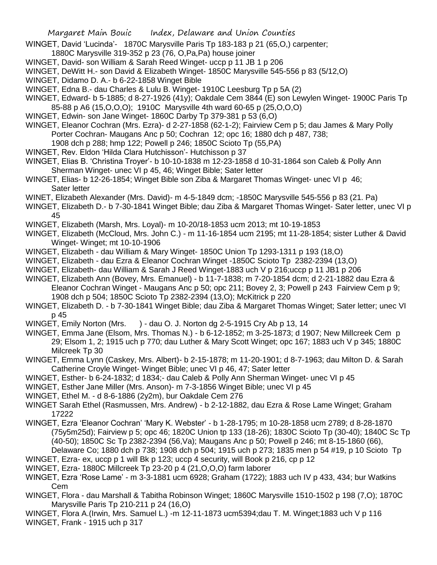- WINGET, David 'Lucinda'- 1870C Marysville Paris Tp 183-183 p 21 (65,O,) carpenter;
- 1880C Marysville 319-352 p 23 (76, O,Pa,Pa) house joiner
- WINGET, David- son William & Sarah Reed Winget- uccp p 11 JB 1 p 206
- WINGET, DeWitt H.- son David & Elizabeth Winget- 1850C Marysville 545-556 p 83 (5/12,O)
- WINGET, Didamo D. A.- b 6-22-1858 Winget Bible
- WINGET, Edna B.- dau Charles & Lulu B. Winget- 1910C Leesburg Tp p 5A (2)
- WINGET, Edward- b 5-1885; d 8-27-1926 (41y); Oakdale Cem 3844 (E) son Lewylen Winget- 1900C Paris Tp 85-88 p A6 (15,O,O,O); 1910C Marysville 4th ward 60-65 p (25,O,O,O)
- WINGET, Edwin- son Jane Winget- 1860C Darby Tp 379-381 p 53 (6,O)
- WINGET, Eleanor Cochran (Mrs. Ezra)- d 2-27-1858 (62-1-2); Fairview Cem p 5; dau James & Mary Polly Porter Cochran- Maugans Anc p 50; Cochran 12; opc 16; 1880 dch p 487, 738;
- 1908 dch p 288; hmp 122; Powell p 246; 1850C Scioto Tp (55,PA)
- WINGET, Rev. Eldon 'Hilda Clara Hutchisson'- Hutchisson p 37
- WINGET, Elias B. 'Christina Troyer'- b 10-10-1838 m 12-23-1858 d 10-31-1864 son Caleb & Polly Ann Sherman Winget- unec VI p 45, 46; Winget Bible; Sater letter
- WINGET, Elias- b 12-26-1854; Winget Bible son Ziba & Margaret Thomas Winget- unec VI p 46; Sater letter
- WINET, Elizabeth Alexander (Mrs. David)- m 4-5-1849 dcm; -1850C Marysville 545-556 p 83 (21. Pa)
- WINGET, Elizabeth D.- b 7-30-1841 Winget Bible; dau Ziba & Margaret Thomas Winget- Sater letter, unec VI p 45
- WINGET, Elizabeth (Marsh, Mrs. Loyal)- m 10-20/18-1853 ucm 2013; mt 10-19-1853
- WINGET, Elizabeth (McCloud, Mrs. John C.) m 11-16-1854 ucm 2195; mt 11-28-1854; sister Luther & David Winget- Winget; mt 10-10-1906
- WINGET, Elizabeth dau William & Mary Winget- 1850C Union Tp 1293-1311 p 193 (18,O)
- WINGET, Elizabeth dau Ezra & Eleanor Cochran Winget -1850C Scioto Tp 2382-2394 (13,O)
- WINGET, Elizabeth- dau William & Sarah J Reed Winget-1883 uch V p 216;uccp p 11 JB1 p 206
- WINGET, Elizabeth Ann (Bovey, Mrs. Emanuel) b 11-7-1838; m 7-20-1854 dcm; d 2-21-1882 dau Ezra & Eleanor Cochran Winget - Maugans Anc p 50; opc 211; Bovey 2, 3; Powell p 243 Fairview Cem p 9; 1908 dch p 504; 1850C Scioto Tp 2382-2394 (13,O); McKitrick p 220
- WINGET, Elizabeth D. b 7-30-1841 Winget Bible; dau Ziba & Margaret Thomas Winget; Sater letter; unec VI p 45
- WINGET, Emily Norton (Mrs. ) dau O. J. Norton dg 2-5-1915 Cry Ab p 13, 14
- WINGET, Emma Jane (Elsom, Mrs. Thomas N.) b 6-12-1852; m 3-25-1873; d 1907; New Millcreek Cem p 29; Elsom 1, 2; 1915 uch p 770; dau Luther & Mary Scott Winget; opc 167; 1883 uch V p 345; 1880C Milcreek Tp 30
- WINGET, Emma Lynn (Caskey, Mrs. Albert)- b 2-15-1878; m 11-20-1901; d 8-7-1963; dau Milton D. & Sarah Catherine Croyle Winget- Winget Bible; unec VI p 46, 47; Sater letter
- WINGET, Esther- b 6-24-1832; d 1834;- dau Caleb & Polly Ann Sherman Winget- unec VI p 45
- WINGET, Esther Jane Miller (Mrs. Anson)- m 7-3-1856 Winget Bible; unec VI p 45
- WINGET, Ethel M. d 8-6-1886 (2y2m), bur Oakdale Cem 276
- WINGET Sarah Ethel (Rasmussen, Mrs. Andrew) b 2-12-1882, dau Ezra & Rose Lame Winget; Graham 17222
- WINGET, Ezra 'Eleanor Cochran' 'Mary K. Webster' b 1-28-1795; m 10-28-1858 ucm 2789; d 8-28-1870 (75y5m25d); Fairview p 5; opc 46; 1820C Union tp 133 (18-26); 1830C Scioto Tp (30-40); 1840C Sc Tp (40-50); 1850C Sc Tp 2382-2394 (56,Va); Maugans Anc p 50; Powell p 246; mt 8-15-1860 (66), Delaware Co; 1880 dch p 738; 1908 dch p 504; 1915 uch p 273; 1835 men p 54 #19, p 10 Scioto Tp
- WINGET, Ezra- ex, uccp p 1 will Bk p 123; uccp 4 security, will Book p 216, cp p 12
- WINGET, Ezra- 1880C Millcreek Tp 23-20 p 4 (21,O,O,O) farm laborer
- WINGET, Ezra 'Rose Lame' m 3-3-1881 ucm 6928; Graham (1722); 1883 uch IV p 433, 434; bur Watkins Cem
- WINGET, Flora dau Marshall & Tabitha Robinson Winget; 1860C Marysville 1510-1502 p 198 (7,O); 1870C Marysville Paris Tp 210-211 p 24 (16,O)
- WINGET, Flora A.(Irwin, Mrs. Samuel L.) -m 12-11-1873 ucm5394;dau T. M. Winget;1883 uch V p 116 WINGET, Frank - 1915 uch p 317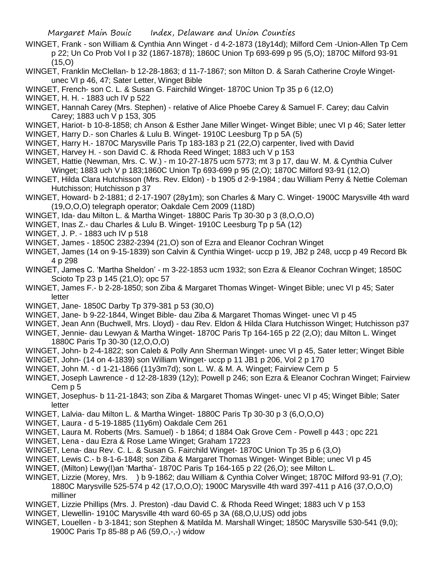- WINGET, Frank son William & Cynthia Ann Winget d 4-2-1873 (18y14d); Milford Cem -Union-Allen Tp Cem p 22; Un Co Prob Vol I p 32 (1867-1878); 1860C Union Tp 693-699 p 95 (5,O); 1870C Milford 93-91  $(15,0)$
- WINGET, Franklin McClellan- b 12-28-1863; d 11-7-1867; son Milton D. & Sarah Catherine Croyle Wingetunec VI p 46, 47; Sater Letter, Winget Bible
- WINGET, French- son C. L. & Susan G. Fairchild Winget- 1870C Union Tp 35 p 6 (12,O)
- WINGET, H. H. 1883 uch IV p 522
- WINGET, Hannah Carey (Mrs. Stephen) relative of Alice Phoebe Carey & Samuel F. Carey; dau Calvin Carey; 1883 uch V p 153, 305
- WINGET, Hariot- b 10-8-1858; ch Anson & Esther Jane Miller Winget- Winget Bible; unec VI p 46; Sater letter WINGET, Harry D.- son Charles & Lulu B. Winget- 1910C Leesburg Tp p 5A (5)
- WINGET, Harry H.- 1870C Marysville Paris Tp 183-183 p 21 (22,O) carpenter, lived with David
- WINGET, Harvey H. son David C. & Rhoda Reed Winget; 1883 uch V p 153
- WINGET, Hattie (Newman, Mrs. C. W.) m 10-27-1875 ucm 5773; mt 3 p 17, dau W. M. & Cynthia Culver Winget; 1883 uch V p 183;1860C Union Tp 693-699 p 95 (2,O); 1870C Milford 93-91 (12,O)
- WINGET, Hilda Clara Hutchisson (Mrs. Rev. Eldon) b 1905 d 2-9-1984 ; dau William Perry & Nettie Coleman Hutchisson; Hutchisson p 37
- WINGET, Howard- b 2-1881; d 2-17-1907 (28y1m); son Charles & Mary C. Winget- 1900C Marysville 4th ward (19,O,O,O) telegraph operator; Oakdale Cem 2009 (118D)
- WINGET, Ida- dau Milton L. & Martha Winget- 1880C Paris Tp 30-30 p 3 (8,O,O,O)
- WINGET, Inas Z.- dau Charles & Lulu B. Winget- 1910C Leesburg Tp p 5A (12)
- WINGET, J. P. 1883 uch IV p 518
- WINGET, James 1850C 2382-2394 (21,O) son of Ezra and Eleanor Cochran Winget
- WINGET, James (14 on 9-15-1839) son Calvin & Cynthia Winget- uccp p 19, JB2 p 248, uccp p 49 Record Bk 4 p 298
- WINGET, James C. 'Martha Sheldon' m 3-22-1853 ucm 1932; son Ezra & Eleanor Cochran Winget; 1850C Scioto Tp 23 p 145 (21,O); opc 57
- WINGET, James F.- b 2-28-1850; son Ziba & Margaret Thomas Winget- Winget Bible; unec VI p 45; Sater letter
- WINGET, Jane- 1850C Darby Tp 379-381 p 53 (30,O)
- WINGET, Jane- b 9-22-1844, Winget Bible- dau Ziba & Margaret Thomas Winget- unec VI p 45
- WINGET, Jean Ann (Buchwell, Mrs. Lloyd) dau Rev. Eldon & Hilda Clara Hutchisson Winget; Hutchisson p37 WINGET, Jennie- dau Lewyan & Martha Winget- 1870C Paris Tp 164-165 p 22 (2,O); dau Milton L. Winget 1880C Paris Tp 30-30 (12,O,O,O)
- WINGET, John- b 2-4-1822; son Caleb & Polly Ann Sherman Winget- unec VI p 45, Sater letter; Winget Bible
- WINGET, John- (14 on 4-1839) son William Winget- uccp p 11 JB1 p 206, Vol 2 p 170
- WINGET, John M. d 1-21-1866 (11y3m7d); son L. W. & M. A. Winget; Fairview Cem p 5
- WINGET, Joseph Lawrence d 12-28-1839 (12y); Powell p 246; son Ezra & Eleanor Cochran Winget; Fairview Cem p 5
- WINGET, Josephus- b 11-21-1843; son Ziba & Margaret Thomas Winget- unec VI p 45; Winget Bible; Sater letter
- WINGET, Lalvia- dau Milton L. & Martha Winget- 1880C Paris Tp 30-30 p 3 (6,O,O,O)
- WINGET, Laura d 5-19-1885 (11y6m) Oakdale Cem 261
- WINGET, Laura M. Roberts (Mrs. Samuel) b 1864; d 1884 Oak Grove Cem Powell p 443 ; opc 221
- WINGET, Lena dau Ezra & Rose Lame Winget; Graham 17223
- WINGET, Lena- dau Rev. C. L. & Susan G. Fairchild Winget- 1870C Union Tp 35 p 6 (3,O)
- WINGET, Lewis C.- b 8-1-6-1848; son Ziba & Margaret Thomas Winget- Winget Bible; unec VI p 45
- WINGET, (Milton) Lewy(l)an 'Martha'- 1870C Paris Tp 164-165 p 22 (26,O); see Milton L.
- WINGET, Lizzie (Morey, Mrs. ) b 9-1862; dau William & Cynthia Colver Winget; 1870C Milford 93-91 (7,O); 1880C Marysville 525-574 p 42 (17,O,O,O); 1900C Marysville 4th ward 397-411 p A16 (37,O,O,O) milliner
- WINGET, Lizzie Phillips (Mrs. J. Preston) -dau David C. & Rhoda Reed Winget; 1883 uch V p 153
- WINGET, Llewellin- 1910C Marysville 4th ward 60-65 p 3A (68,O,U,US) odd jobs
- WINGET, Louellen b 3-1841; son Stephen & Matilda M. Marshall Winget; 1850C Marysville 530-541 (9,0); 1900C Paris Tp 85-88 p A6 (59,O,-,-) widow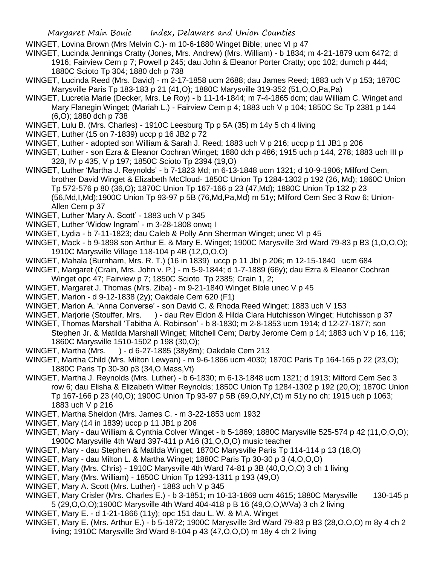WINGET, Lovina Brown (Mrs Melvin C.)- m 10-6-1880 Winget Bible; unec VI p 47

WINGET, Lucinda Jennings Cratty (Jones, Mrs. Andrew) (Mrs. William) - b 1834; m 4-21-1879 ucm 6472; d 1916; Fairview Cem p 7; Powell p 245; dau John & Eleanor Porter Cratty; opc 102; dumch p 444; 1880C Scioto Tp 304; 1880 dch p 738

- WINGET, Lucinda Reed (Mrs. David) m 2-17-1858 ucm 2688; dau James Reed; 1883 uch V p 153; 1870C Marysville Paris Tp 183-183 p 21 (41,O); 1880C Marysville 319-352 (51,O,O,Pa,Pa)
- WINGET, Lucretia Marie (Decker, Mrs. Le Roy) b 11-14-1844; m 7-4-1865 dcm; dau William C. Winget and Mary Flanegin Winget; (Mariah L.) - Fairview Cem p 4; 1883 uch V p 104; 1850C Sc Tp 2381 p 144 (6,O); 1880 dch p 738
- WINGET, Lulu B. (Mrs. Charles) 1910C Leesburg Tp p 5A (35) m 14y 5 ch 4 living
- WINGET, Luther (15 on 7-1839) uccp p 16 JB2 p 72
- WINGET, Luther adopted son William & Sarah J. Reed; 1883 uch V p 216; uccp p 11 JB1 p 206
- WINGET, Luther son Ezra & Eleanor Cochran Winget; 1880 dch p 486; 1915 uch p 144, 278; 1883 uch III p 328, IV p 435, V p 197; 1850C Scioto Tp 2394 (19,O)
- WINGET, Luther 'Martha J. Reynolds' b 7-1823 Md; m 6-13-1848 ucm 1321; d 10-9-1906; Milford Cem, brother David Winget & Elizabeth McCloud- 1850C Union Tp 1284-1302 p 192 (26, Md); 1860C Union Tp 572-576 p 80 (36,O); 1870C Union Tp 167-166 p 23 (47,Md); 1880C Union Tp 132 p 23 (56,Md,I,Md);1900C Union Tp 93-97 p 5B (76,Md,Pa,Md) m 51y; Milford Cem Sec 3 Row 6; Union-Allen Cem p 37
- WINGET, Luther 'Mary A. Scott' 1883 uch V p 345
- WINGET, Luther 'Widow Ingram' m 3-28-1808 onwq I
- WINGET, Lydia b 7-11-1823; dau Caleb & Polly Ann Sherman Winget; unec VI p 45
- WINGET, Mack b 9-1898 son Arthur E. & Mary E. Winget; 1900C Marysville 3rd Ward 79-83 p B3 (1,O,O,O); 1910C Marysville Village 118-104 p 4B (12,O,O,O)
- WINGET, Mahala (Burnham, Mrs. R. T.) (16 in 1839) uccp p 11 JbI p 206; m 12-15-1840 ucm 684
- WINGET, Margaret (Crain, Mrs. John v. P.) m 5-9-1844; d 1-7-1889 (66y); dau Ezra & Eleanor Cochran Winget opc 47; Fairview p 7; 1850C Scioto Tp 2385; Crain 1, 2;
- WINGET, Margaret J. Thomas (Mrs. Ziba) m 9-21-1840 Winget Bible unec V p 45
- WINGET, Marion d 9-12-1838 (2y); Oakdale Cem 620 (F1)
- WINGET, Marion A. 'Anna Converse' son David C. & Rhoda Reed Winget; 1883 uch V 153
- WINGET, Marjorie (Stouffer, Mrs. ) dau Rev Eldon & Hilda Clara Hutchisson Winget; Hutchisson p 37
- WINGET, Thomas Marshall 'Tabitha A. Robinson' b 8-1830; m 2-8-1853 ucm 1914; d 12-27-1877; son Stephen Jr. & Matilda Marshall Winget; Mitchell Cem; Darby Jerome Cem p 14; 1883 uch V p 16, 116; 1860C Marysville 1510-1502 p 198 (30,O);
- WINGET, Martha (Mrs. ) d 6-27-1885 (38y8m); Oakdale Cem 213
- WINGET, Martha Child (Mrs. Milton Lewyan) m 9-6-1866 ucm 4030; 1870C Paris Tp 164-165 p 22 (23,O); 1880C Paris Tp 30-30 p3 (34,O,Mass,Vt)
- WINGET, Martha J. Reynolds (Mrs. Luther) b 6-1830; m 6-13-1848 ucm 1321; d 1913; Milford Cem Sec 3 row 6; dau Elisha & Elizabeth Witter Reynolds; 1850C Union Tp 1284-1302 p 192 (20,O); 1870C Union Tp 167-166 p 23 (40,O); 1900C Union Tp 93-97 p 5B (69,O,NY,Ct) m 51y no ch; 1915 uch p 1063; 1883 uch V p 216
- WINGET, Martha Sheldon (Mrs. James C. m 3-22-1853 ucm 1932
- WINGET, Mary (14 in 1839) uccp p 11 JB1 p 206
- WINGET, Mary dau William & Cynthia Colver Winget b 5-1869; 1880C Marysville 525-574 p 42 (11,O,O,O); 1900C Marysville 4th Ward 397-411 p A16 (31,O,O,O) music teacher
- WINGET, Mary dau Stephen & Matilda Winget; 1870C Marysville Paris Tp 114-114 p 13 (18,O)
- WINGET, Mary dau Milton L. & Martha Winget; 1880C Paris Tp 30-30 p 3 (4,O,O,O)
- WINGET, Mary (Mrs. Chris) 1910C Marysville 4th Ward 74-81 p 3B (40,O,O,O) 3 ch 1 living
- WINGET, Mary (Mrs. William) 1850C Union Tp 1293-1311 p 193 (49,O)
- WINGET, Mary A. Scott (Mrs. Luther) 1883 uch V p 345
- WINGET, Mary Crisler (Mrs. Charles E.) b 3-1851; m 10-13-1869 ucm 4615; 1880C Marysville 130-145 p 5 (29,O,O,O);1900C Marysville 4th Ward 404-418 p B 16 (49,O,O,WVa) 3 ch 2 living
- WINGET, Mary E. d 1-21-1866 (11y); opc 151 dau L. W. & M.A. Winget
- WINGET, Mary E. (Mrs. Arthur E.) b 5-1872; 1900C Marysville 3rd Ward 79-83 p B3 (28,O,O,O) m 8y 4 ch 2 living; 1910C Marysville 3rd Ward 8-104 p 43 (47,O,O,O) m 18y 4 ch 2 living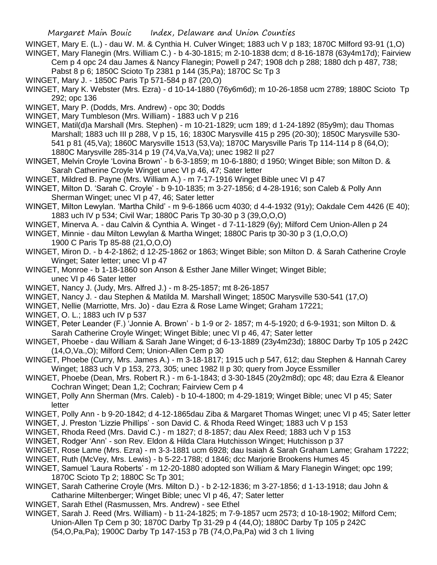WINGET, Mary E. (L.) - dau W. M. & Cynthia H. Culver Winget; 1883 uch V p 183; 1870C Milford 93-91 (1,O) WINGET, Mary Flanegin (Mrs. William C.) - b 4-30-1815; m 2-10-1838 dcm; d 8-16-1878 (63y4m17d); Fairview

Cem p 4 opc 24 dau James & Nancy Flanegin; Powell p 247; 1908 dch p 288; 1880 dch p 487, 738; Pabst 8 p 6; 1850C Scioto Tp 2381 p 144 (35,Pa); 1870C Sc Tp 3

WINGET, Mary J. - 1850C Paris Tp 571-584 p 87 (20,O)

WINGET, Mary K. Webster (Mrs. Ezra) - d 10-14-1880 (76y6m6d); m 10-26-1858 ucm 2789; 1880C Scioto Tp 292; opc 136

WINGET, Mary P. (Dodds, Mrs. Andrew) - opc 30; Dodds

WINGET, Mary Tumbleson (Mrs. William) - 1883 uch V p 216

WINGET, Matil(d)a Marshall (Mrs. Stephen) - m 10-21-1829; ucm 189; d 1-24-1892 (85y9m); dau Thomas Marshall; 1883 uch III p 288, V p 15, 16; 1830C Marysville 415 p 295 (20-30); 1850C Marysville 530- 541 p 81 (45,Va); 1860C Marysville 1513 (53,Va); 1870C Marysville Paris Tp 114-114 p 8 (64,O); 1880C Marysville 285-314 p 19 (74,Va,Va,Va); unec 1982 II p27

WINGET, Melvin Croyle 'Lovina Brown' - b 6-3-1859; m 10-6-1880; d 1950; Winget Bible; son Milton D. & Sarah Catherine Croyle Winget unec VI p 46, 47; Sater letter

WINGET, Mildred B. Payne (Mrs. William A.) - m 7-17-1916 Winget Bible unec VI p 47

WINGET, Milton D. 'Sarah C. Croyle' - b 9-10-1835; m 3-27-1856; d 4-28-1916; son Caleb & Polly Ann Sherman Winget; unec VI p 47, 46; Sater letter

WINGET, Milton Lewylan. 'Martha Child' - m 9-6-1866 ucm 4030; d 4-4-1932 (91y); Oakdale Cem 4426 (E 40); 1883 uch IV p 534; Civil War; 1880C Paris Tp 30-30 p 3 (39,O,O,O)

- WINGET, Minerva A. dau Calvin & Cynthia A. Winget d 7-11-1829 (6y); Milford Cem Union-Allen p 24
- WINGET, Minnie dau Milton Lewylan & Martha Winget; 1880C Paris tp 30-30 p 3 (1,O,O,O) 1900 C Paris Tp 85-88 (21,O,O,O)
- WINGET, Miron D. b 4-2-1862; d 12-25-1862 or 1863; Winget Bible; son Milton D. & Sarah Catherine Croyle Winget; Sater letter; unec VI p 47
- WINGET, Monroe b 1-18-1860 son Anson & Esther Jane Miller Winget; Winget Bible; unec VI p 46 Sater letter
- WINGET, Nancy J. (Judy, Mrs. Alfred J.) m 8-25-1857; mt 8-26-1857
- WINGET, Nancy J. dau Stephen & Matilda M. Marshall Winget; 1850C Marysville 530-541 (17,O)

WINGET, Nellie (Marriotte, Mrs. Jo) - dau Ezra & Rose Lame Winget; Graham 17221;

WINGET, O. L.; 1883 uch IV p 537

WINGET, Peter Leander (F.) 'Jonnie A. Brown' - b 1-9 or 2- 1857; m 4-5-1920; d 6-9-1931; son Milton D. & Sarah Catherine Croyle Winget; Winget Bible; unec VI p 46, 47; Sater letter

WINGET, Phoebe - dau William & Sarah Jane Winget; d 6-13-1889 (23y4m23d); 1880C Darby Tp 105 p 242C (14,O,Va.,O); Milford Cem; Union-Allen Cem p 30

WINGET, Phoebe (Curry, Mrs. James A.) - m 3-18-1817; 1915 uch p 547, 612; dau Stephen & Hannah Carey Winget; 1883 uch V p 153, 273, 305; unec 1982 II p 30; query from Joyce Essmiller

WINGET, Phoebe (Dean, Mrs. Robert R.) - m 6-1-1843; d 3-30-1845 (20y2m8d); opc 48; dau Ezra & Eleanor Cochran Winget; Dean 1,2; Cochran; Fairview Cem p 4

- WINGET, Polly Ann Sherman (Mrs. Caleb) b 10-4-1800; m 4-29-1819; Winget Bible; unec VI p 45; Sater letter
- WINGET, Polly Ann b 9-20-1842; d 4-12-1865dau Ziba & Margaret Thomas Winget; unec VI p 45; Sater letter
- WINGET, J. Preston 'Lizzie Phillips' son David C. & Rhoda Reed Winget; 1883 uch V p 153
- WINGET, Rhoda Reed (Mrs. David C.) m 1827; d 8-1857; dau Alex Reed; 1883 uch V p 153
- WINGET, Rodger 'Ann' son Rev. Eldon & Hilda Clara Hutchisson Winget; Hutchisson p 37
- WINGET, Rose Lame (Mrs. Ezra) m 3-3-1881 ucm 6928; dau Isaiah & Sarah Graham Lame; Graham 17222;
- WINGET, Ruth (McVey, Mrs. Lewis) b 5-22-1788; d 1846; dcc Marjorie Brookens Humes 45
- WINGET, Samuel 'Laura Roberts' m 12-20-1880 adopted son William & Mary Flanegin Winget; opc 199; 1870C Scioto Tp 2; 1880C Sc Tp 301;
- WINGET, Sarah Catherine Croyle (Mrs. Milton D.) b 2-12-1836; m 3-27-1856; d 1-13-1918; dau John & Catharine Miltenberger; Winget Bible; unec VI p 46, 47; Sater letter
- WINGET, Sarah Ethel (Rasmussen, Mrs. Andrew) see Ethel
- WINGET, Sarah J. Reed (Mrs. William) b 11-24-1825; m 7-9-1857 ucm 2573; d 10-18-1902; Milford Cem; Union-Allen Tp Cem p 30; 1870C Darby Tp 31-29 p 4 (44,O); 1880C Darby Tp 105 p 242C (54,O,Pa,Pa); 1900C Darby Tp 147-153 p 7B (74,O,Pa,Pa) wid 3 ch 1 living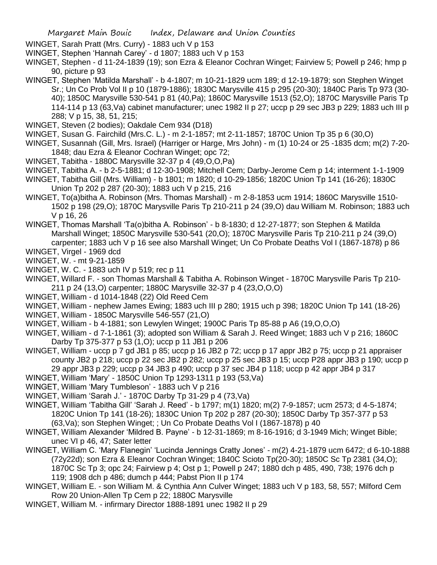WINGET, Sarah Pratt (Mrs. Curry) - 1883 uch V p 153

- WINGET, Stephen 'Hannah Carey' d 1807; 1883 uch V p 153
- WINGET, Stephen d 11-24-1839 (19); son Ezra & Eleanor Cochran Winget; Fairview 5; Powell p 246; hmp p 90, picture p 93
- WINGET, Stephen 'Matilda Marshall' b 4-1807; m 10-21-1829 ucm 189; d 12-19-1879; son Stephen Winget Sr.; Un Co Prob Vol II p 10 (1879-1886); 1830C Marysville 415 p 295 (20-30); 1840C Paris Tp 973 (30- 40); 1850C Marysville 530-541 p 81 (40,Pa); 1860C Marysville 1513 (52,O); 1870C Marysville Paris Tp 114-114 p 13 (63,Va) cabinet manufacturer; unec 1982 II p 27; uccp p 29 sec JB3 p 229; 1883 uch III p 288; V p 15, 38, 51, 215;
- WINGET, Steven (2 bodies); Oakdale Cem 934 (D18)
- WINGET, Susan G. Fairchild (Mrs.C. L.) m 2-1-1857; mt 2-11-1857; 1870C Union Tp 35 p 6 (30,O)
- WINGET, Susannah (Gill, Mrs. Israel) (Harriger or Harge, Mrs John) m (1) 10-24 or 25 -1835 dcm; m(2) 7-20- 1848; dau Ezra & Eleanor Cochran Winget; opc 72;
- WINGET, Tabitha 1880C Marysville 32-37 p 4 (49,O,O,Pa)
- WINGET, Tabitha A. b 2-5-1881; d 12-30-1908; Mitchell Cem; Darby-Jerome Cem p 14; interment 1-1-1909
- WINGET, Tabitha Gill (Mrs. William) b 1801; m 1820; d 10-29-1856; 1820C Union Tp 141 (16-26); 1830C Union Tp 202 p 287 (20-30); 1883 uch V p 215, 216
- WINGET, To(a)bitha A. Robinson (Mrs. Thomas Marshall) m 2-8-1853 ucm 1914; 1860C Marysville 1510- 1502 p 198 (29,O); 1870C Marysville Paris Tp 210-211 p 24 (39,O) dau William M. Robinson; 1883 uch V p 16, 26
- WINGET, Thomas Marshall 'Ta(o)bitha A. Robinson' b 8-1830; d 12-27-1877; son Stephen & Matilda Marshall Winget; 1850C Marysville 530-541 (20,O); 1870C Marysville Paris Tp 210-211 p 24 (39,O) carpenter; 1883 uch V p 16 see also Marshall Winget; Un Co Probate Deaths Vol I (1867-1878) p 86
- WINGET, Virgel 1969 dcd
- WINGET, W. mt 9-21-1859
- WINGET, W. C. 1883 uch IV p 519; rec p 11
- WINGET, Willard F. son Thomas Marshall & Tabitha A. Robinson Winget 1870C Marysville Paris Tp 210- 211 p 24 (13,O) carpenter; 1880C Marysville 32-37 p 4 (23,O,O,O)
- WINGET, William d 1014-1848 (22) Old Reed Cem
- WINGET, William nephew James Ewing; 1883 uch III p 280; 1915 uch p 398; 1820C Union Tp 141 (18-26)
- WINGET, William 1850C Marysville 546-557 (21,O)
- WINGET, William b 4-1881; son Lewylen Winget; 1900C Paris Tp 85-88 p A6 (19,O,O,O)
- WINGET, William d 7-1-1861 (3); adopted son William & Sarah J. Reed Winget; 1883 uch V p 216; 1860C Darby Tp 375-377 p 53 (1,O); uccp p 11 JB1 p 206
- WINGET, William uccp p 7 gd JB1 p 85; uccp p 16 JB2 p 72; uccp p 17 appr JB2 p 75; uccp p 21 appraiser county JB2 p 218; uccp p 22 sec JB2 p 282; uccp p 25 sec JB3 p 15; uccp P28 appr JB3 p 190; uccp p 29 appr JB3 p 229; uccp p 34 JB3 p 490; uccp p 37 sec JB4 p 118; uccp p 42 appr JB4 p 317
- WINGET, William 'Mary' 1850C Union Tp 1293-1311 p 193 (53,Va)
- WINGET, William 'Mary Tumbleson' 1883 uch V p 216
- WINGET, William 'Sarah J.' 1870C Darby Tp 31-29 p 4 (73,Va)
- WINGET, William 'Tabitha Gill' 'Sarah J. Reed' b 1797; m(1) 1820; m(2) 7-9-1857; ucm 2573; d 4-5-1874; 1820C Union Tp 141 (18-26); 1830C Union Tp 202 p 287 (20-30); 1850C Darby Tp 357-377 p 53 (63,Va); son Stephen Winget; ; Un Co Probate Deaths Vol I (1867-1878) p 40
- WINGET, William Alexander 'Mildred B. Payne' b 12-31-1869; m 8-16-1916; d 3-1949 Mich; Winget Bible; unec VI p 46, 47; Sater letter
- WINGET, William C. 'Mary Flanegin' 'Lucinda Jennings Cratty Jones' m(2) 4-21-1879 ucm 6472; d 6-10-1888 (72y22d); son Ezra & Eleanor Cochran Winget; 1840C Scioto Tp(20-30); 1850C Sc Tp 2381 (34,O); 1870C Sc Tp 3; opc 24; Fairview p 4; Ost p 1; Powell p 247; 1880 dch p 485, 490, 738; 1976 dch p 119; 1908 dch p 486; dumch p 444; Pabst Pion II p 174
- WINGET, William E. son William M. & Cynthia Ann Culver Winget; 1883 uch V p 183, 58, 557; Milford Cem Row 20 Union-Allen Tp Cem p 22; 1880C Marysville
- WINGET, William M. infirmary Director 1888-1891 unec 1982 II p 29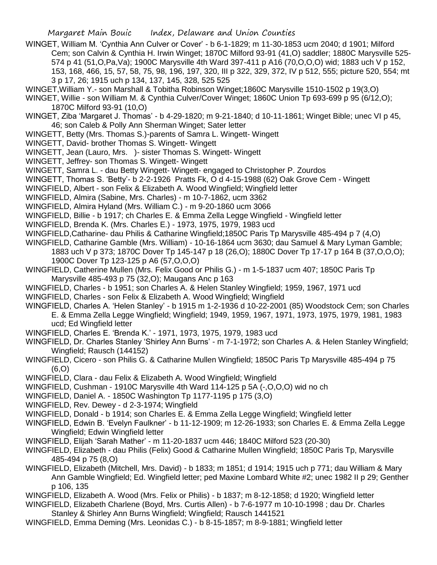- WINGET, William M. 'Cynthia Ann Culver or Cover' b 6-1-1829; m 11-30-1853 ucm 2040; d 1901; Milford Cem; son Calvin & Cynthia H. Irwin Winget; 1870C Milford 93-91 (41,O) saddler; 1880C Marysville 525- 574 p 41 (51,O,Pa,Va); 1900C Marysville 4th Ward 397-411 p A16 (70,O,O,O) wid; 1883 uch V p 152, 153, 168, 466, 15, 57, 58, 75, 98, 196, 197, 320, III p 322, 329, 372, IV p 512, 555; picture 520, 554; mt 3 p 17, 26; 1915 uch p 134, 137, 145, 328, 525 525
- WINGET,William Y.- son Marshall & Tobitha Robinson Winget;1860C Marysville 1510-1502 p 19(3,O)
- WINGET, Willie son William M. & Cynthia Culver/Cover Winget; 1860C Union Tp 693-699 p 95 (6/12,O); 1870C Milford 93-91 (10,O)
- WINGET, Ziba 'Margaret J. Thomas' b 4-29-1820; m 9-21-1840; d 10-11-1861; Winget Bible; unec VI p 45, 46; son Caleb & Polly Ann Sherman Winget; Sater letter
- WINGETT, Betty (Mrs. Thomas S.)-parents of Samra L. Wingett- Wingett
- WINGETT, David- brother Thomas S. Wingett- Wingett
- WINGETT, Jean (Lauro, Mrs. )- sister Thomas S. Wingett- Wingett
- WINGETT, Jeffrey- son Thomas S. Wingett- Wingett
- WINGETT, Samra L. dau Betty Wingett- Wingett- engaged to Christopher P. Zourdos
- WINGETT, Thomas S. 'Betty'- b 2-2-1926 Pratts Fk, O d 4-15-1988 (62) Oak Grove Cem Wingett
- WINGFIELD, Albert son Felix & Elizabeth A. Wood Wingfield; Wingfield letter
- WINGFIELD, Almira (Sabine, Mrs. Charles) m 10-7-1862, ucm 3362
- WINGFIELD, Almira Hyland (Mrs. William C.) m 9-20-1860 ucm 3066
- WINGFIELD, Billie b 1917; ch Charles E. & Emma Zella Legge Wingfield Wingfield letter
- WINGFIELD, Brenda K. (Mrs. Charles E.) 1973, 1975, 1979, 1983 ucd
- WINGFIELD,Catharine- dau Philis & Catharine Wingfield;1850C Paris Tp Marysville 485-494 p 7 (4,O)
- WINGFIELD, Catharine Gamble (Mrs. William) 10-16-1864 ucm 3630; dau Samuel & Mary Lyman Gamble; 1883 uch V p 373; 1870C Dover Tp 145-147 p 18 (26,O); 1880C Dover Tp 17-17 p 164 B (37,O,O,O); 1900C Dover Tp 123-125 p A6 (57,O,O,O)
- WINGFIELD, Catherine Mullen (Mrs. Felix Good or Philis G.) m 1-5-1837 ucm 407; 1850C Paris Tp Marysville 485-493 p 75 (32,O); Maugans Anc p 163
- WINGFIELD, Charles b 1951; son Charles A. & Helen Stanley Wingfield; 1959, 1967, 1971 ucd
- WINGFIELD, Charles son Felix & Elizabeth A. Wood Wingfield; Wingfield
- WINGFIELD, Charles A. 'Helen Stanley' b 1915 m 1-2-1936 d 10-22-2001 (85) Woodstock Cem; son Charles E. & Emma Zella Legge Wingfield; Wingfield; 1949, 1959, 1967, 1971, 1973, 1975, 1979, 1981, 1983 ucd; Ed Wingfield letter
- WINGFIELD, Charles E. 'Brenda K.' 1971, 1973, 1975, 1979, 1983 ucd
- WINGFIELD, Dr. Charles Stanley 'Shirley Ann Burns' m 7-1-1972; son Charles A. & Helen Stanley Wingfield; Wingfield; Rausch (144152)
- WINGFIELD, Cicero son Philis G. & Catharine Mullen Wingfield; 1850C Paris Tp Marysville 485-494 p 75 (6,O)
- WINGFIELD, Clara dau Felix & Elizabeth A. Wood Wingfield; Wingfield
- WINGFIELD, Cushman 1910C Marysville 4th Ward 114-125 p 5A (-,O,O,O) wid no ch
- WINGFIELD, Daniel A. 1850C Washington Tp 1177-1195 p 175 (3,O)
- WINGFIELD, Rev. Dewey d 2-3-1974; Wingfield
- WINGFIELD, Donald b 1914; son Charles E. & Emma Zella Legge Wingfield; Wingfield letter
- WINGFIELD, Edwin B. 'Evelyn Faulkner' b 11-12-1909; m 12-26-1933; son Charles E. & Emma Zella Legge Wingfield; Edwin Wingfield letter
- WINGFIELD, Elijah 'Sarah Mather' m 11-20-1837 ucm 446; 1840C Milford 523 (20-30)
- WINGFIELD, Elizabeth dau Philis (Felix) Good & Catharine Mullen Wingfield; 1850C Paris Tp, Marysville 485-494 p 75 (8,O)
- WINGFIELD, Elizabeth (Mitchell, Mrs. David) b 1833; m 1851; d 1914; 1915 uch p 771; dau William & Mary Ann Gamble Wingfield; Ed. Wingfield letter; ped Maxine Lombard White #2; unec 1982 II p 29; Genther p 106, 135
- WINGFIELD, Elizabeth A. Wood (Mrs. Felix or Philis) b 1837; m 8-12-1858; d 1920; Wingfield letter

WINGFIELD, Elizabeth Charlene (Boyd, Mrs. Curtis Allen) - b 7-6-1977 m 10-10-1998 ; dau Dr. Charles Stanley & Shirley Ann Burns Wingfield; Wingfield; Rausch 1441521

WINGFIELD, Emma Deming (Mrs. Leonidas C.) - b 8-15-1857; m 8-9-1881; Wingfield letter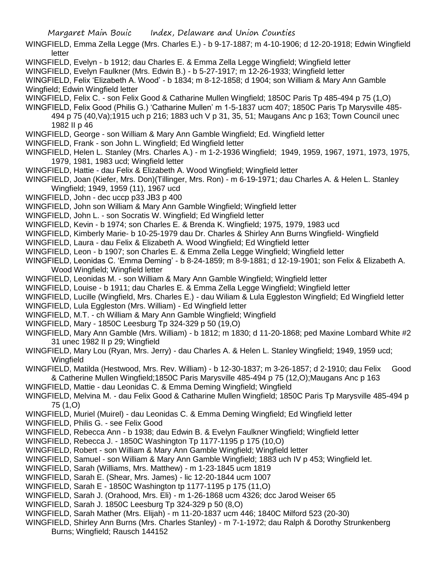- WINGFIELD, Emma Zella Legge (Mrs. Charles E.) b 9-17-1887; m 4-10-1906; d 12-20-1918; Edwin Wingfield letter
- WINGFIELD, Evelyn b 1912; dau Charles E. & Emma Zella Legge Wingfield; Wingfield letter
- WINGFIELD, Evelyn Faulkner (Mrs. Edwin B.) b 5-27-1917; m 12-26-1933; Wingfield letter

WINGFIELD, Felix 'Elizabeth A. Wood' - b 1834; m 8-12-1858; d 1904; son William & Mary Ann Gamble Wingfield; Edwin Wingfield letter

- WINGFIELD, Felix C. son Felix Good & Catharine Mullen Wingfield; 1850C Paris Tp 485-494 p 75 (1,O)
- WINGFIELD, Felix Good (Philis G.) 'Catharine Mullen' m 1-5-1837 ucm 407; 1850C Paris Tp Marysville 485- 494 p 75 (40,Va);1915 uch p 216; 1883 uch V p 31, 35, 51; Maugans Anc p 163; Town Council unec 1982 II p 46
- WINGFIELD, George son William & Mary Ann Gamble Wingfield; Ed. Wingfield letter
- WINGFIELD, Frank son John L. Wingfield; Ed Wingfield letter
- WINGFIELD, Helen L. Stanley (Mrs. Charles A.) m 1-2-1936 Wingfield; 1949, 1959, 1967, 1971, 1973, 1975, 1979, 1981, 1983 ucd; Wingfield letter
- WINGFIELD, Hattie dau Felix & Elizabeth A. Wood Wingfield; Wingfield letter
- WINGFIELD, Joan (Kiefer, Mrs. Don)(Tillinger, Mrs. Ron) m 6-19-1971; dau Charles A. & Helen L. Stanley Wingfield; 1949, 1959 (11), 1967 ucd
- WINGFIELD, John dec uccp p33 JB3 p 400
- WINGFIELD, John son William & Mary Ann Gamble Wingfield; Wingfield letter
- WINGFIELD, John L. son Socratis W. Wingfield; Ed Wingfield letter
- WINGFIELD, Kevin b 1974; son Charles E. & Brenda K. Wingfield; 1975, 1979, 1983 ucd
- WINGFIELD, Kimberly Marie- b 10-25-1979 dau Dr. Charles & Shirley Ann Burns Wingfield- Wingfield
- WINGFIELD, Laura dau Felix & Elizabeth A. Wood Wingfield; Ed Wingfield letter
- WINGFIELD, Leon b 1907; son Charles E. & Emma Zella Legge Wingfield; Wingfield letter
- WINGFIELD, Leonidas C. 'Emma Deming' b 8-24-1859; m 8-9-1881; d 12-19-1901; son Felix & Elizabeth A. Wood Wingfield; Wingfield letter
- WINGFIELD, Leonidas M. son William & Mary Ann Gamble Wingfield; Wingfield letter
- WINGFIELD, Louise b 1911; dau Charles E. & Emma Zella Legge Wingfield; Wingfield letter
- WINGFIELD, Lucille (Wingfield, Mrs. Charles E.) dau Wiliam & Lula Eggleston Wingfield; Ed Wingfield letter
- WINGFIELD, Lula Eggleston (Mrs. William) Ed Wingfield letter
- WINGFIELD, M.T. ch William & Mary Ann Gamble Wingfield; Wingfield
- WINGFIELD, Mary 1850C Leesburg Tp 324-329 p 50 (19,O)
- WINGFIELD, Mary Ann Gamble (Mrs. William) b 1812; m 1830; d 11-20-1868; ped Maxine Lombard White #2 31 unec 1982 II p 29; Wingfield
- WINGFIELD, Mary Lou (Ryan, Mrs. Jerry) dau Charles A. & Helen L. Stanley Wingfield; 1949, 1959 ucd; **Wingfield**
- WINGFIELD, Matilda (Hestwood, Mrs. Rev. William) b 12-30-1837; m 3-26-1857; d 2-1910; dau Felix Good & Catherine Mullen Wingfield;1850C Paris Marysville 485-494 p 75 (12,O);Maugans Anc p 163
- WINGFIELD, Mattie dau Leonidas C. & Emma Deming Wingfield; Wingfield
- WINGFIELD, Melvina M. dau Felix Good & Catharine Mullen Wingfield; 1850C Paris Tp Marysville 485-494 p 75 (1,O)
- WINGFIELD, Muriel (Muirel) dau Leonidas C. & Emma Deming Wingfield; Ed Wingfield letter
- WINGFIELD, Philis G. see Felix Good
- WINGFIELD, Rebecca Ann b 1938; dau Edwin B. & Evelyn Faulkner Wingfield; Wingfield letter
- WINGFIELD, Rebecca J. 1850C Washington Tp 1177-1195 p 175 (10,O)
- WINGFIELD, Robert son William & Mary Ann Gamble Wingfield; Wingfield letter
- WINGFIELD, Samuel son William & Mary Ann Gamble Wingfield; 1883 uch IV p 453; Wingfield let.
- WINGFIELD, Sarah (Williams, Mrs. Matthew) m 1-23-1845 ucm 1819
- WINGFIELD, Sarah E. (Shear, Mrs. James) lic 12-20-1844 ucm 1007
- WINGFIELD, Sarah E 1850C Washington tp 1177-1195 p 175 (11,O)
- WINGFIELD, Sarah J. (Orahood, Mrs. Eli) m 1-26-1868 ucm 4326; dcc Jarod Weiser 65
- WINGFIELD, Sarah J. 1850C Leesburg Tp 324-329 p 50 (8,O)
- WINGFIELD, Sarah Mather (Mrs. Elijah) m 11-20-1837 ucm 446; 1840C Milford 523 (20-30)
- WINGFIELD, Shirley Ann Burns (Mrs. Charles Stanley) m 7-1-1972; dau Ralph & Dorothy Strunkenberg Burns; Wingfield; Rausch 144152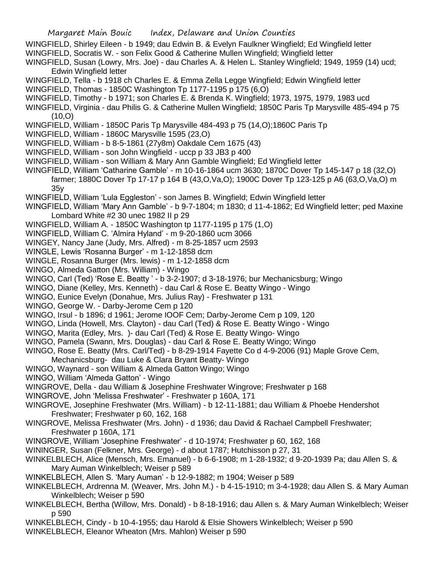- WINGFIELD, Shirley Eileen b 1949; dau Edwin B. & Evelyn Faulkner Wingfield; Ed Wingfield letter
- WINGFIELD, Socratis W. son Felix Good & Catherine Mullen Wingfield; Wingfield letter
- WINGFIELD, Susan (Lowry, Mrs. Joe) dau Charles A. & Helen L. Stanley Wingfield; 1949, 1959 (14) ucd; Edwin Wingfield letter
- WINGFIELD, Tella b 1918 ch Charles E. & Emma Zella Legge Wingfield; Edwin Wingfield letter
- WINGFIELD, Thomas 1850C Washington Tp 1177-1195 p 175 (6,O)
- WINGFIELD, Timothy b 1971; son Charles E. & Brenda K. Wingfield; 1973, 1975, 1979, 1983 ucd
- WINGFIELD, Virginia dau Philis G. & Catherine Mullen Wingfield; 1850C Paris Tp Marysville 485-494 p 75 (10,O)
- WINGFIELD, William 1850C Paris Tp Marysville 484-493 p 75 (14,O);1860C Paris Tp
- WINGFIELD, William 1860C Marysville 1595 (23,O)
- WINGFIELD, William b 8-5-1861 (27y8m) Oakdale Cem 1675 (43)
- WINGFIELD, William son John Wingfield uccp p 33 JB3 p 400
- WINGFIELD, William son William & Mary Ann Gamble Wingfield; Ed Wingfield letter
- WINGFIELD, William 'Catharine Gamble' m 10-16-1864 ucm 3630; 1870C Dover Tp 145-147 p 18 (32,O) farmer; 1880C Dover Tp 17-17 p 164 B (43,O,Va,O); 1900C Dover Tp 123-125 p A6 (63,O,Va,O) m 35y
- WINGFIELD, William 'Lula Eggleston' son James B. Wingfield; Edwin Wingfield letter
- WINGFIELD, William 'Mary Ann Gamble' b 9-7-1804; m 1830; d 11-4-1862; Ed Wingfield letter; ped Maxine Lombard White #2 30 unec 1982 II p 29
- WINGFIELD, William A. 1850C Washington tp 1177-1195 p 175 (1,O)
- WINGFIELD, William C. 'Almira Hyland' m 9-20-1860 ucm 3066
- WINGEY, Nancy Jane (Judy, Mrs. Alfred) m 8-25-1857 ucm 2593
- WINGLE, Lewis 'Rosanna Burger' m 1-12-1858 dcm
- WINGLE, Rosanna Burger (Mrs. lewis) m 1-12-1858 dcm
- WINGO, Almeda Gatton (Mrs. William) Wingo
- WINGO, Carl (Ted) 'Rose E. Beatty ' b 3-2-1907; d 3-18-1976; bur Mechanicsburg; Wingo
- WINGO, Diane (Kelley, Mrs. Kenneth) dau Carl & Rose E. Beatty Wingo Wingo
- WINGO, Eunice Evelyn (Donahue, Mrs. Julius Ray) Freshwater p 131
- WINGO, George W. Darby-Jerome Cem p 120
- WINGO, Irsul b 1896; d 1961; Jerome IOOF Cem; Darby-Jerome Cem p 109, 120
- WINGO, Linda (Howell, Mrs. Clayton) dau Carl (Ted) & Rose E. Beatty Wingo Wingo
- WINGO, Marita (Edley, Mrs. )- dau Carl (Ted) & Rose E. Beatty Wingo- Wingo
- WINGO, Pamela (Swann, Mrs. Douglas) dau Carl & Rose E. Beatty Wingo; Wingo
- WINGO, Rose E. Beatty (Mrs. Carl/Ted) b 8-29-1914 Fayette Co d 4-9-2006 (91) Maple Grove Cem,
- Mechanicsburg- dau Luke & Clara Bryant Beatty- Wingo
- WINGO, Waynard son William & Almeda Gatton Wingo; Wingo
- WINGO, William 'Almeda Gatton' Wingo
- WINGROVE, Della dau William & Josephine Freshwater Wingrove; Freshwater p 168
- WINGROVE, John 'Melissa Freshwater' Freshwater p 160A, 171
- WINGROVE, Josephine Freshwater (Mrs. William) b 12-11-1881; dau William & Phoebe Hendershot Freshwater; Freshwater p 60, 162, 168
- WINGROVE, Melissa Freshwater (Mrs. John) d 1936; dau David & Rachael Campbell Freshwater; Freshwater p 160A, 171
- WINGROVE, William 'Josephine Freshwater' d 10-1974; Freshwater p 60, 162, 168
- WININGER, Susan (Felkner, Mrs. George) d about 1787; Hutchisson p 27, 31
- WINKELBLECH, Alice (Mensch, Mrs. Emanuel) b 6-6-1908; m 1-28-1932; d 9-20-1939 Pa; dau Allen S. & Mary Auman Winkelblech; Weiser p 589
- WINKELBLECH, Allen S. 'Mary Auman' b 12-9-1882; m 1904; Weiser p 589
- WINKELBLECH, Ardrenna M. (Weaver, Mrs. John M.) b 4-15-1910; m 3-4-1928; dau Allen S. & Mary Auman Winkelblech; Weiser p 590
- WINKELBLECH, Bertha (Willow, Mrs. Donald) b 8-18-1916; dau Allen s. & Mary Auman Winkelblech; Weiser p 590
- WINKELBLECH, Cindy b 10-4-1955; dau Harold & Elsie Showers Winkelblech; Weiser p 590
- WINKELBLECH, Eleanor Wheaton (Mrs. Mahlon) Weiser p 590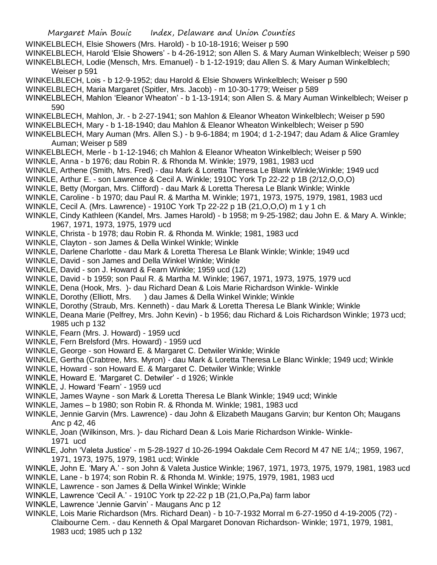- Margaret Main Bouic Index, Delaware and Union Counties
- WINKELBLECH, Elsie Showers (Mrs. Harold) b 10-18-1916; Weiser p 590
- WINKELBLECH, Harold 'Elsie Showers' b 4-26-1912; son Allen S. & Mary Auman Winkelblech; Weiser p 590 WINKELBLECH, Lodie (Mensch, Mrs. Emanuel) - b 1-12-1919; dau Allen S. & Mary Auman Winkelblech;

Weiser p 591

- WINKELBLECH, Lois b 12-9-1952; dau Harold & Elsie Showers Winkelblech; Weiser p 590
- WINKELBLECH, Maria Margaret (Spitler, Mrs. Jacob) m 10-30-1779; Weiser p 589
- WINKELBLECH, Mahlon 'Eleanor Wheaton' b 1-13-1914; son Allen S. & Mary Auman Winkelblech; Weiser p 590
- WINKELBLECH, Mahlon, Jr. b 2-27-1941; son Mahlon & Eleanor Wheaton Winkelblech; Weiser p 590
- WINKELBLECH, Mary b 1-18-1940; dau Mahlon & Eleanor Wheaton Winkelblech; Weiser p 590
- WINKELBLECH, Mary Auman (Mrs. Allen S.) b 9-6-1884; m 1904; d 1-2-1947; dau Adam & Alice Gramley Auman; Weiser p 589
- WINKELBLECH, Merle b 1-12-1946; ch Mahlon & Eleanor Wheaton Winkelblech; Weiser p 590
- WINKLE, Anna b 1976; dau Robin R. & Rhonda M. Winkle; 1979, 1981, 1983 ucd
- WINKLE, Arthene (Smith, Mrs. Fred) dau Mark & Loretta Theresa Le Blank Winkle;Winkle; 1949 ucd
- WINKLE, Arthur E. son Lawrence & Cecil A. Winkle; 1910C York Tp 22-22 p 1B (2/12,O,O,O)
- WINKLE, Betty (Morgan, Mrs. Clifford) dau Mark & Loretta Theresa Le Blank Winkle; Winkle
- WINKLE, Caroline b 1970; dau Paul R. & Martha M. Winkle; 1971, 1973, 1975, 1979, 1981, 1983 ucd
- WINKLE, Cecil A. (Mrs. Lawrence) 1910C York Tp 22-22 p 1B (21,O,O,O) m 1 y 1 ch
- WINKLE, Cindy Kathleen (Kandel, Mrs. James Harold) b 1958; m 9-25-1982; dau John E. & Mary A. Winkle; 1967, 1971, 1973, 1975, 1979 ucd
- WINKLE, Christa b 1978; dau Robin R. & Rhonda M. Winkle; 1981, 1983 ucd
- WINKLE, Clayton son James & Della Winkel Winkle; Winkle
- WINKLE, Darlene Charlotte dau Mark & Loretta Theresa Le Blank Winkle; Winkle; 1949 ucd
- WINKLE, David son James and Della Winkel Winkle; Winkle
- WINKLE, David son J. Howard & Fearn Winkle; 1959 ucd (12)
- WINKLE, David b 1959; son Paul R. & Martha M. Winkle; 1967, 1971, 1973, 1975, 1979 ucd
- WINKLE, Dena (Hook, Mrs. )- dau Richard Dean & Lois Marie Richardson Winkle- Winkle
- WINKLE, Dorothy (Elliott, Mrs. ) dau James & Della Winkel Winkle; Winkle
- WINKLE, Dorothy (Straub, Mrs. Kenneth) dau Mark & Loretta Theresa Le Blank Winkle; Winkle
- WINKLE, Deana Marie (Pelfrey, Mrs. John Kevin) b 1956; dau Richard & Lois Richardson Winkle; 1973 ucd; 1985 uch p 132
- WINKLE, Fearn (Mrs. J. Howard) 1959 ucd
- WINKLE, Fern Brelsford (Mrs. Howard) 1959 ucd
- WINKLE, George son Howard E. & Margaret C. Detwiler Winkle; Winkle
- WINKLE, Gertha (Crabtree, Mrs. Myron) dau Mark & Loretta Theresa Le Blanc Winkle; 1949 ucd; Winkle
- WINKLE, Howard son Howard E. & Margaret C. Detwiler Winkle; Winkle
- WINKLE, Howard E. 'Margaret C. Detwiler' d 1926; Winkle
- WINKLE, J. Howard 'Fearn' 1959 ucd
- WINKLE, James Wayne son Mark & Loretta Theresa Le Blank Winkle; 1949 ucd; Winkle
- WINKLE, James b 1980; son Robin R. & Rhonda M. Winkle; 1981, 1983 ucd
- WINKLE, Jennie Garvin (Mrs. Lawrence) dau John & Elizabeth Maugans Garvin; bur Kenton Oh; Maugans Anc p 42, 46
- WINKLE, Joan (Wilkinson, Mrs. )- dau Richard Dean & Lois Marie Richardson Winkle- Winkle-1971 ucd
- WINKLE, John 'Valeta Justice' m 5-28-1927 d 10-26-1994 Oakdale Cem Record M 47 NE 1/4;; 1959, 1967, 1971, 1973, 1975, 1979, 1981 ucd; Winkle
- WINKLE, John E. 'Mary A.' son John & Valeta Justice Winkle; 1967, 1971, 1973, 1975, 1979, 1981, 1983 ucd WINKLE, Lane - b 1974; son Robin R. & Rhonda M. Winkle; 1975, 1979, 1981, 1983 ucd
- WINKLE, Lawrence son James & Della Winkel Winkle; Winkle
- WINKLE, Lawrence 'Cecil A.' 1910C York tp 22-22 p 1B (21,O,Pa,Pa) farm labor
- WINKLE, Lawrence 'Jennie Garvin' Maugans Anc p 12
- WINKLE, Lois Marie Richardson (Mrs. Richard Dean) b 10-7-1932 Morral m 6-27-1950 d 4-19-2005 (72) Claibourne Cem. - dau Kenneth & Opal Margaret Donovan Richardson- Winkle; 1971, 1979, 1981, 1983 ucd; 1985 uch p 132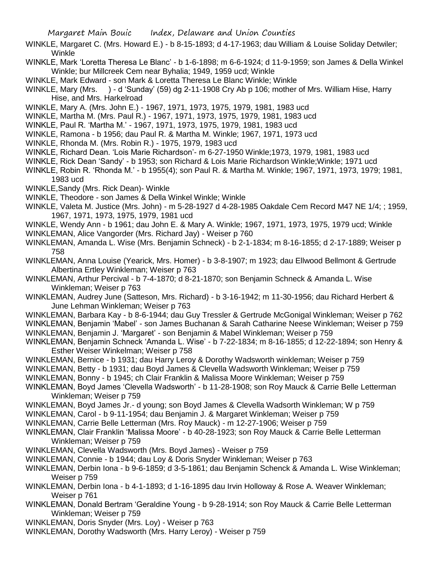- WINKLE, Margaret C. (Mrs. Howard E.) b 8-15-1893; d 4-17-1963; dau William & Louise Soliday Detwiler; Winkle
- WINKLE, Mark 'Loretta Theresa Le Blanc' b 1-6-1898; m 6-6-1924; d 11-9-1959; son James & Della Winkel Winkle; bur Millcreek Cem near Byhalia; 1949, 1959 ucd; Winkle
- WINKLE, Mark Edward son Mark & Loretta Theresa Le Blanc Winkle; Winkle
- WINKLE, Mary (Mrs. ) d 'Sunday' (59) dg 2-11-1908 Cry Ab p 106; mother of Mrs. William Hise, Harry Hise, and Mrs. Harkelroad
- WINKLE, Mary A. (Mrs. John E.) 1967, 1971, 1973, 1975, 1979, 1981, 1983 ucd
- WINKLE, Martha M. (Mrs. Paul R.) 1967, 1971, 1973, 1975, 1979, 1981, 1983 ucd
- WINKLE, Paul R. 'Martha M.' 1967, 1971, 1973, 1975, 1979, 1981, 1983 ucd
- WINKLE, Ramona b 1956; dau Paul R. & Martha M. Winkle; 1967, 1971, 1973 ucd
- WINKLE, Rhonda M. (Mrs. Robin R.) 1975, 1979, 1983 ucd
- WINKLE, Richard Dean. 'Lois Marie Richardson'- m 6-27-1950 Winkle;1973, 1979, 1981, 1983 ucd
- WINKLE, Rick Dean 'Sandy' b 1953; son Richard & Lois Marie Richardson Winkle;Winkle; 1971 ucd
- WINKLE, Robin R. 'Rhonda M.' b 1955(4); son Paul R. & Martha M. Winkle; 1967, 1971, 1973, 1979; 1981, 1983 ucd
- WINKLE,Sandy (Mrs. Rick Dean)- Winkle
- WINKLE, Theodore son James & Della Winkel Winkle; Winkle
- WINKLE, Valeta M. Justice (Mrs. John) m 5-28-1927 d 4-28-1985 Oakdale Cem Record M47 NE 1/4; ; 1959, 1967, 1971, 1973, 1975, 1979, 1981 ucd
- WINKLE, Wendy Ann b 1961; dau John E. & Mary A. Winkle; 1967, 1971, 1973, 1975, 1979 ucd; Winkle
- WINKLEMAN, Alice Vangorder (Mrs. Richard Jay) Weiser p 760
- WINKLEMAN, Amanda L. Wise (Mrs. Benjamin Schneck) b 2-1-1834; m 8-16-1855; d 2-17-1889; Weiser p 758
- WINKLEMAN, Anna Louise (Yearick, Mrs. Homer) b 3-8-1907; m 1923; dau Ellwood Bellmont & Gertrude Albertina Ertley Winkleman; Weiser p 763
- WINKLEMAN, Arthur Percival b 7-4-1870; d 8-21-1870; son Benjamin Schneck & Amanda L. Wise Winkleman; Weiser p 763
- WINKLEMAN, Audrey June (Satteson, Mrs. Richard) b 3-16-1942; m 11-30-1956; dau Richard Herbert & June Lehman Winkleman; Weiser p 763
- WINKLEMAN, Barbara Kay b 8-6-1944; dau Guy Tressler & Gertrude McGonigal Winkleman; Weiser p 762
- WINKLEMAN, Benjamin 'Mabel' son James Buchanan & Sarah Catharine Neese Winkleman; Weiser p 759
- WINKLEMAN, Benjamin J. 'Margaret' son Benjamin & Mabel Winkleman; Weiser p 759
- WINKLEMAN, Benjamin Schneck 'Amanda L. Wise' b 7-22-1834; m 8-16-1855; d 12-22-1894; son Henry & Esther Weiser Winkelman; Weiser p 758
- WINKLEMAN, Bernice b 1931; dau Harry Leroy & Dorothy Wadsworth winkleman; Weiser p 759
- WINKLEMAN, Betty b 1931; dau Boyd James & Clevella Wadsworth Winkleman; Weiser p 759
- WINKLEMAN, Bonny b 1945; ch Clair Franklin & Malissa Moore Winkleman; Weiser p 759
- WINKLEMAN, Boyd James 'Clevella Wadsworth' b 11-28-1908; son Roy Mauck & Carrie Belle Letterman Winkleman; Weiser p 759
- WINKLEMAN, Boyd James Jr.- d young; son Boyd James & Clevella Wadsorth Winkleman; W p 759
- WINKLEMAN, Carol b 9-11-1954; dau Benjamin J. & Margaret Winkleman; Weiser p 759
- WINKLEMAN, Carrie Belle Letterman (Mrs. Roy Mauck) m 12-27-1906; Weiser p 759
- WINKLEMAN, Clair Franklin 'Malissa Moore' b 40-28-1923; son Roy Mauck & Carrie Belle Letterman Winkleman; Weiser p 759
- WINKLEMAN, Clevella Wadsworth (Mrs. Boyd James) Weiser p 759
- WINKLEMAN, Connie b 1944; dau Loy & Doris Snyder Winkleman; Weiser p 763
- WINKLEMAN, Derbin Iona b 9-6-1859; d 3-5-1861; dau Benjamin Schenck & Amanda L. Wise Winkleman; Weiser p 759
- WINKLEMAN, Derbin Iona b 4-1-1893; d 1-16-1895 dau Irvin Holloway & Rose A. Weaver Winkleman; Weiser p 761
- WINKLEMAN, Donald Bertram 'Geraldine Young b 9-28-1914; son Roy Mauck & Carrie Belle Letterman Winkleman; Weiser p 759
- WINKLEMAN, Doris Snyder (Mrs. Loy) Weiser p 763
- WINKLEMAN, Dorothy Wadsworth (Mrs. Harry Leroy) Weiser p 759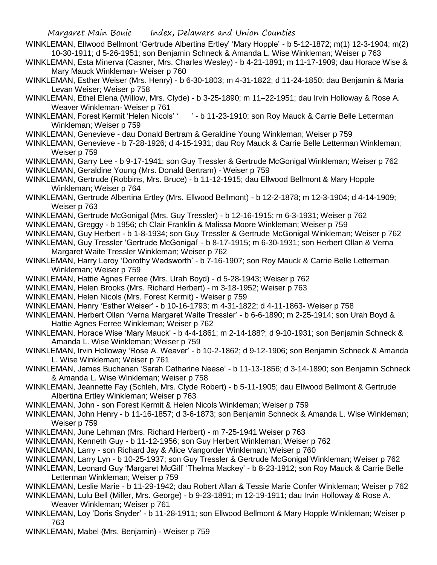- WINKLEMAN, Ellwood Bellmont 'Gertrude Albertina Ertley' 'Mary Hopple' b 5-12-1872; m(1) 12-3-1904; m(2) 10-30-1911; d 5-26-1951; son Benjamin Schneck & Amanda L. Wise Winkleman; Weiser p 763
- WINKLEMAN, Esta Minerva (Casner, Mrs. Charles Wesley) b 4-21-1891; m 11-17-1909; dau Horace Wise & Mary Mauck Winkleman- Weiser p 760
- WINKLEMAN, Esther Weiser (Mrs. Henry) b 6-30-1803; m 4-31-1822; d 11-24-1850; dau Benjamin & Maria Levan Weiser; Weiser p 758
- WINKLEMAN, Ethel Elena (Willow, Mrs. Clyde) b 3-25-1890; m 11–22-1951; dau Irvin Holloway & Rose A. Weaver Winkleman- Weiser p 761
- WINKLEMAN, Forest Kermit 'Helen Nicols' ' ' b 11-23-1910; son Roy Mauck & Carrie Belle Letterman Winkleman; Weiser p 759
- WINKLEMAN, Genevieve dau Donald Bertram & Geraldine Young Winkleman; Weiser p 759
- WINKLEMAN, Genevieve b 7-28-1926; d 4-15-1931; dau Roy Mauck & Carrie Belle Letterman Winkleman; Weiser p 759
- WINKLEMAN, Garry Lee b 9-17-1941; son Guy Tressler & Gertrude McGonigal Winkleman; Weiser p 762
- WINKLEMAN, Geraldine Young (Mrs. Donald Bertram) Weiser p 759
- WINKLEMAN, Gertrude (Robbins, Mrs. Bruce) b 11-12-1915; dau Ellwood Bellmont & Mary Hopple Winkleman; Weiser p 764
- WINKLEMAN, Gertrude Albertina Ertley (Mrs. Ellwood Bellmont) b 12-2-1878; m 12-3-1904; d 4-14-1909; Weiser p 763
- WINKLEMAN, Gertrude McGonigal (Mrs. Guy Tressler) b 12-16-1915; m 6-3-1931; Weiser p 762
- WINKLEMAN, Greggy b 1956; ch Clair Franklin & Malissa Moore Winkleman; Weiser p 759
- WINKLEMAN, Guy Herbert b 1-8-1934; son Guy Tressler & Gertrude McGonigal Winkleman; Weiser p 762
- WINKLEMAN, Guy Tressler 'Gertrude McGonigal' b 8-17-1915; m 6-30-1931; son Herbert Ollan & Verna Margaret Waite Tressler Winkleman; Weiser p 762
- WINKLEMAN, Harry Leroy 'Dorothy Wadsworth' b 7-16-1907; son Roy Mauck & Carrie Belle Letterman Winkleman; Weiser p 759
- WINKLEMAN, Hattie Agnes Ferree (Mrs. Urah Boyd) d 5-28-1943; Weiser p 762
- WINKLEMAN, Helen Brooks (Mrs. Richard Herbert) m 3-18-1952; Weiser p 763
- WINKLEMAN, Helen Nicols (Mrs. Forest Kermit) Weiser p 759
- WINKLEMAN, Henry 'Esther Weiser' b 10-16-1793; m 4-31-1822; d 4-11-1863- Weiser p 758
- WINKLEMAN, Herbert Ollan 'Verna Margaret Waite Tressler' b 6-6-1890; m 2-25-1914; son Urah Boyd & Hattie Agnes Ferree Winkleman; Weiser p 762
- WINKLEMAN, Horace Wise 'Mary Mauck' b 4-4-1861; m 2-14-188?; d 9-10-1931; son Benjamin Schneck & Amanda L. Wise Winkleman; Weiser p 759
- WINKLEMAN, Irvin Holloway 'Rose A. Weaver' b 10-2-1862; d 9-12-1906; son Benjamin Schneck & Amanda L. Wise Winkleman; Weiser p 761
- WINKLEMAN, James Buchanan 'Sarah Catharine Neese' b 11-13-1856; d 3-14-1890; son Benjamin Schneck & Amanda L. Wise Winkleman; Weiser p 758
- WINKLEMAN, Jeannette Fay (Schleh, Mrs. Clyde Robert) b 5-11-1905; dau Ellwood Bellmont & Gertrude Albertina Ertley Winkleman; Weiser p 763
- WINKLEMAN, John son Forest Kermit & Helen Nicols Winkleman; Weiser p 759
- WINKLEMAN, John Henry b 11-16-1857; d 3-6-1873; son Benjamin Schneck & Amanda L. Wise Winkleman; Weiser p 759
- WINKLEMAN, June Lehman (Mrs. Richard Herbert) m 7-25-1941 Weiser p 763
- WINKLEMAN, Kenneth Guy b 11-12-1956; son Guy Herbert Winkleman; Weiser p 762
- WINKLEMAN, Larry son Richard Jay & Alice Vangorder Winkleman; Weiser p 760
- WINKLEMAN, Larry Lyn b 10-25-1937; son Guy Tressler & Gertrude McGonigal Winkleman; Weiser p 762
- WINKLEMAN, Leonard Guy 'Margaret McGill' 'Thelma Mackey' b 8-23-1912; son Roy Mauck & Carrie Belle Letterman Winkleman; Weiser p 759
- WINKLEMAN, Leslie Marie b 11-29-1942; dau Robert Allan & Tessie Marie Confer Winkleman; Weiser p 762
- WINKLEMAN, Lulu Bell (Miller, Mrs. George) b 9-23-1891; m 12-19-1911; dau Irvin Holloway & Rose A. Weaver Winkleman: Weiser p 761
- WINKLEMAN, Loy 'Doris Snyder' b 11-28-1911; son Ellwood Bellmont & Mary Hopple Winkleman; Weiser p 763
- WINKLEMAN, Mabel (Mrs. Benjamin) Weiser p 759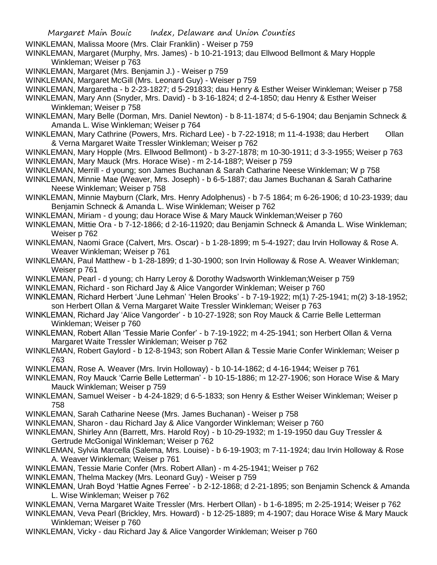- WINKLEMAN, Malissa Moore (Mrs. Clair Franklin) Weiser p 759
- WINKLEMAN, Margaret (Murphy, Mrs. James) b 10-21-1913; dau Ellwood Bellmont & Mary Hopple Winkleman; Weiser p 763
- WINKLEMAN, Margaret (Mrs. Benjamin J.) Weiser p 759
- WINKLEMAN, Margaret McGill (Mrs. Leonard Guy) Weiser p 759
- WINKLEMAN, Margaretha b 2-23-1827; d 5-291833; dau Henry & Esther Weiser Winkleman; Weiser p 758
- WINKLEMAN, Mary Ann (Snyder, Mrs. David) b 3-16-1824; d 2-4-1850; dau Henry & Esther Weiser Winkleman; Weiser p 758
- WINKLEMAN, Mary Belle (Dorman, Mrs. Daniel Newton) b 8-11-1874; d 5-6-1904; dau Benjamin Schneck & Amanda L. Wise Winkleman; Weiser p 764
- WINKLEMAN, Mary Cathrine (Powers, Mrs. Richard Lee) b 7-22-1918; m 11-4-1938; dau Herbert Ollan & Verna Margaret Waite Tressler Winkleman; Weiser p 762
- WINKLEMAN, Mary Hopple (Mrs. Ellwood Bellmont) b 3-27-1878; m 10-30-1911; d 3-3-1955; Weiser p 763
- WINKLEMAN, Mary Mauck (Mrs. Horace Wise) m 2-14-188?; Weiser p 759
- WINKLEMAN, Merrill d young; son James Buchanan & Sarah Catharine Neese Winkleman; W p 758
- WINKLEMAN, Minnie Mae (Weaver, Mrs. Joseph) b 6-5-1887; dau James Buchanan & Sarah Catharine Neese Winkleman; Weiser p 758
- WINKLEMAN, Minnie Mayburn (Clark, Mrs. Henry Adolphenus) b 7-5 1864; m 6-26-1906; d 10-23-1939; dau Benjamin Schneck & Amanda L. Wise Winkleman; Weiser p 762
- WINKLEMAN, Miriam d young; dau Horace Wise & Mary Mauck Winkleman;Weiser p 760
- WINKLEMAN, Mittie Ora b 7-12-1866; d 2-16-11920; dau Benjamin Schneck & Amanda L. Wise Winkleman; Weiser p 762
- WINKLEMAN, Naomi Grace (Calvert, Mrs. Oscar) b 1-28-1899; m 5-4-1927; dau Irvin Holloway & Rose A. Weaver Winkleman; Weiser p 761
- WINKLEMAN, Paul Matthew b 1-28-1899; d 1-30-1900; son Irvin Holloway & Rose A. Weaver Winkleman; Weiser p 761
- WINKLEMAN, Pearl d young; ch Harry Leroy & Dorothy Wadsworth Winkleman;Weiser p 759
- WINKLEMAN, Richard son Richard Jay & Alice Vangorder Winkleman; Weiser p 760
- WINKLEMAN, Richard Herbert 'June Lehman' 'Helen Brooks' b 7-19-1922; m(1) 7-25-1941; m(2) 3-18-1952; son Herbert Ollan & Verna Margaret Waite Tressler Winkleman; Weiser p 763
- WINKLEMAN, Richard Jay 'Alice Vangorder' b 10-27-1928; son Roy Mauck & Carrie Belle Letterman Winkleman; Weiser p 760
- WINKLEMAN, Robert Allan 'Tessie Marie Confer' b 7-19-1922; m 4-25-1941; son Herbert Ollan & Verna Margaret Waite Tressler Winkleman; Weiser p 762
- WINKLEMAN, Robert Gaylord b 12-8-1943; son Robert Allan & Tessie Marie Confer Winkleman; Weiser p 763
- WINKLEMAN, Rose A. Weaver (Mrs. Irvin Holloway) b 10-14-1862; d 4-16-1944; Weiser p 761
- WINKLEMAN, Roy Mauck 'Carrie Belle Letterman' b 10-15-1886; m 12-27-1906; son Horace Wise & Mary Mauck Winkleman; Weiser p 759
- WINKLEMAN, Samuel Weiser b 4-24-1829; d 6-5-1833; son Henry & Esther Weiser Winkleman; Weiser p 758
- WINKLEMAN, Sarah Catharine Neese (Mrs. James Buchanan) Weiser p 758
- WINKLEMAN, Sharon dau Richard Jay & Alice Vangorder Winkleman; Weiser p 760
- WINKLEMAN, Shirley Ann (Barrett, Mrs. Harold Roy) b 10-29-1932; m 1-19-1950 dau Guy Tressler & Gertrude McGonigal Winkleman; Weiser p 762
- WINKLEMAN, Sylvia Marcella (Salema, Mrs. Louise) b 6-19-1903; m 7-11-1924; dau Irvin Holloway & Rose A. Weaver Winkleman; Weiser p 761
- WINKLEMAN, Tessie Marie Confer (Mrs. Robert Allan) m 4-25-1941; Weiser p 762
- WINKLEMAN, Thelma Mackey (Mrs. Leonard Guy) Weiser p 759
- WINKLEMAN, Urah Boyd 'Hattie Agnes Ferree' b 2-12-1868; d 2-21-1895; son Benjamin Schenck & Amanda L. Wise Winkleman; Weiser p 762
- WINKLEMAN, Verna Margaret Waite Tressler (Mrs. Herbert Ollan) b 1-6-1895; m 2-25-1914; Weiser p 762
- WINKLEMAN, Veva Pearl (Brickley, Mrs. Howard) b 12-25-1889; m 4-1907; dau Horace Wise & Mary Mauck Winkleman; Weiser p 760
- WINKLEMAN, Vicky dau Richard Jay & Alice Vangorder Winkleman; Weiser p 760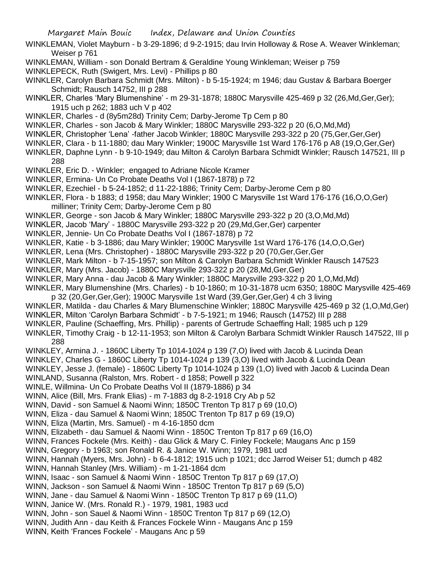WINKLEMAN, Violet Mayburn - b 3-29-1896; d 9-2-1915; dau Irvin Holloway & Rose A. Weaver Winkleman; Weiser p 761

WINKLEMAN, William - son Donald Bertram & Geraldine Young Winkleman; Weiser p 759

WINKLEPECK, Ruth (Swigert, Mrs. Levi) - Phillips p 80

- WINKLER, Carolyn Barbara Schmidt (Mrs. Milton) b 5-15-1924; m 1946; dau Gustav & Barbara Boerger Schmidt; Rausch 14752, III p 288
- WINKLER, Charles 'Mary Blumenshine' m 29-31-1878; 1880C Marysville 425-469 p 32 (26,Md,Ger,Ger); 1915 uch p 262; 1883 uch V p 402
- WINKLER, Charles d (8y5m28d) Trinity Cem; Darby-Jerome Tp Cem p 80
- WINKLER, Charles son Jacob & Mary Winkler; 1880C Marysville 293-322 p 20 (6,O,Md,Md)
- WINKLER, Christopher 'Lena' -father Jacob Winkler; 1880C Marysville 293-322 p 20 (75,Ger,Ger,Ger)
- WINKLER, Clara b 11-1880; dau Mary Winkler; 1900C Marysville 1st Ward 176-176 p A8 (19,O,Ger,Ger)
- WINKLER, Daphne Lynn b 9-10-1949; dau Milton & Carolyn Barbara Schmidt Winkler; Rausch 147521, III p 288
- WINKLER, Eric D. Winkler; engaged to Adriane Nicole Kramer
- WINKLER, Ermina- Un Co Probate Deaths Vol I (1867-1878) p 72
- WINKLER, Ezechiel b 5-24-1852; d 11-22-1886; Trinity Cem; Darby-Jerome Cem p 80
- WINKLER, Flora b 1883; d 1958; dau Mary Winkler; 1900 C Marysville 1st Ward 176-176 (16,O,O,Ger)
- milliner; Trinity Cem; Darby-Jerome Cem p 80
- WINKLER, George son Jacob & Mary Winkler; 1880C Marysville 293-322 p 20 (3,O,Md,Md)
- WINKLER, Jacob 'Mary' 1880C Marysville 293-322 p 20 (29,Md,Ger,Ger) carpenter
- WINKLER, Jennie- Un Co Probate Deaths Vol I (1867-1878) p 72
- WINKLER, Katie b 3-1886; dau Mary Winkler; 1900C Marysville 1st Ward 176-176 (14,O,O,Ger)
- WINKLER, Lena (Mrs. Christopher) 1880C Marysville 293-322 p 20 (70,Ger,Ger,Ger
- WINKLER, Mark Milton b 7-15-1957; son Milton & Carolyn Barbara Schmidt Winkler Rausch 147523
- WINKLER, Mary (Mrs. Jacob) 1880C Marysville 293-322 p 20 (28,Md,Ger,Ger)
- WINKLER, Mary Anna dau Jacob & Mary Winkler; 1880C Marysville 293-322 p 20 1,O,Md,Md)
- WINKLER, Mary Blumenshine (Mrs. Charles) b 10-1860; m 10-31-1878 ucm 6350; 1880C Marysville 425-469 p 32 (20,Ger,Ger,Ger); 1900C Marysville 1st Ward (39,Ger,Ger,Ger) 4 ch 3 living
- WINKLER, Matilda dau Charles & Mary Blumenschine Winkler; 1880C Marysville 425-469 p 32 (1,O,Md,Ger)
- WINKLER, Milton 'Carolyn Barbara Schmidt' b 7-5-1921; m 1946; Rausch (14752) III p 288
- WINKLER, Pauline (Schaeffing, Mrs. Phillip) parents of Gertrude Schaeffing Hall; 1985 uch p 129
- WINKLER, Timothy Craig b 12-11-1953; son Milton & Carolyn Barbara Schmidt Winkler Rausch 147522, III p 288
- WINKLEY, Armina J. 1860C Liberty Tp 1014-1024 p 139 (7,O) lived with Jacob & Lucinda Dean
- WINKLEY, Charles G 1860C Liberty Tp 1014-1024 p 139 (3,O) lived with Jacob & Lucinda Dean
- WINKLEY, Jesse J. (female) 1860C Liberty Tp 1014-1024 p 139 (1,O) lived with Jacob & Lucinda Dean
- WINLAND, Susanna (Ralston, Mrs. Robert d 1858; Powell p 322
- WINLE, Willmina- Un Co Probate Deaths Vol II (1879-1886) p 34
- WINN, Alice (Bill, Mrs. Frank Elias) m 7-1883 dg 8-2-1918 Cry Ab p 52
- WINN, David son Samuel & Naomi Winn; 1850C Trenton Tp 817 p 69 (10,O)
- WINN, Eliza dau Samuel & Naomi Winn; 1850C Trenton Tp 817 p 69 (19,O)
- WINN, Eliza (Martin, Mrs. Samuel) m 4-16-1850 dcm
- WINN, Elizabeth dau Samuel & Naomi Winn 1850C Trenton Tp 817 p 69 (16,O)
- WINN, Frances Fockele (Mrs. Keith) dau Glick & Mary C. Finley Fockele; Maugans Anc p 159
- WINN, Gregory b 1963; son Ronald R. & Janice W. Winn; 1979, 1981 ucd
- WINN, Hannah (Myers, Mrs. John) b 6-4-1812; 1915 uch p 1021; dcc Jarrod Weiser 51; dumch p 482
- WINN, Hannah Stanley (Mrs. William) m 1-21-1864 dcm
- WINN, Isaac son Samuel & Naomi Winn 1850C Trenton Tp 817 p 69 (17,O)
- WINN, Jackson son Samuel & Naomi Winn 1850C Trenton Tp 817 p 69 (5,O)
- WINN, Jane dau Samuel & Naomi Winn 1850C Trenton Tp 817 p 69 (11, O)
- WINN, Janice W. (Mrs. Ronald R.) 1979, 1981, 1983 ucd
- WINN, John son Sauel & Naomi Winn 1850C Trenton Tp 817 p 69 (12,O)
- WINN, Judith Ann dau Keith & Frances Fockele Winn Maugans Anc p 159
- WINN, Keith 'Frances Fockele' Maugans Anc p 59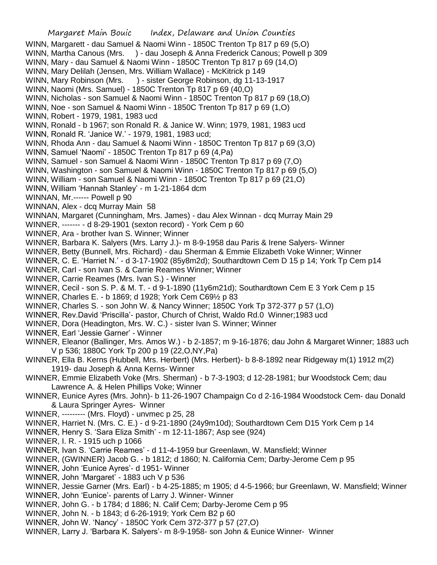Margaret Main Bouic Index, Delaware and Union Counties WINN, Margarett - dau Samuel & Naomi Winn - 1850C Trenton Tp 817 p 69 (5,O) WINN, Martha Canous (Mrs. ) - dau Joseph & Anna Frederick Canous; Powell p 309 WINN, Mary - dau Samuel & Naomi Winn - 1850C Trenton Tp 817 p 69 (14,O) WINN, Mary Delilah (Jensen, Mrs. William Wallace) - McKitrick p 149 WINN, Mary Robinson (Mrs. ) - sister George Robinson, dg 11-13-1917 WINN, Naomi (Mrs. Samuel) - 1850C Trenton Tp 817 p 69 (40,O) WINN, Nicholas - son Samuel & Naomi Winn - 1850C Trenton Tp 817 p 69 (18,O) WINN, Noe - son Samuel & Naomi Winn - 1850C Trenton Tp 817 p 69 (1,O) WINN, Robert - 1979, 1981, 1983 ucd WINN, Ronald - b 1967; son Ronald R. & Janice W. Winn; 1979, 1981, 1983 ucd WINN, Ronald R. 'Janice W.' - 1979, 1981, 1983 ucd; WINN, Rhoda Ann - dau Samuel & Naomi Winn - 1850C Trenton Tp 817 p 69 (3,O) WINN, Samuel 'Naomi' - 1850C Trenton Tp 817 p 69 (4,Pa) WINN, Samuel - son Samuel & Naomi Winn - 1850C Trenton Tp 817 p 69 (7,O) WINN, Washington - son Samuel & Naomi Winn - 1850C Trenton Tp 817 p 69 (5,O) WINN, William - son Samuel & Naomi Winn - 1850C Trenton Tp 817 p 69 (21,O) WINN, William 'Hannah Stanley' - m 1-21-1864 dcm WINNAN, Mr.------ Powell p 90 WINNAN, Alex - dcq Murray Main 58 WINNAN, Margaret (Cunningham, Mrs. James) - dau Alex Winnan - dcq Murray Main 29 WINNER, ------- - d 8-29-1901 (sexton record) - York Cem p 60 WINNER, Ara - brother Ivan S. Winner; Winner WINNER, Barbara K. Salyers (Mrs. Larry J.)- m 8-9-1958 dau Paris & Irene Salyers- Winner WINNER, Betty (Bunnell, Mrs. Richard) - dau Sherman & Emmie Elizabeth Voke Winner; Winner WINNER, C. E. 'Harriet N.' - d 3-17-1902 (85y8m2d); Southardtown Cem D 15 p 14; York Tp Cem p14 WINNER, Carl - son Ivan S. & Carrie Reames Winner; Winner WINNER, Carrie Reames (Mrs. Ivan S.) - Winner WINNER, Cecil - son S. P. & M. T. - d 9-1-1890 (11y6m21d); Southardtown Cem E 3 York Cem p 15 WINNER, Charles E. - b 1869; d 1928; York Cem C69½ p 83 WINNER, Charles S. - son John W. & Nancy Winner; 1850C York Tp 372-377 p 57 (1,O) WINNER, Rev.David 'Priscilla'- pastor, Church of Christ, Waldo Rd.0 Winner;1983 ucd WINNER, Dora (Headington, Mrs. W. C.) - sister Ivan S. Winner; Winner WINNER, Earl 'Jessie Garner' - Winner WINNER, Eleanor (Ballinger, Mrs. Amos W.) - b 2-1857; m 9-16-1876; dau John & Margaret Winner; 1883 uch V p 536; 1880C York Tp 200 p 19 (22,O,NY,Pa) WINNER, Ella B. Kerns (Hubbell, Mrs. Herbert) (Mrs. Herbert)- b 8-8-1892 near Ridgeway m(1) 1912 m(2) 1919- dau Joseph & Anna Kerns- Winner WINNER, Emmie Elizabeth Voke (Mrs. Sherman) - b 7-3-1903; d 12-28-1981; bur Woodstock Cem; dau Lawrence A. & Helen Phillips Voke; Winner WINNER, Eunice Ayres (Mrs. John)- b 11-26-1907 Champaign Co d 2-16-1984 Woodstock Cem- dau Donald & Laura Springer Ayres- Winner WINNER, --------- (Mrs. Floyd) - unvmec p 25, 28 WINNER, Harriet N. (Mrs. C. E.) - d 9-21-1890 (24y9m10d); Southardtown Cem D15 York Cem p 14 WINNER, Henry S. 'Sara Eliza Smith' - m 12-11-1867; Asp see (924) WINNER, I. R. - 1915 uch p 1066 WINNER, Ivan S. 'Carrie Reames' - d 11-4-1959 bur Greenlawn, W. Mansfield; Winner WINNER, (GWINNER) Jacob G. - b 1812; d 1860; N. California Cem; Darby-Jerome Cem p 95 WINNER, John 'Eunice Ayres'- d 1951- Winner WINNER, John 'Margaret' - 1883 uch V p 536 WINNER, Jessie Garner (Mrs. Earl) - b 4-25-1885; m 1905; d 4-5-1966; bur Greenlawn, W. Mansfield; Winner WINNER, John 'Eunice'- parents of Larry J. Winner- Winner WINNER, John G. - b 1784; d 1886; N. Calif Cem; Darby-Jerome Cem p 95 WINNER, John N. - b 1843; d 6-26-1919; York Cem B2 p 60 WINNER, John W. 'Nancy' - 1850C York Cem 372-377 p 57 (27,O) WINNER, Larry J. 'Barbara K. Salyers'- m 8-9-1958- son John & Eunice Winner- Winner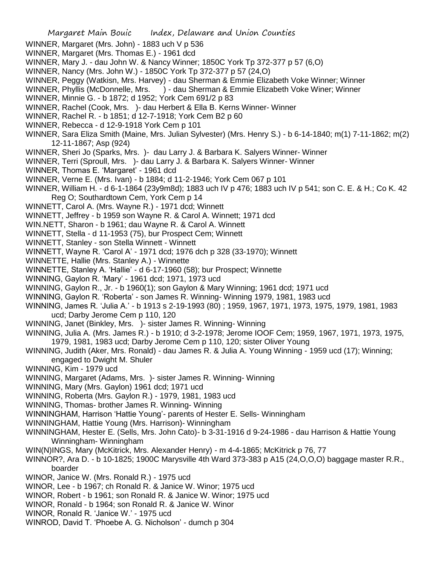- Margaret Main Bouic Index, Delaware and Union Counties WINNER, Margaret (Mrs. John) - 1883 uch V p 536 WINNER, Margaret (Mrs. Thomas E.) - 1961 dcd WINNER, Mary J. - dau John W. & Nancy Winner; 1850C York Tp 372-377 p 57 (6,O) WINNER, Nancy (Mrs. John W.) - 1850C York Tp 372-377 p 57 (24,O) WINNER, Peggy (Watkisn, Mrs. Harvey) - dau Sherman & Emmie Elizabeth Voke Winner; Winner WINNER, Phyllis (McDonnelle, Mrs. ) - dau Sherman & Emmie Elizabeth Voke Winer; Winner WINNER, Minnie G. - b 1872; d 1952; York Cem 691/2 p 83 WINNER, Rachel (Cook, Mrs. )- dau Herbert & Ella B. Kerns Winner- Winner WINNER, Rachel R. - b 1851; d 12-7-1918; York Cem B2 p 60 WINNER, Rebecca - d 12-9-1918 York Cem p 101 WINNER, Sara Eliza Smith (Maine, Mrs. Julian Sylvester) (Mrs. Henry S.) - b 6-14-1840; m(1) 7-11-1862; m(2) 12-11-1867; Asp (924) WINNER, Sheri Jo (Sparks, Mrs. )- dau Larry J. & Barbara K. Salyers Winner- Winner WINNER, Terri (Sproull, Mrs. )- dau Larry J. & Barbara K. Salyers Winner- Winner WINNER, Thomas E. 'Margaret' - 1961 dcd WINNER, Verne E. (Mrs. Ivan) - b 1884; d 11-2-1946; York Cem 067 p 101 WINNER, William H. - d 6-1-1864 (23y9m8d); 1883 uch IV p 476; 1883 uch IV p 541; son C. E. & H.; Co K. 42 Reg O; Southardtown Cem, York Cem p 14 WINNETT, Carol A. (Mrs. Wayne R.) - 1971 dcd; Winnett WINNETT, Jeffrey - b 1959 son Wayne R. & Carol A. Winnett; 1971 dcd WIN.NETT, Sharon - b 1961; dau Wayne R. & Carol A. Winnett WINNETT, Stella - d 11-1953 (75), bur Prospect Cem; Winnett WINNETT, Stanley - son Stella Winnett - Winnett WINNETT, Wayne R. 'Carol A' - 1971 dcd; 1976 dch p 328 (33-1970); Winnett WINNETTE, Hallie (Mrs. Stanley A.) - Winnette WINNETTE, Stanley A. 'Hallie' - d 6-17-1960 (58); bur Prospect; Winnette WINNING, Gaylon R. 'Mary' - 1961 dcd; 1971, 1973 ucd WINNING, Gaylon R., Jr. - b 1960(1); son Gaylon & Mary Winning; 1961 dcd; 1971 ucd
	- WINNING, Gaylon R. 'Roberta' son James R. Winning- Winning 1979, 1981, 1983 ucd
	- WINNING, James R. 'Julia A.' b 1913 s 2-19-1993 (80) ; 1959, 1967, 1971, 1973, 1975, 1979, 1981, 1983 ucd; Darby Jerome Cem p 110, 120
	- WINNING, Janet (Binkley, Mrs. )- sister James R. Winning- Winning
	- WINNING, Julia A. (Mrs. James R.) b 1910; d 3-2-1978; Jerome IOOF Cem; 1959, 1967, 1971, 1973, 1975, 1979, 1981, 1983 ucd; Darby Jerome Cem p 110, 120; sister Oliver Young
	- WINNING, Judith (Aker, Mrs. Ronald) dau James R. & Julia A. Young Winning 1959 ucd (17); Winning; engaged to Dwight M. Shuler
	- WINNING, Kim 1979 ucd
	- WINNING, Margaret (Adams, Mrs. )- sister James R. Winning- Winning
	- WINNING, Mary (Mrs. Gaylon) 1961 dcd; 1971 ucd
	- WINNING, Roberta (Mrs. Gaylon R.) 1979, 1981, 1983 ucd
	- WINNING, Thomas- brother James R. Winning- Winning
	- WINNINGHAM, Harrison 'Hattie Young'- parents of Hester E. Sells- Winningham
	- WINNINGHAM, Hattie Young (Mrs. Harrison)- Winningham
	- WINNINGHAM, Hester E. (Sells, Mrs. John Cato)- b 3-31-1916 d 9-24-1986 dau Harrison & Hattie Young Winningham- Winningham
	- WIN(N)INGS, Mary (McKitrick, Mrs. Alexander Henry) m 4-4-1865; McKitrick p 76, 77
	- WINNOR?, Ara D. b 10-1825; 1900C Marysville 4th Ward 373-383 p A15 (24,O,O,O) baggage master R.R., boarder
	- WINOR, Janice W. (Mrs. Ronald R.) 1975 ucd
	- WINOR, Lee b 1967; ch Ronald R. & Janice W. Winor; 1975 ucd
	- WINOR, Robert b 1961; son Ronald R. & Janice W. Winor; 1975 ucd
	- WINOR, Ronald b 1964; son Ronald R. & Janice W. Winor
	- WINOR, Ronald R. 'Janice W.' 1975 ucd
	- WINROD, David T. 'Phoebe A. G. Nicholson' dumch p 304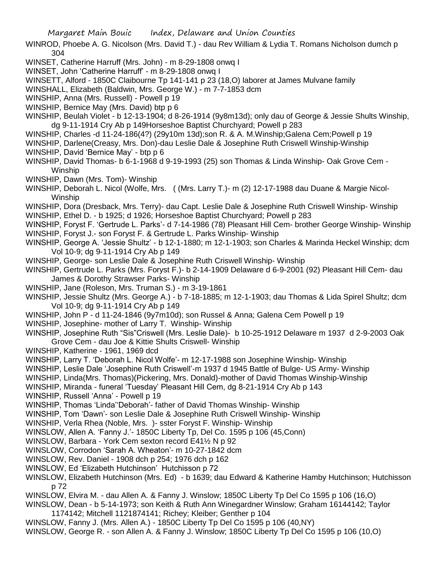- WINROD, Phoebe A. G. Nicolson (Mrs. David T.) dau Rev William & Lydia T. Romans Nicholson dumch p 304
- WINSET, Catherine Harruff (Mrs. John) m 8-29-1808 onwq I
- WINSET, John 'Catherine Harruff' m 8-29-1808 onwq I
- WINSETT, Alford 1850C Claibourne Tp 141-141 p 23 (18,O) laborer at James Mulvane family
- WINSHALL, Elizabeth (Baldwin, Mrs. George W.) m 7-7-1853 dcm
- WINSHIP, Anna (Mrs. Russell) Powell p 19
- WINSHIP, Bernice May (Mrs. David) btp p 6
- WINSHIP, Beulah Violet b 12-13-1904; d 8-26-1914 (9y8m13d); only dau of George & Jessie Shults Winship, dg 9-11-1914 Cry Ab p 149Horseshoe Baptist Churchyard; Powell p 283
- WINSHIP, Charles -d 11-24-186(4?) (29y10m 13d);son R. & A. M.Winship;Galena Cem;Powell p 19
- WINSHIP, Darlene(Creasy, Mrs. Don)-dau Leslie Dale & Josephine Ruth Criswell Winship-Winship
- WINSHIP, David 'Bernice May' btp p 6
- WINSHIP, David Thomas- b 6-1-1968 d 9-19-1993 (25) son Thomas & Linda Winship- Oak Grove Cem Winship
- WINSHIP, Dawn (Mrs. Tom)- Winship
- WINSHIP, Deborah L. Nicol (Wolfe, Mrs. ( (Mrs. Larry T.)- m (2) 12-17-1988 dau Duane & Margie Nicol-Winship
- WINSHIP, Dora (Dresback, Mrs. Terry)- dau Capt. Leslie Dale & Josephine Ruth Criswell Winship- Winship
- WINSHIP, Ethel D. b 1925; d 1926; Horseshoe Baptist Churchyard; Powell p 283
- WINSHIP, Foryst F. 'Gertrude L. Parks'- d 7-14-1986 (78) Pleasant Hill Cem- brother George Winship- Winship
- WINSHIP, Foryst J.- son Foryst F. & Gertrude L. Parks Winship- Winship
- WINSHIP, George A. 'Jessie Shultz' b 12-1-1880; m 12-1-1903; son Charles & Marinda Heckel Winship; dcm Vol 10-9; dg 9-11-1914 Cry Ab p 149
- WINSHIP, George- son Leslie Dale & Josephine Ruth Criswell Winship- Winship
- WINSHIP, Gertrude L. Parks (Mrs. Foryst F.)- b 2-14-1909 Delaware d 6-9-2001 (92) Pleasant Hill Cem- dau James & Dorothy Strawser Parks- Winship
- WINSHIP, Jane (Roleson, Mrs. Truman S.) m 3-19-1861
- WINSHIP, Jessie Shultz (Mrs. George A.) b 7-18-1885; m 12-1-1903; dau Thomas & Lida Spirel Shultz; dcm Vol 10-9; dg 9-11-1914 Cry Ab p 149
- WINSHIP, John P d 11-24-1846 (9y7m10d); son Russel & Anna; Galena Cem Powell p 19
- WINSHIP, Josephine- mother of Larry T. Winship- Winship
- WINSHIP, Josephine Ruth "Sis"Criswell (Mrs. Leslie Dale)- b 10-25-1912 Delaware m 1937 d 2-9-2003 Oak Grove Cem - dau Joe & Kittie Shults Criswell- Winship
- WINSHIP, Katherine 1961, 1969 dcd
- WINSHIP, Larry T. 'Deborah L. Nicol Wolfe'- m 12-17-1988 son Josephine Winship- Winship
- WINSHIP, Leslie Dale 'Josephine Ruth Criswell'-m 1937 d 1945 Battle of Bulge- US Army- Winship
- WINSHIP, Linda(Mrs. Thomas)(Pickering, Mrs. Donald)-mother of David Thomas Winship-Winship
- WINSHIP, Miranda funeral 'Tuesday' Pleasant Hill Cem, dg 8-21-1914 Cry Ab p 143
- WINSHIP, Russell 'Anna' Powell p 19
- WINSHIP, Thomas 'Linda''Deborah'- father of David Thomas Winship- Winship
- WINSHIP, Tom 'Dawn'- son Leslie Dale & Josephine Ruth Criswell Winship- Winship
- WINSHIP, Verla Rhea (Noble, Mrs. )- sster Foryst F. Winship- Winship
- WINSLOW, Allen A. 'Fanny J.'- 1850C Liberty Tp, Del Co. 1595 p 106 (45,Conn)
- WINSLOW, Barbara York Cem sexton record E41½ N p 92
- WINSLOW, Corrodon 'Sarah A. Wheaton'- m 10-27-1842 dcm
- WINSLOW, Rev. Daniel 1908 dch p 254; 1976 dch p 162
- WINSLOW, Ed 'Elizabeth Hutchinson' Hutchisson p 72
- WINSLOW, Elizabeth Hutchinson (Mrs. Ed) b 1639; dau Edward & Katherine Hamby Hutchinson; Hutchisson p 72
- WINSLOW, Elvira M. dau Allen A. & Fanny J. Winslow; 1850C Liberty Tp Del Co 1595 p 106 (16,O)
- WINSLOW, Dean b 5-14-1973; son Keith & Ruth Ann Winegardner Winslow; Graham 16144142; Taylor 1174142; Mitchell 1121874141; Richey; Kleiber; Genther p 104
- WINSLOW, Fanny J. (Mrs. Allen A.) 1850C Liberty Tp Del Co 1595 p 106 (40,NY)
- WINSLOW, George R. son Allen A. & Fanny J. Winslow; 1850C Liberty Tp Del Co 1595 p 106 (10,O)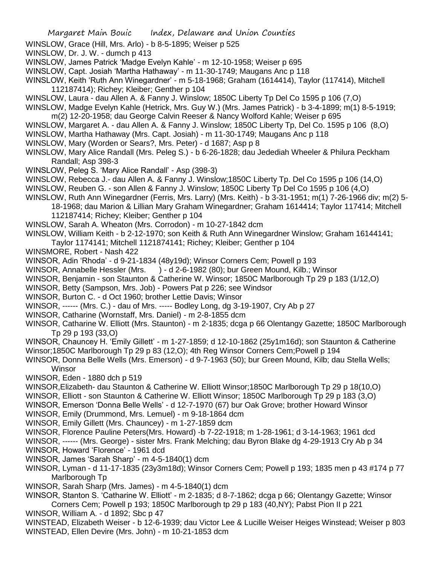- WINSLOW, Grace (Hill, Mrs. Arlo) b 8-5-1895; Weiser p 525
- WINSLOW, Dr. J. W. dumch p 413
- WINSLOW, James Patrick 'Madge Evelyn Kahle' m 12-10-1958; Weiser p 695
- WINSLOW, Capt. Josiah 'Martha Hathaway' m 11-30-1749; Maugans Anc p 118
- WINSLOW, Keith 'Ruth Ann Winegardner' m 5-18-1968; Graham (1614414), Taylor (117414), Mitchell 112187414); Richey; Kleiber; Genther p 104
- WINSLOW, Laura dau Allen A. & Fanny J. Winslow; 1850C Liberty Tp Del Co 1595 p 106 (7,O)
- WINSLOW, Madge Evelyn Kahle (Hetrick, Mrs. Guy W.) (Mrs. James Patrick) b 3-4-1899; m(1) 8-5-1919; m(2) 12-20-1958; dau George Calvin Reeser & Nancy Wolford Kahle; Weiser p 695
- WINSLOW, Margaret A. dau Allen A. & Fanny J. Winslow; 1850C Liberty Tp, Del Co. 1595 p 106 (8,O)
- WINSLOW, Martha Hathaway (Mrs. Capt. Josiah) m 11-30-1749; Maugans Anc p 118
- WINSLOW, Mary (Worden or Sears?, Mrs. Peter) d 1687; Asp p 8
- WINSLOW, Mary Alice Randall (Mrs. Peleg S.) b 6-26-1828; dau Jedediah Wheeler & Philura Peckham Randall; Asp 398-3
- WINSLOW, Peleg S. 'Mary Alice Randall' Asp (398-3)
- WINSLOW, Rebecca J.- dau Allen A. & Fanny J. Winslow;1850C Liberty Tp. Del Co 1595 p 106 (14,O)
- WINSLOW, Reuben G. son Allen & Fanny J. Winslow; 1850C Liberty Tp Del Co 1595 p 106 (4,O)
- WINSLOW, Ruth Ann Winegardner (Ferris, Mrs. Larry) (Mrs. Keith) b 3-31-1951; m(1) 7-26-1966 div; m(2) 5- 18-1968; dau Marion & Lillian Mary Graham Winegardner; Graham 1614414; Taylor 117414; Mitchell
	- 112187414; Richey; Kleiber; Genther p 104
- WINSLOW, Sarah A. Wheaton (Mrs. Corrodon) m 10-27-1842 dcm
- WINSLOW, William Keith b 2-12-1970; son Keith & Ruth Ann Winegardner Winslow; Graham 16144141;
- Taylor 1174141; Mitchell 1121874141; Richey; Kleiber; Genther p 104
- WINSMORE, Robert Nash 422
- WINSOR, Adin 'Rhoda' d 9-21-1834 (48y19d); Winsor Corners Cem; Powell p 193
- WINSOR, Annabelle Hessler (Mrs. ) d 2-6-1982 (80); bur Green Mound, Kilb.; Winsor
- WINSOR, Benjamin son Staunton & Catherine W. Winsor; 1850C Marlborough Tp 29 p 183 (1/12,O)
- WINSOR, Betty (Sampson, Mrs. Job) Powers Pat p 226; see Windsor
- WINSOR, Burton C. d Oct 1960; brother Lettie Davis; Winsor
- WINSOR, ------ (Mrs. C.) dau of Mrs. ----- Bodley Long, dg 3-19-1907, Cry Ab p 27
- WINSOR, Catharine (Wornstaff, Mrs. Daniel) m 2-8-1855 dcm
- WINSOR, Catharine W. Elliott (Mrs. Staunton) m 2-1835; dcga p 66 Olentangy Gazette; 1850C Marlborough Tp 29 p 193 (33,O)
- WINSOR, Chauncey H. 'Emily Gillett' m 1-27-1859; d 12-10-1862 (25y1m16d); son Staunton & Catherine Winsor;1850C Marlborough Tp 29 p 83 (12,O); 4th Reg Winsor Corners Cem;Powell p 194
- WINSOR, Donna Belle Wells (Mrs. Emerson) d 9-7-1963 (50); bur Green Mound, Kilb; dau Stella Wells; **Winsor**
- WINSOR, Eden 1880 dch p 519
- WINSOR,Elizabeth- dau Staunton & Catherine W. Elliott Winsor;1850C Marlborough Tp 29 p 18(10,O)
- WINSOR, Elliott son Staunton & Catherine W. Elliott Winsor; 1850C Marlborough Tp 29 p 183 (3,O)
- WINSOR, Emerson 'Donna Belle Wells' d 12-7-1970 (67) bur Oak Grove; brother Howard Winsor
- WINSOR, Emily (Drummond, Mrs. Lemuel) m 9-18-1864 dcm
- WINSOR, Emily Gillett (Mrs. Chauncey) m 1-27-1859 dcm
- WINSOR, Florence Pauline Peters(Mrs. Howard) -b 7-22-1918; m 1-28-1961; d 3-14-1963; 1961 dcd
- WINSOR, ------ (Mrs. George) sister Mrs. Frank Melching; dau Byron Blake dg 4-29-1913 Cry Ab p 34
- WINSOR, Howard 'Florence' 1961 dcd
- WINSOR, James 'Sarah Sharp' m 4-5-1840(1) dcm
- WINSOR, Lyman d 11-17-1835 (23y3m18d); Winsor Corners Cem; Powell p 193; 1835 men p 43 #174 p 77 Marlborough Tp
- WINSOR, Sarah Sharp (Mrs. James) m 4-5-1840(1) dcm
- WINSOR, Stanton S. 'Catharine W. Elliott' m 2-1835; d 8-7-1862; dcga p 66; Olentangy Gazette; Winsor Corners Cem; Powell p 193; 1850C Marlborough tp 29 p 183 (40,NY); Pabst Pion II p 221 WINSOR, William A. - d 1892; Sbc p 47
- WINSTEAD, Elizabeth Weiser b 12-6-1939; dau Victor Lee & Lucille Weiser Heiges Winstead; Weiser p 803 WINSTEAD, Ellen Devire (Mrs. John) - m 10-21-1853 dcm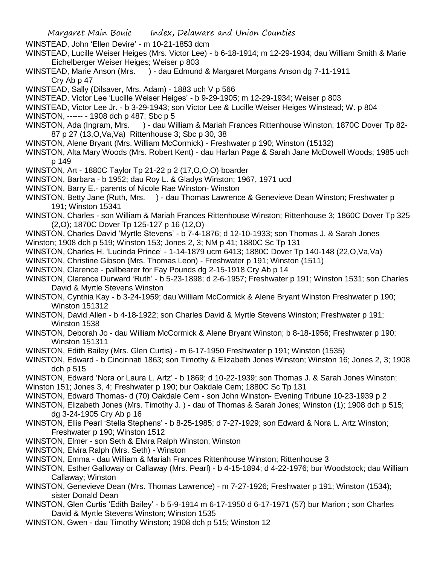WINSTEAD, John 'Ellen Devire' - m 10-21-1853 dcm

- WINSTEAD, Lucille Weiser Heiges (Mrs. Victor Lee) b 6-18-1914; m 12-29-1934; dau William Smith & Marie Eichelberger Weiser Heiges; Weiser p 803
- WINSTEAD, Marie Anson (Mrs. ) dau Edmund & Margaret Morgans Anson dg 7-11-1911 Cry Ab p 47
- WINSTEAD, Sally (Dilsaver, Mrs. Adam) 1883 uch V p 566
- WINSTEAD, Victor Lee 'Lucille Weiser Heiges' b 9-29-1905; m 12-29-1934; Weiser p 803
- WINSTEAD, Victor Lee Jr. b 3-29-1943; son Victor Lee & Lucille Weiser Heiges Winstead; W. p 804 WINSTON, ------ - 1908 dch p 487; Sbc p 5
- WINSTON, Ada (Ingram, Mrs. ) dau William & Mariah Frances Rittenhouse Winston; 1870C Dover Tp 82- 87 p 27 (13,O,Va,Va) Rittenhouse 3; Sbc p 30, 38
- WINSTON, Alene Bryant (Mrs. William McCormick) Freshwater p 190; Winston (15132)
- WINSTON, Alta Mary Woods (Mrs. Robert Kent) dau Harlan Page & Sarah Jane McDowell Woods; 1985 uch p 149
- WINSTON, Art 1880C Taylor Tp 21-22 p 2 (17,O,O,O) boarder
- WINSTON, Barbara b 1952; dau Roy L. & Gladys Winston; 1967, 1971 ucd
- WINSTON, Barry E.- parents of Nicole Rae Winston- Winston
- WINSTON, Betty Jane (Ruth, Mrs. ) dau Thomas Lawrence & Genevieve Dean Winston: Freshwater p 191; Winston 15341
- WINSTON, Charles son William & Mariah Frances Rittenhouse Winston; Rittenhouse 3; 1860C Dover Tp 325 (2,O); 1870C Dover Tp 125-127 p 16 (12,O)
- WINSTON, Charles David 'Myrtle Stevens' b 7-4-1876; d 12-10-1933; son Thomas J. & Sarah Jones
- Winston; 1908 dch p 519; Winston 153; Jones 2, 3; NM p 41; 1880C Sc Tp 131
- WINSTON, Charles H. 'Lucinda Prince' 1-14-1879 ucm 6413; 1880C Dover Tp 140-148 (22,O,Va,Va)
- WINSTON, Christine Gibson (Mrs. Thomas Leon) Freshwater p 191; Winston (1511)
- WINSTON, Clarence pallbearer for Fay Pounds dg 2-15-1918 Cry Ab p 14
- WINSTON, Clarence Durward 'Ruth' b 5-23-1898; d 2-6-1957; Freshwater p 191; Winston 1531; son Charles David & Myrtle Stevens Winston
- WINSTON, Cynthia Kay b 3-24-1959; dau William McCormick & Alene Bryant Winston Freshwater p 190; Winston 151312
- WINSTON, David Allen b 4-18-1922; son Charles David & Myrtle Stevens Winston; Freshwater p 191; Winston 1538
- WINSTON, Deborah Jo dau William McCormick & Alene Bryant Winston; b 8-18-1956; Freshwater p 190; Winston 151311
- WINSTON, Edith Bailey (Mrs. Glen Curtis) m 6-17-1950 Freshwater p 191; Winston (1535)
- WINSTON, Edward b Cincinnati 1863; son Timothy & Elizabeth Jones Winston; Winston 16; Jones 2, 3; 1908 dch p 515
- WINSTON, Edward 'Nora or Laura L. Artz' b 1869; d 10-22-1939; son Thomas J. & Sarah Jones Winston; Winston 151; Jones 3, 4; Freshwater p 190; bur Oakdale Cem; 1880C Sc Tp 131
- WINSTON, Edward Thomas- d (70) Oakdale Cem son John Winston- Evening Tribune 10-23-1939 p 2
- WINSTON, Elizabeth Jones (Mrs. Timothy J. ) dau of Thomas & Sarah Jones; Winston (1); 1908 dch p 515; dg 3-24-1905 Cry Ab p 16
- WINSTON, Ellis Pearl 'Stella Stephens' b 8-25-1985; d 7-27-1929; son Edward & Nora L. Artz Winston; Freshwater p 190; Winston 1512
- WINSTON, Elmer son Seth & Elvira Ralph Winston; Winston
- WINSTON, Elvira Ralph (Mrs. Seth) Winston
- WINSTON, Emma dau William & Mariah Frances Rittenhouse Winston; Rittenhouse 3
- WINSTON, Esther Galloway or Callaway (Mrs. Pearl) b 4-15-1894; d 4-22-1976; bur Woodstock; dau William Callaway; Winston
- WINSTON, Genevieve Dean (Mrs. Thomas Lawrence) m 7-27-1926; Freshwater p 191; Winston (1534); sister Donald Dean
- WINSTON, Glen Curtis 'Edith Bailey' b 5-9-1914 m 6-17-1950 d 6-17-1971 (57) bur Marion ; son Charles David & Myrtle Stevens Winston; Winston 1535
- WINSTON, Gwen dau Timothy Winston; 1908 dch p 515; Winston 12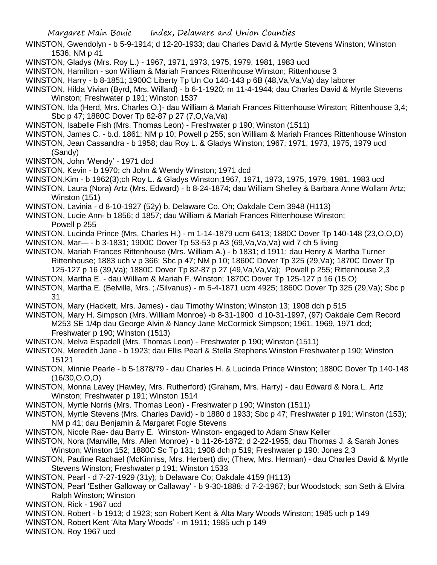- WINSTON, Gwendolyn b 5-9-1914; d 12-20-1933; dau Charles David & Myrtle Stevens Winston; Winston 1536; NM p 41
- WINSTON, Gladys (Mrs. Roy L.) 1967, 1971, 1973, 1975, 1979, 1981, 1983 ucd
- WINSTON, Hamilton son William & Mariah Frances Rittenhouse Winston; Rittenhouse 3
- WINSTON, Harry b 8-1851; 1900C Liberty Tp Un Co 140-143 p 6B (48,Va,Va,Va) day laborer
- WINSTON, Hilda Vivian (Byrd, Mrs. Willard) b 6-1-1920; m 11-4-1944; dau Charles David & Myrtle Stevens Winston; Freshwater p 191; Winston 1537
- WINSTON, Ida (Herd, Mrs. Charles O.)- dau William & Mariah Frances Rittenhouse Winston; Rittenhouse 3,4; Sbc p 47; 1880C Dover Tp 82-87 p 27 (7,O,Va,Va)
- WINSTON, Isabelle Fish (Mrs. Thomas Leon) Freshwater p 190; Winston (1511)
- WINSTON, James C. b.d. 1861; NM p 10; Powell p 255; son William & Mariah Frances Rittenhouse Winston
- WINSTON, Jean Cassandra b 1958; dau Roy L. & Gladys Winston; 1967; 1971, 1973, 1975, 1979 ucd (Sandy)
- WINSTON, John 'Wendy' 1971 dcd
- WINSTON, Kevin b 1970; ch John & Wendy Winston; 1971 dcd
- WINSTON,Kim b 1962(3);ch Roy L. & Gladys Winston;1967, 1971, 1973, 1975, 1979, 1981, 1983 ucd
- WINSTON, Laura (Nora) Artz (Mrs. Edward) b 8-24-1874; dau William Shelley & Barbara Anne Wollam Artz; Winston (151)
- WINSTON, Lavinia d 8-10-1927 (52y) b. Delaware Co. Oh; Oakdale Cem 3948 (H113)
- WINSTON, Lucie Ann- b 1856; d 1857; dau William & Mariah Frances Rittenhouse Winston; Powell p 255
- WINSTON, Lucinda Prince (Mrs. Charles H.) m 1-14-1879 ucm 6413; 1880C Dover Tp 140-148 (23,O,O,O)
- WINSTON, Mar— b 3-1831; 1900C Dover Tp 53-53 p A3 (69,Va,Va,Va) wid 7 ch 5 living
- WINSTON, Mariah Frances Rittenhouse (Mrs. William A.) b 1831; d 1911; dau Henry & Martha Turner Rittenhouse; 1883 uch v p 366; Sbc p 47; NM p 10; 1860C Dover Tp 325 (29,Va); 1870C Dover Tp 125-127 p 16 (39,Va); 1880C Dover Tp 82-87 p 27 (49,Va,Va,Va); Powell p 255; Rittenhouse 2,3
- WINSTON, Martha E. dau William & Mariah F. Winston; 1870C Dover Tp 125-127 p 16 (15,O)
- WINSTON, Martha E. (Belville, Mrs. ;./Silvanus) m 5-4-1871 ucm 4925; 1860C Dover Tp 325 (29,Va); Sbc p 31
- WINSTON, Mary (Hackett, Mrs. James) dau Timothy Winston; Winston 13; 1908 dch p 515
- WINSTON, Mary H. Simpson (Mrs. William Monroe) -b 8-31-1900 d 10-31-1997, (97) Oakdale Cem Record M253 SE 1/4p dau George Alvin & Nancy Jane McCormick Simpson; 1961, 1969, 1971 dcd; Freshwater p 190; Winston (1513)
- WINSTON, Melva Espadell (Mrs. Thomas Leon) Freshwater p 190; Winston (1511)
- WINSTON, Meredith Jane b 1923; dau Ellis Pearl & Stella Stephens Winston Freshwater p 190; Winston 15121
- WINSTON, Minnie Pearle b 5-1878/79 dau Charles H. & Lucinda Prince Winston; 1880C Dover Tp 140-148  $(16/30, O, O, O)$
- WINSTON, Monna Lavey (Hawley, Mrs. Rutherford) (Graham, Mrs. Harry) dau Edward & Nora L. Artz Winston; Freshwater p 191; Winston 1514
- WINSTON, Myrtle Norris (Mrs. Thomas Leon) Freshwater p 190; Winston (1511)
- WINSTON, Myrtle Stevens (Mrs. Charles David) b 1880 d 1933; Sbc p 47; Freshwater p 191; Winston (153); NM p 41; dau Benjamin & Margaret Fogle Stevens
- WINSTON, Nicole Rae- dau Barry E. Winston- Winston- engaged to Adam Shaw Keller
- WINSTON, Nora (Manville, Mrs. Allen Monroe) b 11-26-1872; d 2-22-1955; dau Thomas J. & Sarah Jones Winston; Winston 152; 1880C Sc Tp 131; 1908 dch p 519; Freshwater p 190; Jones 2,3
- WINSTON, Pauline Rachael (McKinniss, Mrs. Herbert) div; (Thew, Mrs. Herman) dau Charles David & Myrtle Stevens Winston; Freshwater p 191; Winston 1533
- WINSTON, Pearl d 7-27-1929 (31y); b Delaware Co; Oakdale 4159 (H113)
- WINSTON, Pearl 'Esther Galloway or Callaway' b 9-30-1888; d 7-2-1967; bur Woodstock; son Seth & Elvira Ralph Winston; Winston
- WINSTON, Rick 1967 ucd
- WINSTON, Robert b 1913; d 1923; son Robert Kent & Alta Mary Woods Winston; 1985 uch p 149
- WINSTON, Robert Kent 'Alta Mary Woods' m 1911; 1985 uch p 149
- WINSTON, Roy 1967 ucd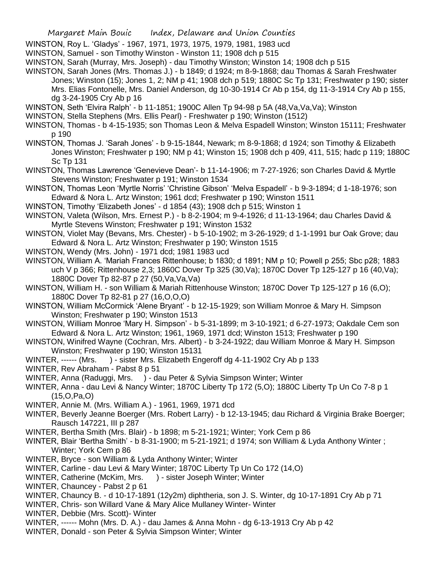WINSTON, Roy L. 'Gladys' - 1967, 1971, 1973, 1975, 1979, 1981, 1983 ucd

WINSTON, Samuel - son Timothy Winston - Winston 11; 1908 dch p 515

WINSTON, Sarah (Murray, Mrs. Joseph) - dau Timothy Winston; Winston 14; 1908 dch p 515

- WINSTON, Sarah Jones (Mrs. Thomas J.) b 1849; d 1924; m 8-9-1868; dau Thomas & Sarah Freshwater Jones; Winston (15); Jones 1, 2; NM p 41; 1908 dch p 519; 1880C Sc Tp 131; Freshwater p 190; sister Mrs. Elias Fontonelle, Mrs. Daniel Anderson, dg 10-30-1914 Cr Ab p 154, dg 11-3-1914 Cry Ab p 155, dg 3-24-1905 Cry Ab p 16
- WINSTON, Seth 'Elvira Ralph' b 11-1851; 1900C Allen Tp 94-98 p 5A (48,Va,Va,Va); Winston
- WINSTON, Stella Stephens (Mrs. Ellis Pearl) Freshwater p 190; Winston (1512)
- WINSTON, Thomas b 4-15-1935; son Thomas Leon & Melva Espadell Winston; Winston 15111; Freshwater p 190
- WINSTON, Thomas J. 'Sarah Jones' b 9-15-1844, Newark; m 8-9-1868; d 1924; son Timothy & Elizabeth Jones Winston; Freshwater p 190; NM p 41; Winston 15; 1908 dch p 409, 411, 515; hadc p 119; 1880C Sc Tp 131
- WINSTON, Thomas Lawrence 'Genevieve Dean'- b 11-14-1906; m 7-27-1926; son Charles David & Myrtle Stevens Winston; Freshwater p 191; Winston 1534
- WINSTON, Thomas Leon 'Myrtle Norris' 'Christine Gibson' 'Melva Espadell' b 9-3-1894; d 1-18-1976; son Edward & Nora L. Artz Winston; 1961 dcd; Freshwater p 190; Winston 1511
- WINSTON, Timothy 'Elizabeth Jones' d 1854 (43); 1908 dch p 515; Winston 1
- WINSTON, Valeta (Wilson, Mrs. Ernest P.) b 8-2-1904; m 9-4-1926; d 11-13-1964; dau Charles David & Myrtle Stevens Winston; Freshwater p 191; Winston 1532
- WINSTON, Violet May (Bevans, Mrs. Chester) b 5-10-1902; m 3-26-1929; d 1-1-1991 bur Oak Grove; dau Edward & Nora L. Artz Winston; Freshwater p 190; Winston 1515
- WINSTON, Wendy (Mrs. John) 1971 dcd; 1981 1983 ucd
- WINSTON, William A. 'Mariah Frances Rittenhouse; b 1830; d 1891; NM p 10; Powell p 255; Sbc p28; 1883 uch V p 366; Rittenhouse 2,3; 1860C Dover Tp 325 (30,Va); 1870C Dover Tp 125-127 p 16 (40,Va); 1880C Dover Tp 82-87 p 27 (50,Va,Va,Va)
- WINSTON, William H. son William & Mariah Rittenhouse Winston; 1870C Dover Tp 125-127 p 16 (6,O); 1880C Dover Tp 82-81 p 27 (16,O,O,O)
- WINSTON, William McCormick 'Alene Bryant' b 12-15-1929; son William Monroe & Mary H. Simpson Winston; Freshwater p 190; Winston 1513
- WINSTON, William Monroe 'Mary H. Simpson' b 5-31-1899; m 3-10-1921; d 6-27-1973; Oakdale Cem son Edward & Nora L. Artz Winston; 1961, 1969, 1971 dcd; Winston 1513; Freshwater p 190
- WINSTON, Winifred Wayne (Cochran, Mrs. Albert) b 3-24-1922; dau William Monroe & Mary H. Simpson Winston; Freshwater p 190; Winston 15131
- WINTER, ------ (Mrs. ) sister Mrs. Elizabeth Engeroff dg 4-11-1902 Cry Ab p 133
- WINTER, Rev Abraham Pabst 8 p 51
- WINTER, Anna (Raduggi, Mrs. ) dau Peter & Sylvia Simpson Winter; Winter
- WINTER, Anna dau Levi & Nancy Winter; 1870C Liberty Tp 172 (5,O); 1880C Liberty Tp Un Co 7-8 p 1 (15,O,Pa,O)
- WINTER, Annie M. (Mrs. William A.) 1961, 1969, 1971 dcd
- WINTER, Beverly Jeanne Boerger (Mrs. Robert Larry) b 12-13-1945; dau Richard & Virginia Brake Boerger; Rausch 147221, III p 287
- WINTER, Bertha Smith (Mrs. Blair) b 1898; m 5-21-1921; Winter; York Cem p 86
- WINTER, Blair 'Bertha Smith' b 8-31-1900; m 5-21-1921; d 1974; son William & Lyda Anthony Winter ; Winter; York Cem p 86
- WINTER, Bryce son William & Lyda Anthony Winter; Winter
- WINTER, Carline dau Levi & Mary Winter; 1870C Liberty Tp Un Co 172 (14,O)
- WINTER, Catherine (McKim, Mrs. ) sister Joseph Winter; Winter
- WINTER, Chauncey Pabst 2 p 61
- WINTER, Chauncy B. d 10-17-1891 (12y2m) diphtheria, son J. S. Winter, dg 10-17-1891 Cry Ab p 71
- WINTER, Chris- son Willard Vane & Mary Alice Mullaney Winter- Winter
- WINTER, Debbie (Mrs. Scott)- Winter
- WINTER, ------ Mohn (Mrs. D. A.) dau James & Anna Mohn dg 6-13-1913 Cry Ab p 42
- WINTER, Donald son Peter & Sylvia Simpson Winter; Winter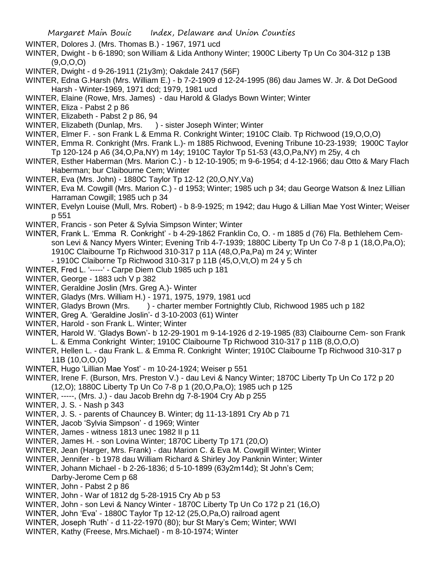- WINTER, Dolores J. (Mrs. Thomas B.) 1967, 1971 ucd
- WINTER, Dwight b 6-1890; son William & Lida Anthony Winter; 1900C Liberty Tp Un Co 304-312 p 13B (9,O,O,O)
- WINTER, Dwight d 9-26-1911 (21y3m); Oakdale 2417 (56F)
- WINTER, Edna G.Harsh (Mrs. William E.) b 7-2-1909 d 12-24-1995 (86) dau James W. Jr. & Dot DeGood Harsh - Winter-1969, 1971 dcd; 1979, 1981 ucd
- WINTER, Elaine (Rowe, Mrs. James) dau Harold & Gladys Bown Winter; Winter
- WINTER, Eliza Pabst 2 p 86
- WINTER, Elizabeth Pabst 2 p 86, 94
- WINTER, Elizabeth (Dunlap, Mrs. ) sister Joseph Winter; Winter
- WINTER, Elmer F. son Frank L & Emma R. Conkright Winter; 1910C Claib. Tp Richwood (19,O,O,O)
- WINTER, Emma R. Conkright (Mrs. Frank L.)- m 1885 Richwood, Evening Tribune 10-23-1939; 1900C Taylor Tp 120-124 p A6 (34,O,Pa,NY) m 14y; 1910C Taylor Tp 51-53 (43,O,Pa,NY) m 25y, 4 ch
- WINTER, Esther Haberman (Mrs. Marion C.) b 12-10-1905; m 9-6-1954; d 4-12-1966; dau Otto & Mary Flach Haberman; bur Claibourne Cem; Winter
- WINTER, Eva (Mrs. John) 1880C Taylor Tp 12-12 (20,O,NY,Va)
- WINTER, Eva M. Cowgill (Mrs. Marion C.) d 1953; Winter; 1985 uch p 34; dau George Watson & Inez Lillian Harraman Cowgill; 1985 uch p 34
- WINTER, Evelyn Louise (Mull, Mrs. Robert) b 8-9-1925; m 1942; dau Hugo & Lillian Mae Yost Winter; Weiser p 551
- WINTER, Francis son Peter & Sylvia Simpson Winter; Winter
- WINTER, Frank L. 'Emma R. Conkright' b 4-29-1862 Franklin Co, O. m 1885 d (76) Fla. Bethlehem Cemson Levi & Nancy Myers Winter; Evening Trib 4-7-1939; 1880C Liberty Tp Un Co 7-8 p 1 (18,O,Pa,O); 1910C Claibourne Tp Richwood 310-317 p 11A (48,O,Pa,Pa) m 24 y; Winter
	- 1910C Claiborne Tp Richwood 310-317 p 11B (45,O,Vt,O) m 24 y 5 ch
- WINTER, Fred L. '-----' Carpe Diem Club 1985 uch p 181
- WINTER, George 1883 uch V p 382
- WINTER, Geraldine Joslin (Mrs. Greg A.)- Winter
- WINTER, Gladys (Mrs. William H.) 1971, 1975, 1979, 1981 ucd
- WINTER, Gladys Brown (Mrs. ) charter member Fortnightly Club, Richwood 1985 uch p 182
- WINTER, Greg A. 'Geraldine Joslin'- d 3-10-2003 (61) Winter
- WINTER, Harold son Frank L. Winter; Winter
- WINTER, Harold W. 'Gladys Bown'- b 12-29-1901 m 9-14-1926 d 2-19-1985 (83) Claibourne Cem- son Frank L. & Emma Conkright Winter; 1910C Claibourne Tp Richwood 310-317 p 11B (8,O,O,O)
- WINTER, Hellen L. dau Frank L. & Emma R. Conkright Winter; 1910C Claibourne Tp Richwood 310-317 p 11B (10,O,O,O)
- WINTER, Hugo 'Lillian Mae Yost' m 10-24-1924; Weiser p 551
- WINTER, Irene F. (Burson, Mrs. Preston V.) dau Levi & Nancy Winter; 1870C Liberty Tp Un Co 172 p 20 (12,O); 1880C Liberty Tp Un Co 7-8 p 1 (20,O,Pa,O); 1985 uch p 125
- WINTER, -----, (Mrs. J.) dau Jacob Brehn dg 7-8-1904 Cry Ab p 255
- WINTER, J. S. Nash p 343
- WINTER, J. S. parents of Chauncey B. Winter; dg 11-13-1891 Cry Ab p 71
- WINTER, Jacob 'Sylvia Simpson' d 1969; Winter
- WINTER, James witness 1813 unec 1982 II p 11
- WINTER, James H. son Lovina Winter; 1870C Liberty Tp 171 (20,O)
- WINTER, Jean (Harger, Mrs. Frank) dau Marion C. & Eva M. Cowgill Winter; Winter
- WINTER, Jennifer b 1978 dau William Richard & Shirley Joy Panknin Winter; Winter
- WINTER, Johann Michael b 2-26-1836; d 5-10-1899 (63y2m14d); St John's Cem;
	- Darby-Jerome Cem p 68
- WINTER, John Pabst 2 p 86
- WINTER, John War of 1812 dg 5-28-1915 Cry Ab p 53
- WINTER, John son Levi & Nancy Winter 1870C Liberty Tp Un Co 172 p 21 (16,O)
- WINTER, John 'Eva' 1880C Taylor Tp 12-12 (25,O,Pa,O) railroad agent
- WINTER, Joseph 'Ruth' d 11-22-1970 (80); bur St Mary's Cem; Winter; WWI
- WINTER, Kathy (Freese, Mrs.Michael) m 8-10-1974; Winter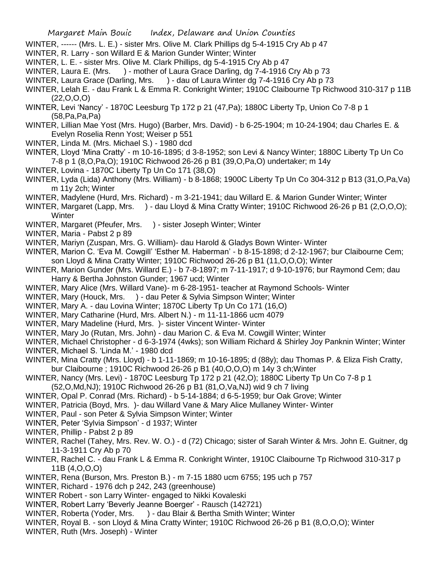- WINTER, ------ (Mrs. L. E.) sister Mrs. Olive M. Clark Phillips dg 5-4-1915 Cry Ab p 47
- WINTER, R. Larry son Willard E & Marion Gunder Winter; Winter
- WINTER, L. E. sister Mrs. Olive M. Clark Phillips, dg 5-4-1915 Cry Ab p 47
- WINTER, Laura E. (Mrs. ) mother of Laura Grace Darling, dg 7-4-1916 Cry Ab p 73
- WINTER, Laura Grace (Darling, Mrs. ) dau of Laura Winter dg 7-4-1916 Cry Ab p 73
- WINTER, Lelah E. dau Frank L & Emma R. Conkright Winter; 1910C Claibourne Tp Richwood 310-317 p 11B  $(22, 0, 0, 0)$
- WINTER, Levi 'Nancy' 1870C Leesburg Tp 172 p 21 (47,Pa); 1880C Liberty Tp, Union Co 7-8 p 1 (58,Pa,Pa,Pa)
- WINTER, Lillian Mae Yost (Mrs. Hugo) (Barber, Mrs. David) b 6-25-1904; m 10-24-1904; dau Charles E. & Evelyn Roselia Renn Yost; Weiser p 551
- WINTER, Linda M. (Mrs. Michael S.) 1980 dcd
- WINTER, Lloyd 'Mina Cratty' m 10-16-1895; d 3-8-1952; son Levi & Nancy Winter; 1880C Liberty Tp Un Co 7-8 p 1 (8,O,Pa,O); 1910C Richwood 26-26 p B1 (39,O,Pa,O) undertaker; m 14y
- WINTER, Lovina 1870C Liberty Tp Un Co 171 (38,O)
- WINTER, Lyda (Lida) Anthony (Mrs. William) b 8-1868; 1900C Liberty Tp Un Co 304-312 p B13 (31,O,Pa,Va) m 11y 2ch; Winter
- WINTER, Madylene (Hurd, Mrs. Richard) m 3-21-1941; dau Willard E. & Marion Gunder Winter; Winter
- WINTER, Margaret (Lapp, Mrs. ) dau Lloyd & Mina Cratty Winter; 1910C Richwood 26-26 p B1 (2, O, O, O); **Winter**
- WINTER, Margaret (Pfeufer, Mrs. ) sister Joseph Winter; Winter
- WINTER, Maria Pabst 2 p 89
- WINTER, Mariyn (Zuspan, Mrs. G. William)- dau Harold & Gladys Bown Winter- Winter
- WINTER, Marion C. 'Eva M. Cowgill' 'Esther M. Haberman' b 8-15-1898; d 2-12-1967; bur Claibourne Cem; son Lloyd & Mina Cratty Winter; 1910C Richwood 26-26 p B1 (11,O,O,O); Winter
- WINTER, Marion Gunder (Mrs. Willard E.) b 7-8-1897; m 7-11-1917; d 9-10-1976; bur Raymond Cem; dau Harry & Bertha Johnston Gunder; 1967 ucd; Winter
- WINTER, Mary Alice (Mrs. Willard Vane)- m 6-28-1951- teacher at Raymond Schools- Winter
- WINTER, Mary (Houck, Mrs. ) dau Peter & Sylvia Simpson Winter; Winter
- WINTER, Mary A. dau Lovina Winter; 1870C Liberty Tp Un Co 171 (16,O)
- WINTER, Mary Catharine (Hurd, Mrs. Albert N.) m 11-11-1866 ucm 4079
- WINTER, Mary Madeline (Hurd, Mrs. )- sister Vincent Winter- Winter
- WINTER, Mary Jo (Rutan, Mrs. John) dau Marion C. & Eva M. Cowgill Winter; Winter
- WINTER, Michael Christopher d 6-3-1974 (4wks); son William Richard & Shirley Joy Panknin Winter; Winter
- WINTER, Michael S. 'Linda M.' 1980 dcd
- WINTER, Mina Cratty (Mrs. Lloyd) b 1-11-1869; m 10-16-1895; d (88y); dau Thomas P. & Eliza Fish Cratty, bur Claibourne ; 1910C Richwood 26-26 p B1 (40,O,O,O) m 14y 3 ch;Winter
- WINTER, Nancy (Mrs. Levi) 1870C Leesburg Tp 172 p 21 (42,O); 1880C Liberty Tp Un Co 7-8 p 1 (52,O,Md,NJ); 1910C Richwood 26-26 p B1 (81,O,Va,NJ) wid 9 ch 7 living
- WINTER, Opal P. Conrad (Mrs. Richard) b 5-14-1884; d 6-5-1959; bur Oak Grove; Winter
- WINTER, Patricia (Boyd, Mrs. )- dau Willard Vane & Mary Alice Mullaney Winter- Winter
- WINTER, Paul son Peter & Sylvia Simpson Winter; Winter
- WINTER, Peter 'Sylvia Simpson' d 1937; Winter
- WINTER, Phillip Pabst 2 p 89
- WINTER, Rachel (Tahey, Mrs. Rev. W. O.) d (72) Chicago; sister of Sarah Winter & Mrs. John E. Guitner, dg 11-3-1911 Cry Ab p 70
- WINTER, Rachel C. dau Frank L & Emma R. Conkright Winter, 1910C Claibourne Tp Richwood 310-317 p 11B (4,O,O,O)
- WINTER, Rena (Burson, Mrs. Preston B.) m 7-15 1880 ucm 6755; 195 uch p 757
- WINTER, Richard 1976 dch p 242, 243 (greenhouse)
- WINTER Robert son Larry Winter- engaged to Nikki Kovaleski
- WINTER, Robert Larry 'Beverly Jeanne Boerger' Rausch (142721)
- WINTER, Roberta (Yoder, Mrs. ) dau Blair & Bertha Smith Winter; Winter
- WINTER, Royal B. son Lloyd & Mina Cratty Winter; 1910C Richwood 26-26 p B1 (8,O,O,O); Winter
- WINTER, Ruth (Mrs. Joseph) Winter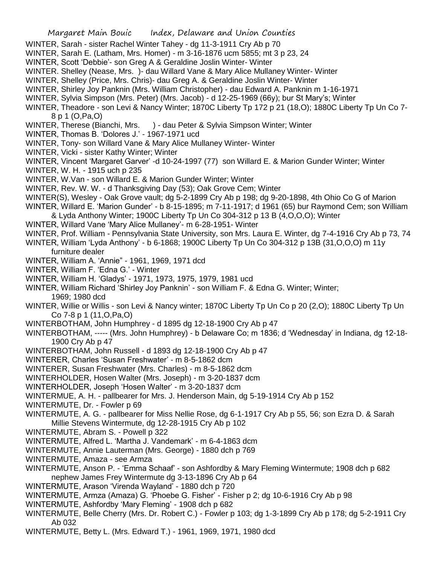- WINTER, Sarah sister Rachel Winter Tahey dg 11-3-1911 Cry Ab p 70
- WINTER, Sarah E. (Latham, Mrs. Homer) m 3-16-1876 ucm 5855; mt 3 p 23, 24
- WINTER, Scott 'Debbie'- son Greg A & Geraldine Joslin Winter- Winter
- WINTER. Shelley (Nease, Mrs. )- dau Willard Vane & Mary Alice Mullaney Winter- Winter
- WINTER, Shelley (Price, Mrs. Chris)- dau Greg A. & Geraldine Joslin Winter- Winter
- WINTER, Shirley Joy Panknin (Mrs. William Christopher) dau Edward A. Panknin m 1-16-1971
- WINTER, Sylvia Simpson (Mrs. Peter) (Mrs. Jacob) d 12-25-1969 (66y); bur St Mary's; Winter
- WINTER, Theadore son Levi & Nancy Winter; 1870C Liberty Tp 172 p 21 (18,O); 1880C Liberty Tp Un Co 7- 8 p 1 (O,Pa,O)
- WINTER, Therese (Bianchi, Mrs. ) dau Peter & Sylvia Simpson Winter; Winter
- WINTER, Thomas B. 'Dolores J.' 1967-1971 ucd
- WINTER, Tony- son Willard Vane & Mary Alice Mullaney Winter- Winter
- WINTER, Vicki sister Kathy Winter; Winter
- WINTER, Vincent 'Margaret Garver' -d 10-24-1997 (77) son Willard E. & Marion Gunder Winter; Winter
- WINTER, W. H. 1915 uch p 235
- WINTER, W.Van son Willard E. & Marion Gunder Winter; Winter
- WINTER, Rev. W. W. d Thanksgiving Day (53); Oak Grove Cem; Winter
- WINTER(S), Wesley Oak Grove vault; dg 5-2-1899 Cry Ab p 198; dg 9-20-1898, 4th Ohio Co G of Marion
- WINTER, Willard E. 'Marion Gunder' b 8-15-1895; m 7-11-1917; d 1961 (65) bur Raymond Cem; son William & Lyda Anthony Winter; 1900C Liberty Tp Un Co 304-312 p 13 B (4,O,O,O); Winter
- WINTER, Willard Vane 'Mary Alice Mullaney'- m 6-28-1951- Winter
- WINTER, Prof. William Pennsylvania State University, son Mrs. Laura E. Winter, dg 7-4-1916 Cry Ab p 73, 74
- WINTER, William 'Lyda Anthony' b 6-1868; 1900C Liberty Tp Un Co 304-312 p 13B (31,O,O,O) m 11y furniture dealer
- WINTER, William A. 'Annie" 1961, 1969, 1971 dcd
- WINTER, William F. 'Edna G.' Winter
- WINTER, William H. 'Gladys' 1971, 1973, 1975, 1979, 1981 ucd
- WINTER, William Richard 'Shirley Joy Panknin' son William F. & Edna G. Winter; Winter; 1969; 1980 dcd
- WINTER, Willie or Willis son Levi & Nancy winter; 1870C Liberty Tp Un Co p 20 (2,O); 1880C Liberty Tp Un Co 7-8 p 1 (11,O,Pa,O)
- WINTERBOTHAM, John Humphrey d 1895 dg 12-18-1900 Cry Ab p 47
- WINTERBOTHAM, ----- (Mrs. John Humphrey) b Delaware Co; m 1836; d 'Wednesday' in Indiana, dg 12-18- 1900 Cry Ab p 47
- WINTERBOTHAM, John Russell d 1893 dg 12-18-1900 Cry Ab p 47
- WINTERER, Charles 'Susan Freshwater' m 8-5-1862 dcm
- WINTERER, Susan Freshwater (Mrs. Charles) m 8-5-1862 dcm
- WINTERHOLDER, Hosen Walter (Mrs. Joseph) m 3-20-1837 dcm
- WINTERHOLDER, Joseph 'Hosen Walter' m 3-20-1837 dcm
- WINTERMUE, A. H. pallbearer for Mrs. J. Henderson Main, dg 5-19-1914 Cry Ab p 152
- WINTERMUTE, Dr. Fowler p 69
- WINTERMUTE, A. G. pallbearer for Miss Nellie Rose, dg 6-1-1917 Cry Ab p 55, 56; son Ezra D. & Sarah Millie Stevens Wintermute, dg 12-28-1915 Cry Ab p 102
- WINTERMUTE, Abram S. Powell p 322
- WINTERMUTE, Alfred L. 'Martha J. Vandemark' m 6-4-1863 dcm
- WINTERMUTE, Annie Lauterman (Mrs. George) 1880 dch p 769
- WINTERMUTE, Amaza see Armza
- WINTERMUTE, Anson P. 'Emma Schaaf' son Ashfordby & Mary Fleming Wintermute; 1908 dch p 682 nephew James Frey Wintermute dg 3-13-1896 Cry Ab p 64
- WINTERMUTE, Arason 'Virenda Wayland' 1880 dch p 720
- WINTERMUTE, Armza (Amaza) G. 'Phoebe G. Fisher' Fisher p 2; dg 10-6-1916 Cry Ab p 98
- WINTERMUTE, Ashfordby 'Mary Fleming' 1908 dch p 682
- WINTERMUTE, Belle Cherry (Mrs. Dr. Robert C.) Fowler p 103; dg 1-3-1899 Cry Ab p 178; dg 5-2-1911 Cry Ab 032
- WINTERMUTE, Betty L. (Mrs. Edward T.) 1961, 1969, 1971, 1980 dcd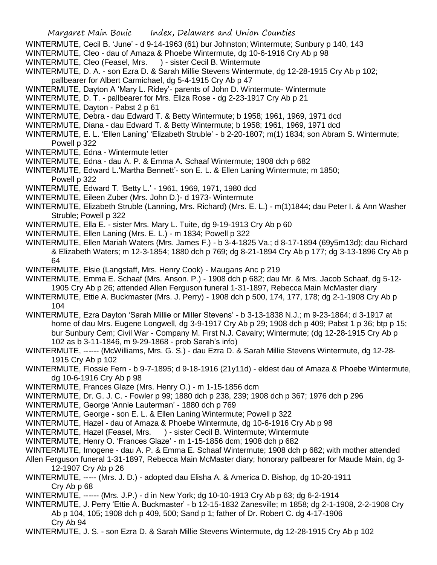- WINTERMUTE, Cecil B. 'June' d 9-14-1963 (61) bur Johnston; Wintermute; Sunbury p 140, 143
- WINTERMUTE, Cleo dau of Amaza & Phoebe Wintermute, dg 10-6-1916 Cry Ab p 98
- WINTERMUTE, Cleo (Feasel, Mrs. ) sister Cecil B. Wintermute
- WINTERMUTE, D. A. son Ezra D. & Sarah Millie Stevens Wintermute, dg 12-28-1915 Cry Ab p 102; pallbearer for Albert Carmichael, dg 5-4-1915 Cry Ab p 47
- WINTERMUTE, Dayton A 'Mary L. Ridey'- parents of John D. Wintermute- Wintermute
- WINTERMUTE, D. T. pallbearer for Mrs. Eliza Rose dg 2-23-1917 Cry Ab p 21
- WINTERMUTE, Dayton Pabst 2 p 61
- WINTERMUTE, Debra dau Edward T. & Betty Wintermute; b 1958; 1961, 1969, 1971 dcd
- WINTERMUTE, Diana dau Edward T. & Betty Wintermute; b 1958; 1961, 1969, 1971 dcd
- WINTERMUTE, E. L. 'Ellen Laning' 'Elizabeth Struble' b 2-20-1807; m(1) 1834; son Abram S. Wintermute; Powell p 322
- WINTERMUTE, Edna Wintermute letter
- WINTERMUTE, Edna dau A. P. & Emma A. Schaaf Wintermute; 1908 dch p 682
- WINTERMUTE, Edward L.'Martha Bennett'- son E. L. & Ellen Laning Wintermute; m 1850; Powell p 322
- WINTERMUTE, Edward T. 'Betty L.' 1961, 1969, 1971, 1980 dcd
- WINTERMUTE, Eileen Zuber (Mrs. John D.)- d 1973- Wintermute
- WINTERMUTE, Elizabeth Struble (Lanning, Mrs. Richard) (Mrs. E. L.) m(1)1844; dau Peter I. & Ann Washer Struble; Powell p 322
- WINTERMUTE, Ella E. sister Mrs. Mary L. Tuite, dg 9-19-1913 Cry Ab p 60
- WINTERMUTE, Ellen Laning (Mrs. E. L.) m 1834; Powell p 322
- WINTERMUTE, Ellen Mariah Waters (Mrs. James F.) b 3-4-1825 Va.; d 8-17-1894 (69y5m13d); dau Richard & Elizabeth Waters; m 12-3-1854; 1880 dch p 769; dg 8-21-1894 Cry Ab p 177; dg 3-13-1896 Cry Ab p 64
- WINTERMUTE, Elsie (Langstaff, Mrs. Henry Cook) Maugans Anc p 219
- WINTERMUTE, Emma E. Schaaf (Mrs. Anson. P.) 1908 dch p 682; dau Mr. & Mrs. Jacob Schaaf, dg 5-12- 1905 Cry Ab p 26; attended Allen Ferguson funeral 1-31-1897, Rebecca Main McMaster diary
- WINTERMUTE, Ettie A. Buckmaster (Mrs. J. Perry) 1908 dch p 500, 174, 177, 178; dg 2-1-1908 Cry Ab p 104
- WINTERMUTE, Ezra Dayton 'Sarah Millie or Miller Stevens' b 3-13-1838 N.J.; m 9-23-1864; d 3-1917 at home of dau Mrs. Eugene Longwell, dg 3-9-1917 Cry Ab p 29; 1908 dch p 409; Pabst 1 p 36; btp p 15; bur Sunbury Cem; Civil War - Company M. First N.J. Cavalry; Wintermute; (dg 12-28-1915 Cry Ab p 102 as b 3-11-1846, m 9-29-1868 - prob Sarah's info)
- WINTERMUTE, ------ (McWilliams, Mrs. G. S.) dau Ezra D. & Sarah Millie Stevens Wintermute, dg 12-28- 1915 Cry Ab p 102
- WINTERMUTE, Flossie Fern b 9-7-1895; d 9-18-1916 (21y11d) eldest dau of Amaza & Phoebe Wintermute, dg 10-6-1916 Cry Ab p 98
- WINTERMUTE, Frances Glaze (Mrs. Henry O.) m 1-15-1856 dcm
- WINTERMUTE, Dr. G. J. C. Fowler p 99; 1880 dch p 238, 239; 1908 dch p 367; 1976 dch p 296
- WINTERMUTE, George 'Annie Lauterman' 1880 dch p 769
- WINTERMUTE, George son E. L. & Ellen Laning Wintermute; Powell p 322
- WINTERMUTE, Hazel dau of Amaza & Phoebe Wintermute, dg 10-6-1916 Cry Ab p 98
- WINTERMUTE, Hazel (Feasel, Mrs. ) sister Cecil B. Wintermute; Wintermute
- WINTERMUTE, Henry O. 'Frances Glaze' m 1-15-1856 dcm; 1908 dch p 682
- WINTERMUTE, Imogene dau A. P. & Emma E. Schaaf Wintermute; 1908 dch p 682; with mother attended
- Allen Ferguson funeral 1-31-1897, Rebecca Main McMaster diary; honorary pallbearer for Maude Main, dg 3- 12-1907 Cry Ab p 26
- WINTERMUTE, ----- (Mrs. J. D.) adopted dau Elisha A. & America D. Bishop, dg 10-20-1911 Cry Ab p 68
- WINTERMUTE, ------ (Mrs. J.P.) d in New York; dg 10-10-1913 Cry Ab p 63; dg 6-2-1914
- WINTERMUTE, J. Perry 'Ettie A. Buckmaster' b 12-15-1832 Zanesville; m 1858; dg 2-1-1908, 2-2-1908 Cry Ab p 104, 105; 1908 dch p 409, 500; Sand p 1; father of Dr. Robert C. dg 4-17-1906 Cry Ab 94
- WINTERMUTE, J. S. son Ezra D. & Sarah Millie Stevens Wintermute, dg 12-28-1915 Cry Ab p 102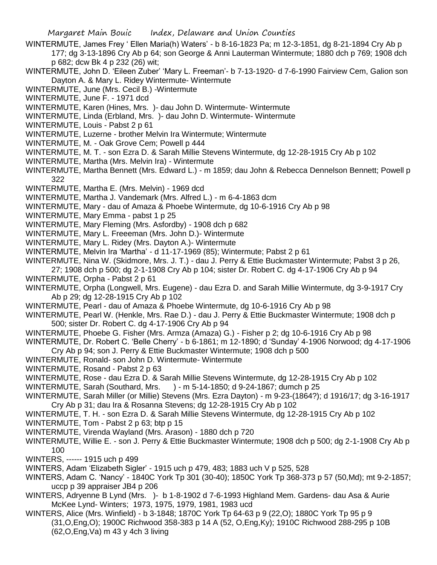- WINTERMUTE, James Frey ' Ellen Maria(h) Waters' b 8-16-1823 Pa; m 12-3-1851, dg 8-21-1894 Cry Ab p 177; dg 3-13-1896 Cry Ab p 64; son George & Anni Lauterman Wintermute; 1880 dch p 769; 1908 dch p 682; dcw Bk 4 p 232 (26) wit;
- WINTERMUTE, John D. 'Eileen Zuber' 'Mary L. Freeman'- b 7-13-1920- d 7-6-1990 Fairview Cem, Galion son Dayton A. & Mary L. Ridey Wintermute- Wintermute
- WINTERMUTE, June (Mrs. Cecil B.) -Wintermute
- WINTERMUTE, June F. 1971 dcd
- WINTERMUTE, Karen (Hines, Mrs. )- dau John D. Wintermute- Wintermute
- WINTERMUTE, Linda (Erbland, Mrs. )- dau John D. Wintermute- Wintermute
- WINTERMUTE, Louis Pabst 2 p 61
- WINTERMUTE, Luzerne brother Melvin Ira Wintermute; Wintermute
- WINTERMUTE, M. Oak Grove Cem; Powell p 444
- WINTERMUTE, M. T. son Ezra D. & Sarah Millie Stevens Wintermute, dg 12-28-1915 Cry Ab p 102
- WINTERMUTE, Martha (Mrs. Melvin Ira) Wintermute
- WINTERMUTE, Martha Bennett (Mrs. Edward L.) m 1859; dau John & Rebecca Dennelson Bennett; Powell p 322
- WINTERMUTE, Martha E. (Mrs. Melvin) 1969 dcd
- WINTERMUTE, Martha J. Vandemark (Mrs. Alfred L.) m 6-4-1863 dcm
- WINTERMUTE, Mary dau of Amaza & Phoebe Wintermute, dg 10-6-1916 Cry Ab p 98
- WINTERMUTE, Mary Emma pabst 1 p 25
- WINTERMUTE, Mary Fleming (Mrs. Asfordby) 1908 dch p 682
- WINTERMUTE, Mary L. Freeeman (Mrs. John D.)- Wintermute
- WINTERMUTE, Mary L. Ridey (Mrs. Dayton A.)- Wintermute
- WINTERMUTE, Melvin Ira 'Martha' d 11-17-1969 (85); Wintermute; Pabst 2 p 61
- WINTERMUTE, Nina W. (Skidmore, Mrs. J. T.) dau J. Perry & Ettie Buckmaster Wintermute; Pabst 3 p 26, 27; 1908 dch p 500; dg 2-1-1908 Cry Ab p 104; sister Dr. Robert C. dg 4-17-1906 Cry Ab p 94
- WINTERMUTE, Orpha Pabst 2 p 61
- WINTERMUTE, Orpha (Longwell, Mrs. Eugene) dau Ezra D. and Sarah Millie Wintermute, dg 3-9-1917 Cry Ab p 29; dg 12-28-1915 Cry Ab p 102
- WINTERMUTE, Pearl dau of Amaza & Phoebe Wintermute, dg 10-6-1916 Cry Ab p 98
- WINTERMUTE, Pearl W. (Henkle, Mrs. Rae D.) dau J. Perry & Ettie Buckmaster Wintermute; 1908 dch p 500; sister Dr. Robert C. dg 4-17-1906 Cry Ab p 94
- WINTERMUTE, Phoebe G. Fisher (Mrs. Armza (Amaza) G.) Fisher p 2; dg 10-6-1916 Cry Ab p 98
- WINTERMUTE, Dr. Robert C. 'Belle Cherry' b 6-1861; m 12-1890; d 'Sunday' 4-1906 Norwood; dg 4-17-1906 Cry Ab p 94; son J. Perry & Ettie Buckmaster Wintermute; 1908 dch p 500
- WINTERMUTE, Ronald- son John D. Wintermute- Wintermute
- WINTERMUTE, Rosand Pabst 2 p 63
- WINTERMUTE, Rose dau Ezra D. & Sarah Millie Stevens Wintermute, dg 12-28-1915 Cry Ab p 102
- WINTERMUTE, Sarah (Southard, Mrs. ) m 5-14-1850; d 9-24-1867; dumch p 25
- WINTERMUTE, Sarah Miller (or Millie) Stevens (Mrs. Ezra Dayton) m 9-23-(1864?); d 1916/17; dg 3-16-1917 Cry Ab p 31; dau Ira & Rosanna Stevens; dg 12-28-1915 Cry Ab p 102
- WINTERMUTE, T. H. son Ezra D. & Sarah Millie Stevens Wintermute, dg 12-28-1915 Cry Ab p 102
- WINTERMUTE, Tom Pabst 2 p 63; btp p 15
- WINTERMUTE, Virenda Wayland (Mrs. Arason) 1880 dch p 720
- WINTERMUTE, Willie E. son J. Perry & Ettie Buckmaster Wintermute; 1908 dch p 500; dg 2-1-1908 Cry Ab p 100
- WINTERS, ------ 1915 uch p 499
- WINTERS, Adam 'Elizabeth Sigler' 1915 uch p 479, 483; 1883 uch V p 525, 528
- WINTERS, Adam C. 'Nancy' 1840C York Tp 301 (30-40); 1850C York Tp 368-373 p 57 (50,Md); mt 9-2-1857; uccp p 39 appraiser JB4 p 206
- WINTERS, Adryenne B Lynd (Mrs. )- b 1-8-1902 d 7-6-1993 Highland Mem. Gardens- dau Asa & Aurie McKee Lynd- Winters; 1973, 1975, 1979, 1981, 1983 ucd
- WINTERS, Alice (Mrs. Winfield) b 3-1848; 1870C York Tp 64-63 p 9 (22,O); 1880C York Tp 95 p 9 (31,O,Eng,O); 1900C Richwood 358-383 p 14 A (52, O,Eng,Ky); 1910C Richwood 288-295 p 10B (62,O,Eng,Va) m 43 y 4ch 3 living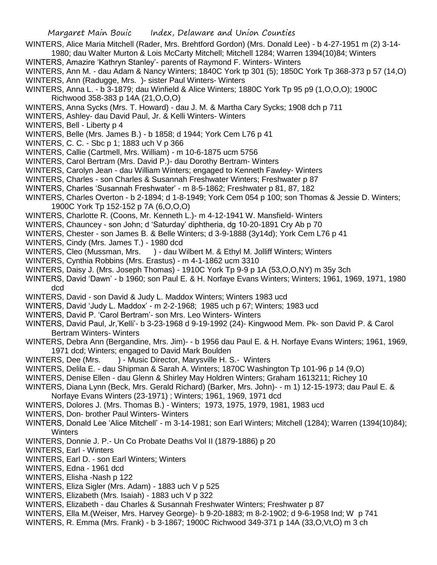- WINTERS, Alice Maria Mitchell (Rader, Mrs. Brehtford Gordon) (Mrs. Donald Lee) b 4-27-1951 m (2) 3-14- 1980; dau Walter Murton & Lois McCarty Mitchell; Mitchell 1284; Warren 1394(10)84; Winters
- WINTERS, Amazire 'Kathryn Stanley'- parents of Raymond F. Winters- Winters
- WINTERS, Ann M. dau Adam & Nancy Winters; 1840C York tp 301 (5); 1850C York Tp 368-373 p 57 (14,O) WINTERS, Ann (Radugge, Mrs. )- sister Paul Winters- Winters
- WINTERS, Anna L. b 3-1879; dau Winfield & Alice Winters; 1880C York Tp 95 p9 (1,O,O,O); 1900C Richwood 358-383 p 14A (21,O,O,O)
- WINTERS, Anna Sycks (Mrs. T. Howard) dau J. M. & Martha Cary Sycks; 1908 dch p 711
- WINTERS, Ashley- dau David Paul, Jr. & Kelli Winters- Winters
- WINTERS, Bell Liberty p 4
- WINTERS, Belle (Mrs. James B.) b 1858; d 1944; York Cem L76 p 41
- WINTERS, C. C. Sbc p 1; 1883 uch V p 366
- WINTERS, Callie (Cartmell, Mrs. William) m 10-6-1875 ucm 5756
- WINTERS, Carol Bertram (Mrs. David P.)- dau Dorothy Bertram- Winters
- WINTERS, Carolyn Jean dau William Winters; engaged to Kenneth Fawley- Winters
- WINTERS, Charles son Charles & Susannah Freshwater Winters; Freshwater p 87
- WINTERS, Charles 'Susannah Freshwater' m 8-5-1862; Freshwater p 81, 87, 182
- WINTERS, Charles Overton b 2-1894; d 1-8-1949; York Cem 054 p 100; son Thomas & Jessie D. Winters; 1900C York Tp 152-152 p 7A (6,O,O,O)
- WINTERS, Charlotte R. (Coons, Mr. Kenneth L.)- m 4-12-1941 W. Mansfield- Winters
- WINTERS, Chauncey son John; d 'Saturday' diphtheria, dg 10-20-1891 Cry Ab p 70
- WINTERS, Chester son James B. & Belle Winters; d 3-9-1888 (3y14d); York Cem L76 p 41
- WINTERS, Cindy (Mrs. James T.) 1980 dcd
- WINTERS, Cleo (Mussman, Mrs. ) dau Wilbert M. & Ethyl M. Jolliff Winters; Winters
- WINTERS, Cynthia Robbins (Mrs. Erastus) m 4-1-1862 ucm 3310
- WINTERS, Daisy J. (Mrs. Joseph Thomas) 1910C York Tp 9-9 p 1A (53,O,O,NY) m 35y 3ch
- WINTERS, David 'Dawn' b 1960; son Paul E. & H. Norfaye Evans Winters; Winters; 1961, 1969, 1971, 1980 dcd
- WINTERS, David son David & Judy L. Maddox Winters; Winters 1983 ucd
- WINTERS, David 'Judy L. Maddox' m 2-2-1968; 1985 uch p 67; Winters; 1983 ucd
- WINTERS, David P. 'Carol Bertram'- son Mrs. Leo Winters- Winters
- WINTERS, David Paul, Jr,'Kelli'- b 3-23-1968 d 9-19-1992 (24)- Kingwood Mem. Pk- son David P. & Carol Bertram Winters- Winters
- WINTERS, Debra Ann (Bergandine, Mrs. Jim)- b 1956 dau Paul E. & H. Norfaye Evans Winters; 1961, 1969, 1971 dcd; Winters; engaged to David Mark Boulden
- WINTERS, Dee (Mrs. ) Music Director, Marysville H. S.- Winters
- WINTERS, Delila E. dau Shipman & Sarah A. Winters; 1870C Washington Tp 101-96 p 14 (9,O)
- WINTERS, Denise Ellen dau Glenn & Shirley May Holdren Winters; Graham 1613211; Richey 10
- WINTERS, Diana Lynn (Beck, Mrs. Gerald Richard) (Barker, Mrs. John)- m 1) 12-15-1973; dau Paul E. & Norfaye Evans Winters (23-1971) ; Winters; 1961, 1969, 1971 dcd
- 
- WINTERS, Dolores J. (Mrs. Thomas B.) Winters; 1973, 1975, 1979, 1981, 1983 ucd
- WINTERS, Don- brother Paul Winters- Winters
- WINTERS, Donald Lee 'Alice Mitchell' m 3-14-1981; son Earl Winters; Mitchell (1284); Warren (1394(10)84); **Winters**
- WINTERS, Donnie J. P.- Un Co Probate Deaths Vol II (1879-1886) p 20
- WINTERS, Earl Winters
- WINTERS, Earl D. son Earl Winters; Winters
- WINTERS, Edna 1961 dcd
- WINTERS, Elisha -Nash p 122
- WINTERS, Eliza Sigler (Mrs. Adam) 1883 uch V p 525
- WINTERS, Elizabeth (Mrs. Isaiah) 1883 uch V p 322
- WINTERS, Elizabeth dau Charles & Susannah Freshwater Winters; Freshwater p 87
- WINTERS, Ella M.(Weiser, Mrs. Harvey George)- b 9-20-1883; m 8-2-1902; d 9-6-1958 Ind; W p 741
- WINTERS, R. Emma (Mrs. Frank) b 3-1867; 1900C Richwood 349-371 p 14A (33,O,Vt,O) m 3 ch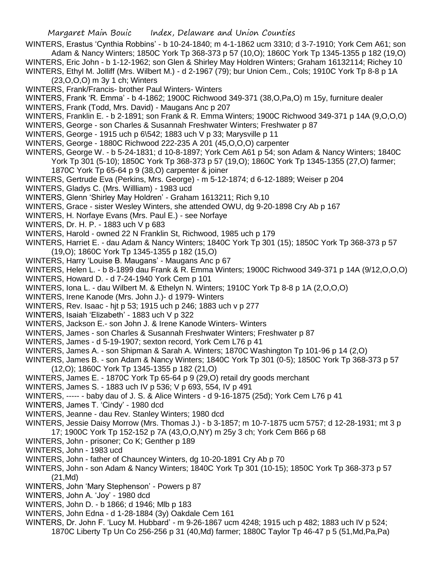WINTERS, Erastus 'Cynthia Robbins' - b 10-24-1840; m 4-1-1862 ucm 3310; d 3-7-1910; York Cem A61; son Adam & Nancy Winters; 1850C York Tp 368-373 p 57 (10,O); 1860C York Tp 1345-1355 p 182 (19,O) WINTERS, Eric John - b 1-12-1962; son Glen & Shirley May Holdren Winters; Graham 16132114; Richey 10

WINTERS, Ethyl M. Jolliff (Mrs. Wilbert M.) - d 2-1967 (79); bur Union Cem., Cols; 1910C York Tp 8-8 p 1A (23,O,O,O) m 3y 1 ch; Winters

- WINTERS, Frank/Francis- brother Paul Winters- Winters
- WINTERS, Frank 'R. Emma' b 4-1862; 1900C Richwood 349-371 (38,O,Pa,O) m 15y, furniture dealer
- WINTERS, Frank (Todd, Mrs. David) Maugans Anc p 207
- WINTERS, Franklin E. b 2-1891; son Frank & R. Emma Winters; 1900C Richwood 349-371 p 14A (9,O,O,O)
- WINTERS, George son Charles & Susannah Freshwater Winters; Freshwater p 87
- WINTERS, George 1915 uch p 6\542; 1883 uch V p 33; Marysville p 11
- WINTERS, George 1880C Richwood 222-235 A 201 (45,O,O,O) carpenter
- WINTERS, George W. b 5-24-1831; d 10-8-1897; York Cem A61 p 54; son Adam & Nancy Winters; 1840C York Tp 301 (5-10); 1850C York Tp 368-373 p 57 (19,O); 1860C York Tp 1345-1355 (27,O) farmer;
	- 1870C York Tp 65-64 p 9 (38,O) carpenter & joiner
- WINTERS, Gertrude Eva (Perkins, Mrs. George) m 5-12-1874; d 6-12-1889; Weiser p 204
- WINTERS, Gladys C. (Mrs. Willliam) 1983 ucd
- WINTERS, Glenn 'Shirley May Holdren' Graham 1613211; Rich 9,10
- WINTERS, Grace sister Wesley Winters, she attended OWU, dg 9-20-1898 Cry Ab p 167
- WINTERS, H. Norfaye Evans (Mrs. Paul E.) see Norfaye
- WINTERS, Dr. H. P. 1883 uch V p 683
- WINTERS, Harold owned 22 N Franklin St, Richwood, 1985 uch p 179
- WINTERS, Harriet E. dau Adam & Nancy Winters; 1840C York Tp 301 (15); 1850C York Tp 368-373 p 57 (19,O); 1860C York Tp 1345-1355 p 182 (15,O)
- WINTERS, Harry 'Louise B. Maugans' Maugans Anc p 67
- WINTERS, Helen L. b 8-1899 dau Frank & R. Emma Winters; 1900C Richwood 349-371 p 14A (9/12,O,O,O)
- WINTERS, Howard D. d 7-24-1940 York Cem p 101
- WINTERS, Iona L. dau Wilbert M. & Ethelyn N. Winters; 1910C York Tp 8-8 p 1A (2,O,O,O)
- WINTERS, Irene Kanode (Mrs. John J.)- d 1979- Winters
- WINTERS, Rev. Isaac hjt p 53; 1915 uch p 246; 1883 uch v p 277
- WINTERS, Isaiah 'Elizabeth' 1883 uch V p 322
- WINTERS, Jackson E.- son John J. & Irene Kanode Winters- Winters
- WINTERS, James son Charles & Susannah Freshwater Winters; Freshwater p 87
- WINTERS, James d 5-19-1907; sexton record, York Cem L76 p 41
- WINTERS, James A. son Shipman & Sarah A. Winters; 1870C Washington Tp 101-96 p 14 (2,O)
- WINTERS, James B. son Adam & Nancy Winters; 1840C York Tp 301 (0-5); 1850C York Tp 368-373 p 57 (12,O); 1860C York Tp 1345-1355 p 182 (21,O)
- WINTERS, James E. 1870C York Tp 65-64 p 9 (29,O) retail dry goods merchant
- WINTERS, James S. 1883 uch IV p 536; V p 693, 554, IV p 491
- WINTERS, ----- baby dau of J. S. & Alice Winters d 9-16-1875 (25d); York Cem L76 p 41
- WINTERS, James T. 'Cindy' 1980 dcd
- WINTERS, Jeanne dau Rev. Stanley Winters; 1980 dcd
- WINTERS, Jessie Daisy Morrow (Mrs. Thomas J.) b 3-1857; m 10-7-1875 ucm 5757; d 12-28-1931; mt 3 p 17; 1900C York Tp 152-152 p 7A (43,O,O,NY) m 25y 3 ch; York Cem B66 p 68
- WINTERS, John prisoner; Co K; Genther p 189
- WINTERS, John 1983 ucd
- WINTERS, John father of Chauncey Winters, dg 10-20-1891 Cry Ab p 70
- WINTERS, John son Adam & Nancy Winters; 1840C York Tp 301 (10-15); 1850C York Tp 368-373 p 57 (21,Md)
- WINTERS, John 'Mary Stephenson' Powers p 87
- WINTERS, John A. 'Joy' 1980 dcd
- WINTERS, John D. b 1866; d 1946; Mlb p 183
- WINTERS, John Edna d 1-28-1884 (3y) Oakdale Cem 161
- WINTERS, Dr. John F. 'Lucy M. Hubbard' m 9-26-1867 ucm 4248; 1915 uch p 482; 1883 uch IV p 524; 1870C Liberty Tp Un Co 256-256 p 31 (40,Md) farmer; 1880C Taylor Tp 46-47 p 5 (51,Md,Pa,Pa)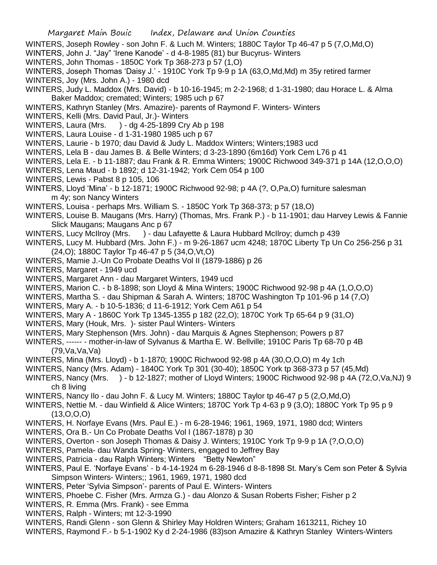- WINTERS, Joseph Rowley son John F. & Luch M. Winters; 1880C Taylor Tp 46-47 p 5 (7,O,Md,O)
- WINTERS, John J. "Jay" 'Irene Kanode' d 4-8-1985 (81) bur Bucyrus- Winters
- WINTERS, John Thomas 1850C York Tp 368-273 p 57 (1,O)
- WINTERS, Joseph Thomas 'Daisy J.' 1910C York Tp 9-9 p 1A (63, O, Md, Md) m 35y retired farmer
- WINTERS, Joy (Mrs. John A.) 1980 dcd
- WINTERS, Judy L. Maddox (Mrs. David) b 10-16-1945; m 2-2-1968; d 1-31-1980; dau Horace L. & Alma Baker Maddox; cremated; Winters; 1985 uch p 67
- WINTERS, Kathryn Stanley (Mrs. Amazire)- parents of Raymond F. Winters- Winters
- WINTERS, Kelli (Mrs. David Paul, Jr.)- Winters
- WINTERS, Laura (Mrs. ) dg 4-25-1899 Cry Ab p 198
- WINTERS, Laura Louise d 1-31-1980 1985 uch p 67
- WINTERS, Laurie b 1970; dau David & Judy L. Maddox Winters; Winters;1983 ucd
- WINTERS, Lela B dau James B. & Belle Winters; d 3-23-1890 (6m16d) York Cem L76 p 41
- WINTERS, Lela E. b 11-1887; dau Frank & R. Emma Winters; 1900C Richwood 349-371 p 14A (12,O,O,O)
- WINTERS, Lena Maud b 1892; d 12-31-1942; York Cem 054 p 100
- WINTERS, Lewis Pabst 8 p 105, 106
- WINTERS, Lloyd 'Mina' b 12-1871; 1900C Richwood 92-98; p 4A (?, O,Pa,O) furniture salesman m 4y; son Nancy Winters
- WINTERS, Louisa perhaps Mrs. William S. 1850C York Tp 368-373; p 57 (18,O)
- WINTERS, Louise B. Maugans (Mrs. Harry) (Thomas, Mrs. Frank P.) b 11-1901; dau Harvey Lewis & Fannie Slick Maugans; Maugans Anc p 67
- WINTERS, Lucy McIlroy (Mrs. ) dau Lafayette & Laura Hubbard McIlroy; dumch p 439
- WINTERS, Lucy M. Hubbard (Mrs. John F.) m 9-26-1867 ucm 4248; 1870C Liberty Tp Un Co 256-256 p 31 (24,O); 1880C Taylor Tp 46-47 p 5 (34,O,Vt,O)
- WINTERS, Mamie J.-Un Co Probate Deaths Vol II (1879-1886) p 26
- WINTERS, Margaret 1949 ucd
- WINTERS, Margaret Ann dau Margaret Winters, 1949 ucd
- WINTERS, Marion C. b 8-1898; son Lloyd & Mina Winters; 1900C Richwood 92-98 p 4A (1,O,O,O)
- WINTERS, Martha S. dau Shipman & Sarah A. Winters; 1870C Washington Tp 101-96 p 14 (7,O)
- WINTERS, Mary A. b 10-5-1836; d 11-6-1912; York Cem A61 p 54
- WINTERS, Mary A 1860C York Tp 1345-1355 p 182 (22,O); 1870C York Tp 65-64 p 9 (31,O)
- WINTERS, Mary (Houk, Mrs. )- sister Paul Winters- Winters
- WINTERS, Mary Stephenson (Mrs. John) dau Marquis & Agnes Stephenson; Powers p 87
- WINTERS, ------ mother-in-law of Sylvanus & Martha E. W. Bellville; 1910C Paris Tp 68-70 p 4B (79,Va,Va,Va)
- WINTERS, Mina (Mrs. Lloyd) b 1-1870; 1900C Richwood 92-98 p 4A (30,O,O,O) m 4y 1ch
- WINTERS, Nancy (Mrs. Adam) 1840C York Tp 301 (30-40); 1850C York tp 368-373 p 57 (45,Md)
- WINTERS, Nancy (Mrs. ) b 12-1827; mother of Lloyd Winters; 1900C Richwood 92-98 p 4A (72,O,Va,NJ) 9 ch 8 living
- WINTERS, Nancy Ilo dau John F. & Lucy M. Winters; 1880C Taylor tp 46-47 p 5 (2,O,Md,O)
- WINTERS, Nettie M. dau Winfield & Alice Winters; 1870C York Tp 4-63 p 9 (3,O); 1880C York Tp 95 p 9  $(13,0,0,0)$
- WINTERS, H. Norfaye Evans (Mrs. Paul E.) m 6-28-1946; 1961, 1969, 1971, 1980 dcd; Winters
- WINTERS, Ora B.- Un Co Probate Deaths Vol I (1867-1878) p 30
- WINTERS, Overton son Joseph Thomas & Daisy J. Winters; 1910C York Tp 9-9 p 1A (?,O,O,O)
- WINTERS, Pamela- dau Wanda Spring- Winters, engaged to Jeffrey Bay
- WINTERS, Patricia dau Ralph Winters; Winters "Betty Newton"
- WINTERS, Paul E. 'Norfaye Evans' b 4-14-1924 m 6-28-1946 d 8-8-1898 St. Mary's Cem son Peter & Sylvia Simpson Winters- Winters;; 1961, 1969, 1971, 1980 dcd
- WINTERS, Peter 'Sylvia Simpson'- parents of Paul E. Winters- Winters
- WINTERS, Phoebe C. Fisher (Mrs. Armza G.) dau Alonzo & Susan Roberts Fisher; Fisher p 2
- WINTERS, R. Emma (Mrs. Frank) see Emma
- WINTERS, Ralph Winters; mt 12-3-1990
- WINTERS, Randi Glenn son Glenn & Shirley May Holdren Winters; Graham 1613211, Richey 10
- WINTERS, Raymond F.- b 5-1-1902 Ky d 2-24-1986 (83)son Amazire & Kathryn Stanley Winters-Winters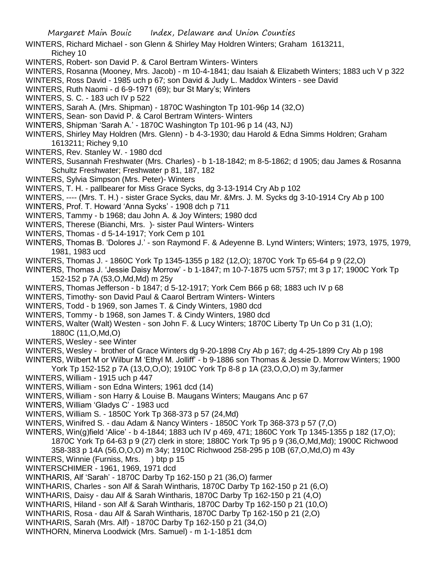WINTERS, Richard Michael - son Glenn & Shirley May Holdren Winters; Graham 1613211, Richey 10

- WINTERS, Robert- son David P. & Carol Bertram Winters- Winters
- WINTERS, Rosanna (Mooney, Mrs. Jacob) m 10-4-1841; dau Isaiah & Elizabeth Winters; 1883 uch V p 322
- WINTERS, Ross David 1985 uch p 67; son David & Judy L. Maddox Winters see David
- WINTERS, Ruth Naomi d 6-9-1971 (69); bur St Mary's; Winters
- WINTERS, S. C. 183 uch IV p 522
- WINTERS, Sarah A. (Mrs. Shipman) 1870C Washington Tp 101-96p 14 (32,O)
- WINTERS, Sean- son David P. & Carol Bertram Winters- Winters
- WINTERS, Shipman 'Sarah A.' 1870C Washington Tp 101-96 p 14 (43, NJ)
- WINTERS, Shirley May Holdren (Mrs. Glenn) b 4-3-1930; dau Harold & Edna Simms Holdren; Graham 1613211; Richey 9,10
- WINTERS, Rev. Stanley W. 1980 dcd
- WINTERS, Susannah Freshwater (Mrs. Charles) b 1-18-1842; m 8-5-1862; d 1905; dau James & Rosanna Schultz Freshwater; Freshwater p 81, 187, 182
- WINTERS, Sylvia Simpson (Mrs. Peter)- Winters
- WINTERS, T. H. pallbearer for Miss Grace Sycks, dg 3-13-1914 Cry Ab p 102
- WINTERS, ---- (Mrs. T. H.) sister Grace Sycks, dau Mr. &Mrs. J. M. Sycks dg 3-10-1914 Cry Ab p 100
- WINTERS, Prof. T. Howard 'Anna Sycks' 1908 dch p 711
- WINTERS, Tammy b 1968; dau John A. & Joy Winters; 1980 dcd
- WINTERS, Therese (Bianchi, Mrs. )- sister Paul Winters- Winters
- WINTERS, Thomas d 5-14-1917; York Cem p 101
- WINTERS, Thomas B. 'Dolores J.' son Raymond F. & Adeyenne B. Lynd Winters; Winters; 1973, 1975, 1979, 1981, 1983 ucd
- WINTERS, Thomas J. 1860C York Tp 1345-1355 p 182 (12,O); 1870C York Tp 65-64 p 9 (22,O)
- WINTERS, Thomas J. 'Jessie Daisy Morrow' b 1-1847; m 10-7-1875 ucm 5757; mt 3 p 17; 1900C York Tp 152-152 p 7A (53,O,Md,Md) m 25y
- WINTERS, Thomas Jefferson b 1847; d 5-12-1917; York Cem B66 p 68; 1883 uch IV p 68
- WINTERS, Timothy- son David Paul & Caarol Bertram Winters- Winters
- WINTERS, Todd b 1969, son James T. & Cindy Winters, 1980 dcd
- WINTERS, Tommy b 1968, son James T. & Cindy Winters, 1980 dcd
- WINTERS, Walter (Walt) Westen son John F. & Lucy Winters; 1870C Liberty Tp Un Co p 31 (1,0); 1880C (11,O,Md,O)
- WINTERS, Wesley see Winter
- WINTERS, Wesley brother of Grace Winters dg 9-20-1898 Cry Ab p 167; dg 4-25-1899 Cry Ab p 198
- WINTERS, Wilbert M or Wilbur M 'Ethyl M. Jolliff' b 9-1886 son Thomas & Jessie D. Morrow Winters; 1900 York Tp 152-152 p 7A (13,O,O,O); 1910C York Tp 8-8 p 1A (23,O,O,O) m 3y,farmer
- WINTERS, William 1915 uch p 447
- WINTERS, William son Edna Winters; 1961 dcd (14)
- WINTERS, William son Harry & Louise B. Maugans Winters; Maugans Anc p 67
- WINTERS, William 'Gladys C' 1983 ucd
- WINTERS, William S. 1850C York Tp 368-373 p 57 (24,Md)
- WINTERS, Winifred S. dau Adam & Nancy Winters 1850C York Tp 368-373 p 57 (7,O)
- WINTERS, Win(g)field 'Alice' b 4-1844; 1883 uch IV p 469, 471; 1860C York Tp 1345-1355 p 182 (17,O);
	- 1870C York Tp 64-63 p 9 (27) clerk in store; 1880C York Tp 95 p 9 (36,O,Md,Md); 1900C Richwood
	- 358-383 p 14A (56,O,O,O) m 34y; 1910C Richwood 258-295 p 10B (67,O,Md,O) m 43y
- WINTERS, Winnie (Furniss, Mrs. ) btp p 15
- WINTERSCHIMER 1961, 1969, 1971 dcd
- WINTHARIS, Alf 'Sarah' 1870C Darby Tp 162-150 p 21 (36,O) farmer
- WINTHARIS, Charles son Alf & Sarah Wintharis, 1870C Darby Tp 162-150 p 21 (6,O)
- WINTHARIS, Daisy dau Alf & Sarah Wintharis, 1870C Darby Tp 162-150 p 21 (4,O)
- WINTHARIS, Hiland son Alf & Sarah Wintharis, 1870C Darby Tp 162-150 p 21 (10,O)
- WINTHARIS, Rosa dau Alf & Sarah Wintharis, 1870C Darby Tp 162-150 p 21 (2,O)
- WINTHARIS, Sarah (Mrs. Alf) 1870C Darby Tp 162-150 p 21 (34,O)
- WINTHORN, Minerva Loodwick (Mrs. Samuel) m 1-1-1851 dcm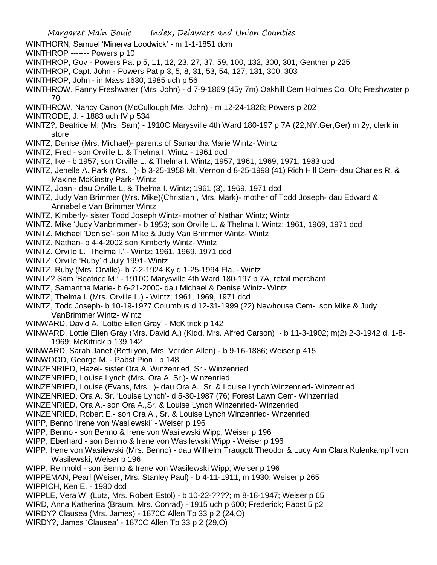- WINTHORN, Samuel 'Minerva Loodwick' m 1-1-1851 dcm
- WINTHROP ------- Powers p 10
- WINTHROP, Gov Powers Pat p 5, 11, 12, 23, 27, 37, 59, 100, 132, 300, 301; Genther p 225
- WINTHROP, Capt. John Powers Pat p 3, 5, 8, 31, 53, 54, 127, 131, 300, 303
- WINTHROP, John in Mass 1630; 1985 uch p 56
- WINTHROW, Fanny Freshwater (Mrs. John) d 7-9-1869 (45y 7m) Oakhill Cem Holmes Co, Oh; Freshwater p 70
- WINTHROW, Nancy Canon (McCullough Mrs. John) m 12-24-1828; Powers p 202
- WINTRODE, J. 1883 uch IV p 534
- WINTZ?, Beatrice M. (Mrs. Sam) 1910C Marysville 4th Ward 180-197 p 7A (22,NY,Ger,Ger) m 2y, clerk in store
- WINTZ, Denise (Mrs. Michael)- parents of Samantha Marie Wintz- Wintz
- WINTZ, Fred son Orville L. & Thelma I. Wintz 1961 dcd
- WINTZ, Ike b 1957; son Orville L. & Thelma I. Wintz; 1957, 1961, 1969, 1971, 1983 ucd
- WINTZ, Jenelle A. Park (Mrs. )- b 3-25-1958 Mt. Vernon d 8-25-1998 (41) Rich Hill Cem- dau Charles R. & Maxine McKinstry Park- Wintz
- WINTZ, Joan dau Orville L. & Thelma I. Wintz; 1961 (3), 1969, 1971 dcd
- WINTZ, Judy Van Brimmer (Mrs. Mike)(Christian , Mrs. Mark)- mother of Todd Joseph- dau Edward & Annabelle Van Brimmer Wintz
- WINTZ, Kimberly- sister Todd Joseph Wintz- mother of Nathan Wintz; Wintz
- WINTZ, Mike 'Judy Vanbrimmer'- b 1953; son Orville L. & Thelma I. Wintz; 1961, 1969, 1971 dcd
- WINTZ, Michael 'Denise'- son Mike & Judy Van Brimmer Wintz- Wintz
- WINTZ, Nathan- b 4-4-2002 son Kimberly Wintz- Wintz
- WINTZ, Orville L. 'Thelma I.' Wintz; 1961, 1969, 1971 dcd
- WINTZ, Orville 'Ruby' d July 1991- Wintz
- WINTZ, Ruby (Mrs. Orville)- b 7-2-1924 Ky d 1-25-1994 Fla. Wintz
- WINTZ? Sam 'Beatrice M.' 1910C Marysville 4th Ward 180-197 p 7A, retail merchant
- WINTZ, Samantha Marie- b 6-21-2000- dau Michael & Denise Wintz- Wintz
- WINTZ, Thelma I. (Mrs. Orville L.) Wintz; 1961, 1969, 1971 dcd
- WINTZ, Todd Joseph- b 10-19-1977 Columbus d 12-31-1999 (22) Newhouse Cem- son Mike & Judy VanBrimmer Wintz- Wintz
- WINWARD, David A. 'Lottie Ellen Gray' McKitrick p 142
- WINWARD, Lottie Ellen Gray (Mrs. David A.) (Kidd, Mrs. Alfred Carson) b 11-3-1902; m(2) 2-3-1942 d. 1-8- 1969; McKitrick p 139,142
- WINWARD, Sarah Janet (Bettilyon, Mrs. Verden Allen) b 9-16-1886; Weiser p 415
- WINWOOD, George M. Pabst Pion I p 148
- WINZENRIED, Hazel- sister Ora A. Winzenried, Sr.- Winzenried
- WINZENRIED, Louise Lynch (Mrs. Ora A. Sr.)- Winzenried
- WINZENRIED, Louise (Evans, Mrs. )- dau Ora A., Sr. & Louise Lynch Winzenried- Winzenried
- WINZENRIED, Ora A. Sr. 'Louise Lynch'- d 5-30-1987 (76) Forest Lawn Cem- Winzenried
- WINZENRIED, Ora A.- son Ora A.,Sr. & Louise Lynch Winzenried- Winzenried
- WINZENRIED, Robert E.- son Ora A., Sr. & Louise Lynch Winzenried- Wnzenried
- WIPP, Benno 'Irene von Wasilewski' Weiser p 196
- WIPP, Benno son Benno & Irene von Wasilewski Wipp; Weiser p 196
- WIPP, Eberhard son Benno & Irene von Wasilewski Wipp Weiser p 196
- WIPP, Irene von Wasilewski (Mrs. Benno) dau Wilhelm Traugott Theodor & Lucy Ann Clara Kulenkampff von Wasilewski; Weiser p 196
- WIPP, Reinhold son Benno & Irene von Wasilewski Wipp; Weiser p 196
- WIPPEMAN, Pearl (Weiser, Mrs. Stanley Paul) b 4-11-1911; m 1930; Weiser p 265 WIPPICH, Ken E. - 1980 dcd
- WIPPLE, Vera W. (Lutz, Mrs. Robert Estol) b 10-22-????; m 8-18-1947; Weiser p 65
- WIRD, Anna Katherina (Braum, Mrs. Conrad) 1915 uch p 600; Frederick; Pabst 5 p2
- WIRDY? Clausea (Mrs. James) 1870C Allen Tp 33 p 2 (24,O)
- WIRDY?, James 'Clausea' 1870C Allen Tp 33 p 2 (29,O)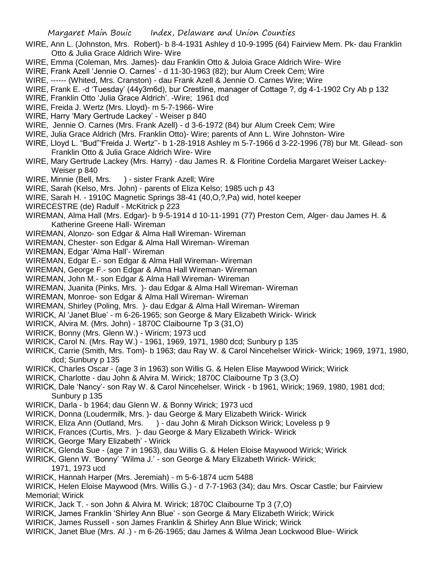- WIRE, Ann L. (Johnston, Mrs. Robert)- b 8-4-1931 Ashley d 10-9-1995 (64) Fairview Mem. Pk- dau Franklin Otto & Julia Grace Aldrich Wire- Wire
- WIRE, Emma (Coleman, Mrs. James)- dau Franklin Otto & Juloia Grace Aldrich Wire- Wire

WIRE, Frank Azell 'Jennie O. Carnes' - d 11-30-1963 (82); bur Alum Creek Cem; Wire

- WIRE, ------ (Whited, Mrs. Cranston) dau Frank Azell & Jennie O. Carnes Wire; Wire
- WIRE, Frank E. -d 'Tuesday' (44y3m6d), bur Crestline, manager of Cottage ?, dg 4-1-1902 Cry Ab p 132
- WIRE, Franklin Otto 'Julia Grace Aldrich'. -Wire; 1961 dcd
- WIRE, Freida J. Wertz (Mrs. Lloyd)- m 5-7-1966- Wire
- WIRE, Harry 'Mary Gertrude Lackey' Weiser p 840
- WIRE, Jennie O. Carnes (Mrs. Frank Azell) d 3-6-1972 (84) bur Alum Creek Cem; Wire
- WIRE, Julia Grace Aldrich (Mrs. Franklin Otto)- Wire; parents of Ann L. Wire Johnston- Wire
- WIRE, Lloyd L. "Bud"'Freida J. Wertz''- b 1-28-1918 Ashley m 5-7-1966 d 3-22-1996 (78) bur Mt. Gilead- son Franklin Otto & Julia Grace Aldrich Wire- Wire
- WIRE, Mary Gertrude Lackey (Mrs. Harry) dau James R. & Floritine Cordelia Margaret Weiser Lackey-Weiser p 840
- WIRE, Minnie (Bell, Mrs. ) sister Frank Azell; Wire
- WIRE, Sarah (Kelso, Mrs. John) parents of Eliza Kelso; 1985 uch p 43
- WIRE, Sarah H. 1910C Magnetic Springs 38-41 (40,O,?,Pa) wid, hotel keeper
- WIRECESTRE (de) Radulf McKitrick p 223
- WIREMAN, Alma Hall (Mrs. Edgar)- b 9-5-1914 d 10-11-1991 (77) Preston Cem, Alger- dau James H. & Katherine Greene Hall- Wireman
- WIREMAN, Alonzo- son Edgar & Alma Hall Wireman- Wireman
- WIREMAN, Chester- son Edgar & Alma Hall Wireman- Wireman
- WIREMAN, Edgar 'Alma Hall'- Wireman
- WIREMAN, Edgar E.- son Edgar & Alma Hall Wireman- Wireman
- WIREMAN, George F.- son Edgar & Alma Hall Wireman- Wireman
- WIREMAN, John M.- son Edgar & Alma Hall Wireman- Wireman
- WIREMAN, Juanita (Pinks, Mrs. )- dau Edgar & Alma Hall Wireman- Wireman
- WIREMAN, Monroe- son Edgar & Alma Hall Wireman- Wireman
- WIREMAN, Shirley (Poling, Mrs. )- dau Edgar & Alma Hall Wireman- Wireman
- WIRICK, Al 'Janet Blue' m 6-26-1965; son George & Mary Elizabeth Wirick- Wirick
- WIRICK, Alvira M. (Mrs. John) 1870C Claibourne Tp 3 (31,O)
- WIRICK, Bonny (Mrs. Glenn W.) Wiricm; 1973 ucd
- WIRICK, Carol N. (Mrs. Ray W.) 1961, 1969, 1971, 1980 dcd; Sunbury p 135
- WIRICK, Carrie (Smith, Mrs. Tom)- b 1963; dau Ray W. & Carol Nincehelser Wirick- Wirick; 1969, 1971, 1980, dcd; Sunbury p 135
- WIRICK, Charles Oscar (age 3 in 1963) son Willis G. & Helen Elise Maywood Wirick; Wirick
- WIRICK, Charlotte dau John & Alvira M. Wirick; 1870C Claibourne Tp 3 (3,O)
- WIRICK, Dale 'Nancy'- son Ray W. & Carol Nincehelser. Wirick b 1961, Wirick; 1969, 1980, 1981 dcd; Sunbury p 135
- WIRICK, Darla b 1964; dau Glenn W. & Bonny Wirick; 1973 ucd
- WIRICK, Donna (Loudermilk, Mrs. )- dau George & Mary Elizabeth Wirick- Wirick
- WIRICK, Eliza Ann (Outland, Mrs. ) dau John & Mirah Dickson Wirick; Loveless p 9
- WIRICK, Frances (Curtis, Mrs. )- dau George & Mary Elizabeth Wirick- Wirick
- WIRICK, George 'Mary Elizabeth' Wirick
- WIRICK, Glenda Sue (age 7 in 1963), dau Willis G. & Helen Eloise Maywood Wirick; Wirick
- WIRICK, Glenn W. 'Bonny' 'Wilma J.' son George & Mary Elizabeth Wirick- Wirick; 1971, 1973 ucd
- WIRICK, Hannah Harper (Mrs. Jeremiah) m 5-6-1874 ucm 5488
- WIRICK, Helen Eloise Maywood (Mrs. Willis G.) d 7-7-1963 (34); dau Mrs. Oscar Castle; bur Fairview Memorial; Wirick
- WIRICK, Jack T. son John & Alvira M. Wirick; 1870C Claibourne Tp 3 (7,O)
- WIRICK, James Franklin 'Shirley Ann Blue' son George & Mary Elizabeth Wirick; Wirick
- WIRICK, James Russell son James Franklin & Shirley Ann Blue Wirick; Wirick
- WIRICK, Janet Blue (Mrs. Al .) m 6-26-1965; dau James & Wilma Jean Lockwood Blue- Wirick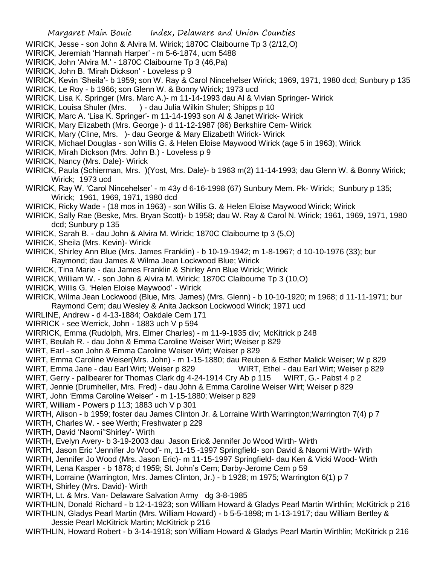- WIRICK, Jesse son John & Alvira M. Wirick; 1870C Claibourne Tp 3 (2/12,O)
- WIRICK, Jeremiah 'Hannah Harper' m 5-6-1874, ucm 5488
- WIRICK, John 'Alvira M.' 1870C Claibourne Tp 3 (46,Pa)
- WIRICK, John B. 'Mirah Dickson' Loveless p 9
- WIRICK, Kevin 'Sheila'- b 1959; son W. Ray & Carol Nincehelser Wirick; 1969, 1971, 1980 dcd; Sunbury p 135
- WIRICK, Le Roy b 1966; son Glenn W. & Bonny Wirick; 1973 ucd
- WIRICK, Lisa K. Springer (Mrs. Marc A.)- m 11-14-1993 dau Al & Vivian Springer- Wirick
- WIRICK, Louisa Shuler (Mrs. ) dau Julia Wilkin Shuler; Shipps p 10
- WIRICK, Marc A. 'Lisa K. Springer'- m 11-14-1993 son Al & Janet Wirick- Wirick
- WIRICK, Mary Elizabeth (Mrs. George )- d 11-12-1987 (86) Berkshire Cem- Wirick
- WIRICK, Mary (Cline, Mrs. )- dau George & Mary Elizabeth Wirick- Wirick
- WIRICK, Michael Douglas son Willis G. & Helen Eloise Maywood Wirick (age 5 in 1963); Wirick
- WIRICK, Mirah Dickson (Mrs. John B.) Loveless p 9
- WIRICK, Nancy (Mrs. Dale)- Wirick
- WIRICK, Paula (Schierman, Mrs. )(Yost, Mrs. Dale)- b 1963 m(2) 11-14-1993; dau Glenn W. & Bonny Wirick; Wirick; 1973 ucd
- WIRICK, Ray W. 'Carol Nincehelser' m 43y d 6-16-1998 (67) Sunbury Mem. Pk- Wirick; Sunbury p 135; Wirick; 1961, 1969, 1971, 1980 dcd
- WIRICK, Ricky Wade (18 mos in 1963) son Willis G. & Helen Eloise Maywood Wirick; Wirick
- WIRICK, Sally Rae (Beske, Mrs. Bryan Scott)- b 1958; dau W. Ray & Carol N. Wirick; 1961, 1969, 1971, 1980 dcd; Sunbury p 135
- WIRICK, Sarah B. dau John & Alvira M. Wirick; 1870C Claibourne tp 3 (5,O)
- WIRICK, Sheila (Mrs. Kevin)- Wirick
- WIRICK, Shirley Ann Blue (Mrs. James Franklin) b 10-19-1942; m 1-8-1967; d 10-10-1976 (33); bur Raymond; dau James & Wilma Jean Lockwood Blue; Wirick
- WIRICK, Tina Marie dau James Franklin & Shirley Ann Blue Wirick; Wirick
- WIRICK, William W. son John & Alvira M. Wirick; 1870C Claibourne Tp 3 (10,O)
- WIRICK, Willis G. 'Helen Eloise Maywood' Wirick
- WIRICK, Wilma Jean Lockwood (Blue, Mrs. James) (Mrs. Glenn) b 10-10-1920; m 1968; d 11-11-1971; bur Raymond Cem; dau Wesley & Anita Jackson Lockwood Wirick; 1971 ucd
- WIRLINE, Andrew d 4-13-1884; Oakdale Cem 171
- WIRRICK see Werrick, John 1883 uch V p 594
- WIRRICK, Emma (Rudolph, Mrs. Elmer Charles) m 11-9-1935 div; McKitrick p 248
- WIRT, Beulah R. dau John & Emma Caroline Weiser Wirt; Weiser p 829
- WIRT, Earl son John & Emma Caroline Weiser Wirt; Weiser p 829
- WIRT, Emma Caroline Weiser(Mrs. John) m 1-15-1880; dau Reuben & Esther Malick Weiser; W p 829
- WIRT, Emma Jane dau Earl Wirt; Weiser p 829 WIRT, Ethel dau Earl Wirt; Weiser p 829
- WIRT, Gerry pallbearer for Thomas Clark dg 4-24-1914 Cry Ab p 115 WIRT, G.- Pabst 4 p 2
- WIRT, Jennie (Drumheller, Mrs. Fred) dau John & Emma Caroline Weiser Wirt; Weiser p 829
- WIRT, John 'Emma Caroline Weiser' m 1-15-1880; Weiser p 829
- WIRT, William Powers p 113; 1883 uch V p 301
- WIRTH, Alison b 1959; foster dau James Clinton Jr. & Lorraine Wirth Warrington;Warrington 7(4) p 7
- WIRTH, Charles W. see Werth; Freshwater p 229
- WIRTH, David 'Naomi''Shirley'- Wirth
- WIRTH, Evelyn Avery- b 3-19-2003 dau Jason Eric& Jennifer Jo Wood Wirth- Wirth
- WIRTH, Jason Eric 'Jennifer Jo Wood'- m, 11-15 -1997 Springfield- son David & Naomi Wirth- Wirth
- WIRTH, Jennifer Jo Wood (Mrs. Jason Eric)- m 11-15-1997 Springfield- dau Ken & Vicki Wood- Wirth
- WIRTH, Lena Kasper b 1878; d 1959; St. John's Cem; Darby-Jerome Cem p 59
- WIRTH, Lorraine (Warrington, Mrs. James Clinton, Jr.) b 1928; m 1975; Warrington 6(1) p 7
- WIRTH, Shirley (Mrs. David)- Wirth
- WIRTH, Lt. & Mrs. Van- Delaware Salvation Army dg 3-8-1985
- WIRTHLIN, Donald Richard b 12-1-1923; son William Howard & Gladys Pearl Martin Wirthlin; McKitrick p 216 WIRTHLIN, Gladys Pearl Martin (Mrs. William Howard) - b 5-5-1898; m 1-13-1917; dau William Bertley & Jessie Pearl McKitrick Martin; McKitrick p 216
- WIRTHLIN, Howard Robert b 3-14-1918; son William Howard & Gladys Pearl Martin Wirthlin; McKitrick p 216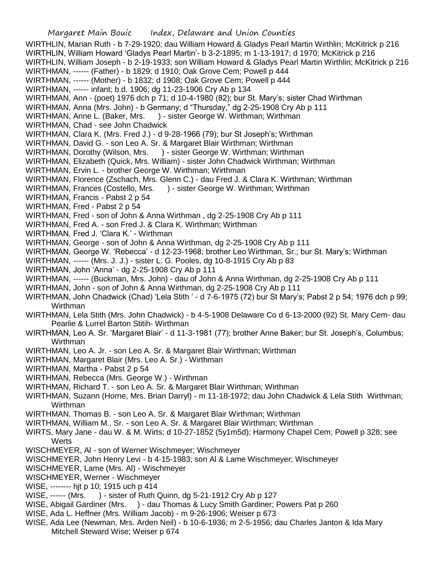WIRTHLIN, Marian Ruth - b 7-29-1920; dau William Howard & Gladys Pearl Martin Wirthlin; McKitrick p 216 WIRTHLIN, William Howard 'Gladys Pearl Martin'- b 3-2-1895; m 1-13-1917; d 1970; McKitrick p 216 WIRTHLIN, William Joseph - b 2-19-1933; son William Howard & Gladys Pearl Martin Wirthlin; McKitrick p 216 WIRTHMAN, ------ (Father) - b 1829; d 1910; Oak Grove Cem; Powell p 444 WIRTHMAN, ------ (Mother) - b 1832; d 1908; Oak Grove Cem; Powell p 444 WIRTHMAN, ------ infant; b.d. 1906; dg 11-23-1906 Cry Ab p 134 WIRTHMAN, Ann - (poet) 1976 dch p 71; d 10-4-1980 (82); bur St. Mary's; sister Chad Wirthman WIRTHMAN, Anna (Mrs. John) - b Germany; d "Thursday," dg 2-25-1908 Cry Ab p 111 WIRTHMAN, Anne L. (Baker, Mrs. ) - sister George W. Wirthman; Wirthman WIRTHMAN, Chad - see John Chadwick WIRTHMAN, Clara K. (Mrs. Fred J.) - d 9-28-1966 (79); bur St Joseph's; Wirthman WIRTHMAN, David G. - son Leo A. Sr. & Margaret Blair Wirthman; Wirthman WIRTHMAN, Dorothy (Wilson, Mrs. ) - sister George W. Wirthman; Wirthman WIRTHMAN, Elizabeth (Quick, Mrs. William) - sister John Chadwick Wirthman; Wirthman WIRTHMAN, Ervin L. - brother George W. Wirthman; Wirthman WIRTHMAN, Florence (Zschach, Mrs. Glenn C.) - dau Fred J. & Clara K. Wirthman; Wirthman WIRTHMAN, Frances (Costello, Mrs. ) - sister George W. Wirthman; Wirthman WIRTHMAN, Francis - Pabst 2 p 54 WIRTHMAN, Fred - Pabst 2 p 54 WIRTHMAN, Fred - son of John & Anna Wirthman , dg 2-25-1908 Cry Ab p 111 WIRTHMAN, Fred A. - son Fred J. & Clara K. Wirthman; Wirthman WIRTHMAN, Fred J. 'Clara K.' - Wirthman WIRTHMAN, George - son of John & Anna Wirthman, dg 2-25-1908 Cry Ab p 111 WIRTHMAN, George W. 'Rebecca' - d 12-23-1968; brother Leo Wirthman, Sr.; bur St. Mary's; Wirthman WIRTHMAN, ------ (Mrs. J. J.) - sister L. G. Pooles, dg 10-8-1915 Cry Ab p 83 WIRTHMAN, John 'Anna' - dg 2-25-1908 Cry Ab p 111 WIRTHMAN, ------ (Buckman, Mrs. John) - dau of John & Anna Wirthman, dg 2-25-1908 Cry Ab p 111 WIRTHMAN, John - son of John & Anna Wirthman, dg 2-25-1908 Cry Ab p 111 WIRTHMAN, John Chadwick (Chad) 'Lela Stith ' - d 7-6-1975 (72) bur St Mary's; Pabst 2 p 54; 1976 dch p 99; Wirthman WIRTHMAN, Lela Stith (Mrs. John Chadwick) - b 4-5-1908 Delaware Co d 6-13-2000 (92) St. Mary Cem- dau Pearlie & Lurrel Barton Stitih- Wirthman WIRTHMAN, Leo A. Sr. 'Margaret Blair' - d 11-3-1981 (77); brother Anne Baker; bur St. Joseph's, Columbus; Wirthman WIRTHMAN, Leo A. Jr. - son Leo A. Sr. & Margaret Blair Wirthman; Wirthman WIRTHMAN, Margaret Blair (Mrs. Leo A. Sr.) - Wirthman WIRTHMAN, Martha - Pabst 2 p 54 WIRTHMAN, Rebecca (Mrs. George W.) - Wirthman WIRTHMAN, Richard T. - son Leo A. Sr. & Margaret Blair Wirthman; Wirthman WIRTHMAN, Suzann (Horne, Mrs. Brian Darryl) - m 11-18-1972; dau John Chadwick & Lela Stith Wirthman; Wirthman WIRTHMAN, Thomas B. - son Leo A. Sr. & Margaret Blair Wirthman; Wirthman WIRTHMAN, William M., Sr. - son Leo A. Sr. & Margaret Blair Wirthman; Wirthman WIRTS, Mary Jane - dau W. & M. Wirts; d 10-27-1852 (5y1m5d); Harmony Chapel Cem; Powell p 328; see **Werts** WISCHMEYER, Al - son of Werner Wischmeyer; Wischmeyer WISCHMEYER, John Henry Levi - b 4-15-1983; son Al & Lame Wischmeyer; Wischmeyer WISCHMEYER, Lame (Mrs. Al) - Wischmeyer WISCHMEYER, Werner - Wischmeyer WISE, -------- hjt p 10; 1915 uch p 414 WISE, ------ (Mrs. ) - sister of Ruth Quinn, dg 5-21-1912 Cry Ab p 127 WISE, Abigail Gardiner (Mrs. ) - dau Thomas & Lucy Smith Gardiner; Powers Pat p 260 WISE, Ada L. Heffner (Mrs. William Jacob) - m 9-26-1906; Weiser p 673

WISE, Ada Lee (Newman, Mrs. Arden Neil) - b 10-6-1936; m 2-5-1956; dau Charles Janton & Ida Mary Mitchell Steward Wise; Weiser p 674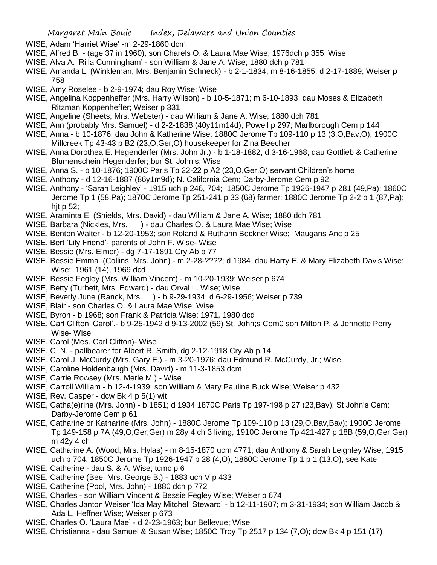- WISE, Adam 'Harriet Wise' -m 2-29-1860 dcm
- WISE, Alfred B. (age 37 in 1960); son Charels O. & Laura Mae Wise; 1976dch p 355; Wise
- WISE, Alva A. 'Rilla Cunningham' son William & Jane A. Wise; 1880 dch p 781
- WISE, Amanda L. (Winkleman, Mrs. Benjamin Schneck) b 2-1-1834; m 8-16-1855; d 2-17-1889; Weiser p 758
- WISE, Amy Roselee b 2-9-1974; dau Roy Wise; Wise
- WISE, Angelina Koppenheffer (Mrs. Harry Wilson) b 10-5-1871; m 6-10-1893; dau Moses & Elizabeth Ritzman Koppenheffer; Weiser p 331
- WISE, Angeline (Sheets, Mrs. Webster) dau William & Jane A. Wise; 1880 dch 781
- WISE, Ann (probably Mrs. Samuel) d 2-2-1838 (40y11m14d); Powell p 297; Marlborough Cem p 144
- WISE, Anna b 10-1876; dau John & Katherine Wise; 1880C Jerome Tp 109-110 p 13 (3,O,Bav,O); 1900C Millcreek Tp 43-43 p B2 (23,O,Ger,O) housekeeper for Zina Beecher
- WISE, Anna Dorothea E. Hegenderfer (Mrs. John Jr.) b 1-18-1882; d 3-16-1968; dau Gottlieb & Catherine Blumenschein Hegenderfer; bur St. John's; Wise
- WISE, Anna S. b 10-1876; 1900C Paris Tp 22-22 p A2 (23,O,Ger,O) servant Children's home
- WISE, Anthony d 12-16-1887 (86y1m9d); N. California Cem; Darby-Jerome Cem p 92
- WISE, Anthony 'Sarah Leighley' 1915 uch p 246, 704; 1850C Jerome Tp 1926-1947 p 281 (49,Pa); 1860C Jerome Tp 1 (58,Pa); 1870C Jerome Tp 251-241 p 33 (68) farmer; 1880C Jerome Tp 2-2 p 1 (87,Pa); hjt p 52;
- WISE, Araminta E. (Shields, Mrs. David) dau William & Jane A. Wise; 1880 dch 781
- WISE, Barbara (Nickles, Mrs. ) dau Charles O. & Laura Mae Wise; Wise
- WISE, Benton Walter b 12-20-1953; son Roland & Ruthann Beckner Wise; Maugans Anc p 25
- WISE, Bert 'Lily Friend'- parents of John F. Wise- Wise
- WISE, Bessie (Mrs. Elmer) dg 7-17-1891 Cry Ab p 77
- WISE, Bessie Emma (Collins, Mrs. John) m 2-28-????; d 1984 dau Harry E. & Mary Elizabeth Davis Wise; Wise; 1961 (14), 1969 dcd
- WISE, Bessie Fegley (Mrs. William Vincent) m 10-20-1939; Weiser p 674
- WISE, Betty (Turbett, Mrs. Edward) dau Orval L. Wise; Wise
- WISE, Beverly June (Ranck, Mrs. ) b 9-29-1934; d 6-29-1956; Weiser p 739
- WISE, Blair son Charles O. & Laura Mae Wise; Wise
- WISE, Byron b 1968; son Frank & Patricia Wise; 1971, 1980 dcd
- WISE, Carl Clifton 'Carol'.- b 9-25-1942 d 9-13-2002 (59) St. John;s Cem0 son Milton P. & Jennette Perry Wise- Wise
- WISE, Carol (Mes. Carl Clifton)- Wise
- WISE, C. N. pallbearer for Albert R. Smith, dg 2-12-1918 Cry Ab p 14
- WISE, Carol J. McCurdy (Mrs. Gary E.) m 3-20-1976; dau Edmund R. McCurdy, Jr.; Wise
- WISE, Caroline Holdenbaugh (Mrs. David) m 11-3-1853 dcm
- WISE, Carrie Rowsey (Mrs. Merle M.) Wise
- WISE, Carroll William b 12-4-1939; son William & Mary Pauline Buck Wise; Weiser p 432
- WISE, Rev. Casper dcw Bk 4 p 5(1) wit
- WISE, Catha(e)rine (Mrs. John) b 1851; d 1934 1870C Paris Tp 197-198 p 27 (23,Bav); St John's Cem; Darby-Jerome Cem p 61
- WISE, Catharine or Katharine (Mrs. John) 1880C Jerome Tp 109-110 p 13 (29,O,Bav,Bav); 1900C Jerome Tp 149-158 p 7A (49,O,Ger,Ger) m 28y 4 ch 3 living; 1910C Jerome Tp 421-427 p 18B (59,O,Ger,Ger) m 42y 4 ch
- WISE, Catharine A. (Wood, Mrs. Hylas) m 8-15-1870 ucm 4771; dau Anthony & Sarah Leighley Wise; 1915 uch p 704; 1850C Jerome Tp 1926-1947 p 28 (4,O); 1860C Jerome Tp 1 p 1 (13,O); see Kate
- WISE, Catherine dau S. & A. Wise; tcmc p 6
- WISE, Catherine (Bee, Mrs. George B.) 1883 uch V p 433
- WISE, Catherine (Pool, Mrs. John) 1880 dch p 772
- WISE, Charles son William Vincent & Bessie Fegley Wise; Weiser p 674
- WISE, Charles Janton Weiser 'Ida May Mitchell Steward' b 12-11-1907; m 3-31-1934; son William Jacob & Ada L. Heffner Wise; Weiser p 673
- WISE, Charles O. 'Laura Mae' d 2-23-1963; bur Bellevue; Wise
- WISE, Christianna dau Samuel & Susan Wise; 1850C Troy Tp 2517 p 134 (7,O); dcw Bk 4 p 151 (17)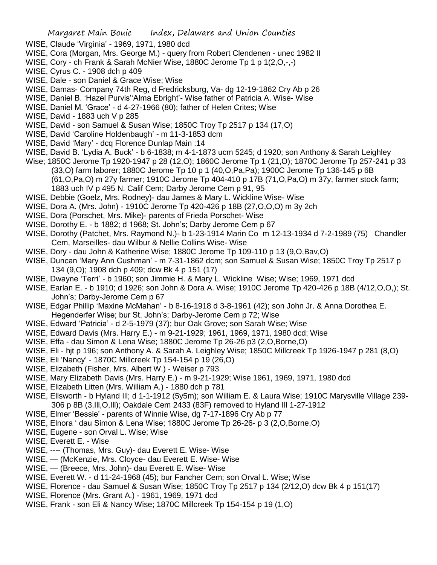- WISE, Claude 'Virginia' 1969, 1971, 1980 dcd
- WISE, Cora (Morgan, Mrs. George M.) query from Robert Clendenen unec 1982 II
- WISE, Cory ch Frank & Sarah McNier Wise, 1880C Jerome Tp 1 p 1(2, O, -,-)
- WISE, Cyrus C. 1908 dch p 409
- WISE, Dale son Daniel & Grace Wise; Wise
- WISE, Damas- Company 74th Reg, d Fredricksburg, Va- dg 12-19-1862 Cry Ab p 26
- WISE, Daniel B. 'Hazel Purvis''Alma Ebright'- Wise father of Patricia A. Wise- Wise
- WISE, Daniel M. 'Grace' d 4-27-1966 (80); father of Helen Crites; Wise
- WISE, David 1883 uch V p 285
- WISE, David son Samuel & Susan Wise; 1850C Troy Tp 2517 p 134 (17,O)
- WISE, David 'Caroline Holdenbaugh' m 11-3-1853 dcm
- WISE, David 'Mary' dcq Florence Dunlap Main :14
- WISE, David B. 'Lydia A. Buck' b 6-1838; m 4-1-1873 ucm 5245; d 1920; son Anthony & Sarah Leighley
- Wise; 1850C Jerome Tp 1920-1947 p 28 (12,O); 1860C Jerome Tp 1 (21,O); 1870C Jerome Tp 257-241 p 33 (33,O) farm laborer; 1880C Jerome Tp 10 p 1 (40,O,Pa,Pa); 1900C Jerome Tp 136-145 p 6B (61,O,Pa,O) m 27y farmer; 1910C Jerome Tp 404-410 p 17B (71,O,Pa,O) m 37y, farmer stock farm; 1883 uch IV p 495 N. Calif Cem; Darby Jerome Cem p 91, 95
- WISE, Debbie (Goelz, Mrs. Rodney)- dau James & Mary L. Wickline Wise- Wise
- WISE, Dora A. (Mrs. John) 1910C Jerome Tp 420-426 p 18B (27,O,O,O) m 3y 2ch
- WISE, Dora (Porschet, Mrs. Mike)- parents of Frieda Porschet- Wise
- WISE, Dorothy E. b 1882; d 1968; St. John's; Darby Jerome Cem p 67
- WISE, Dorothy (Patchet, Mrs. Raymond N.)- b 1-23-1914 Marin Co m 12-13-1934 d 7-2-1989 (75) Chandler Cem, Marseilles- dau Wilbur & Nellie Collins Wise- Wise
- WISE, Dory dau John & Katherine Wise; 1880C Jerome Tp 109-110 p 13 (9,O,Bav,O)
- WISE, Duncan 'Mary Ann Cushman' m 7-31-1862 dcm; son Samuel & Susan Wise; 1850C Troy Tp 2517 p 134 (9,O); 1908 dch p 409; dcw Bk 4 p 151 (17)
- WISE, Dwayne 'Terri' b 1960; son Jimmie H. & Mary L. Wickline Wise; Wise; 1969, 1971 dcd
- WISE, Earlan E. b 1910; d 1926; son John & Dora A. Wise; 1910C Jerome Tp 420-426 p 18B (4/12,O,O,); St. John's; Darby-Jerome Cem p 67
- WISE, Edgar Phillip 'Maxine McMahan' b 8-16-1918 d 3-8-1961 (42); son John Jr. & Anna Dorothea E. Hegenderfer Wise; bur St. John's; Darby-Jerome Cem p 72; Wise
- WISE, Edward 'Patricia' d 2-5-1979 (37); bur Oak Grove; son Sarah Wise; Wise
- WISE, Edward Davis (Mrs. Harry E.) m 9-21-1929; 1961, 1969, 1971, 1980 dcd; Wise
- WISE, Effa dau Simon & Lena Wise; 1880C Jerome Tp 26-26 p3 (2,O,Borne,O)
- WISE, Eli hjt p 196; son Anthony A. & Sarah A. Leighley Wise; 1850C Millcreek Tp 1926-1947 p 281 (8,O)
- WISE, Eli 'Nancy' 1870C Millcreek Tp 154-154 p 19 (26,O)
- WISE, Elizabeth (Fisher, Mrs. Albert W.) Weiser p 793
- WISE, Mary Elizabeth Davis (Mrs. Harry E.) m 9-21-1929; Wise 1961, 1969, 1971, 1980 dcd
- WISE, Elizabeth Litten (Mrs. William A.) 1880 dch p 781
- WISE, Ellsworth b Hyland Ill; d 1-1-1912 (5y5m); son William E. & Laura Wise; 1910C Marysville Village 239- 306 p 8B (3,Ill,O,Ill); Oakdale Cem 2433 (83F) removed to Hyland Ill 1-27-1912
- WISE, Elmer 'Bessie' parents of Winnie Wise, dg 7-17-1896 Cry Ab p 77
- WISE, Elnora ' dau Simon & Lena Wise; 1880C Jerome Tp 26-26- p 3 (2,O,Borne,O)
- WISE, Eugene son Orval L. Wise; Wise
- WISE, Everett E. Wise
- WISE, ---- (Thomas, Mrs. Guy)- dau Everett E. Wise- Wise
- WISE, (McKenzie, Mrs. Cloyce- dau Everett E. Wise- Wise
- WISE, (Breece, Mrs. John)- dau Everett E. Wise- Wise
- WISE, Everett W. d 11-24-1968 (45); bur Fancher Cem; son Orval L. Wise; Wise
- WISE, Florence dau Samuel & Susan Wise; 1850C Troy Tp 2517 p 134 (2/12,O) dcw Bk 4 p 151(17)
- WISE, Florence (Mrs. Grant A.) 1961, 1969, 1971 dcd
- WISE, Frank son Eli & Nancy Wise; 1870C Millcreek Tp 154-154 p 19 (1,O)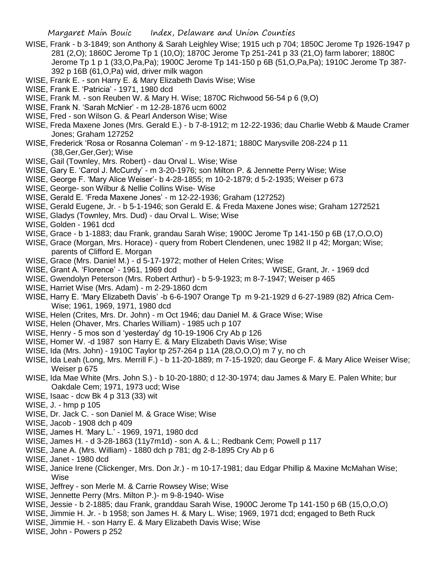- WISE, Frank b 3-1849; son Anthony & Sarah Leighley Wise; 1915 uch p 704; 1850C Jerome Tp 1926-1947 p 281 (2,O); 1860C Jerome Tp 1 (10,O); 1870C Jerome Tp 251-241 p 33 (21,O) farm laborer; 1880C Jerome Tp 1 p 1 (33,O,Pa,Pa); 1900C Jerome Tp 141-150 p 6B (51,O,Pa,Pa); 1910C Jerome Tp 387- 392 p 16B (61,O,Pa) wid, driver milk wagon
- WISE, Frank E. son Harry E. & Mary Elizabeth Davis Wise; Wise
- WISE, Frank E. 'Patricia' 1971, 1980 dcd
- WISE, Frank M. son Reuben W. & Mary H. Wise; 1870C Richwood 56-54 p 6 (9,O)
- WISE, Frank N. 'Sarah McNier' m 12-28-1876 ucm 6002
- WISE, Fred son Wilson G. & Pearl Anderson Wise; Wise
- WISE, Freda Maxene Jones (Mrs. Gerald E.) b 7-8-1912; m 12-22-1936; dau Charlie Webb & Maude Cramer Jones; Graham 127252
- WISE, Frederick 'Rosa or Rosanna Coleman' m 9-12-1871; 1880C Marysville 208-224 p 11 (38,Ger,Ger,Ger); Wise
- WISE, Gail (Townley, Mrs. Robert) dau Orval L. Wise; Wise
- WISE, Gary E. 'Carol J. McCurdy' m 3-20-1976; son Milton P. & Jennette Perry Wise; Wise
- WISE, George F. 'Mary Alice Weiser'- b 4-28-1855; m 10-2-1879; d 5-2-1935; Weiser p 673
- WISE, George- son Wilbur & Nellie Collins Wise- Wise
- WISE, Gerald E. 'Freda Maxene Jones' m 12-22-1936; Graham (127252)
- WISE, Gerald Eugene, Jr. b 5-1-1946; son Gerald E. & Freda Maxene Jones wise; Graham 1272521
- WISE, Gladys (Townley, Mrs. Dud) dau Orval L. Wise; Wise
- WISE, Golden 1961 dcd
- WISE, Grace b 1-1883; dau Frank, grandau Sarah Wise; 1900C Jerome Tp 141-150 p 6B (17,O,O,O)
- WISE, Grace (Morgan, Mrs. Horace) query from Robert Clendenen, unec 1982 II p 42; Morgan; Wise; parents of Clifford E. Morgan
- WISE, Grace (Mrs. Daniel M.) d 5-17-1972; mother of Helen Crites; Wise
- WISE, Grant A. 'Florence' 1961, 1969 dcd WISE, Grant, Jr. 1969 dcd
- WISE, Gwendolyn Peterson (Mrs. Robert Arthur) b 5-9-1923; m 8-7-1947; Weiser p 465
- WISE, Harriet Wise (Mrs. Adam) m 2-29-1860 dcm
- WISE, Harry E. 'Mary Elizabeth Davis' -b 6-6-1907 Orange Tp m 9-21-1929 d 6-27-1989 (82) Africa Cem-Wise; 1961, 1969, 1971, 1980 dcd
- WISE, Helen (Crites, Mrs. Dr. John) m Oct 1946; dau Daniel M. & Grace Wise; Wise
- WISE, Helen (Ohaver, Mrs. Charles William) 1985 uch p 107
- WISE, Henry 5 mos son d 'yesterday' dg 10-19-1906 Cry Ab p 126
- WISE, Homer W. -d 1987 son Harry E. & Mary Elizabeth Davis Wise; Wise
- WISE, Ida (Mrs. John) 1910C Taylor tp 257-264 p 11A (28,O,O,O) m 7 y, no ch
- WISE, Ida Leah (Long, Mrs. Merrill F.) b 11-20-1889; m 7-15-1920; dau George F. & Mary Alice Weiser Wise; Weiser p 675
- WISE, Ida Mae White (Mrs. John S.) b 10-20-1880; d 12-30-1974; dau James & Mary E. Palen White; bur Oakdale Cem; 1971, 1973 ucd; Wise
- WISE, Isaac dcw Bk 4 p 313 (33) wit
- WISE, J. hmp p 105
- WISE, Dr. Jack C. son Daniel M. & Grace Wise; Wise
- WISE, Jacob 1908 dch p 409
- WISE, James H. 'Mary L.' 1969, 1971, 1980 dcd
- WISE, James H. d 3-28-1863 (11y7m1d) son A. & L.; Redbank Cem; Powell p 117
- WISE, Jane A. (Mrs. William) 1880 dch p 781; dg 2-8-1895 Cry Ab p 6
- WISE, Janet 1980 dcd
- WISE, Janice Irene (Clickenger, Mrs. Don Jr.) m 10-17-1981; dau Edgar Phillip & Maxine McMahan Wise; Wise
- WISE, Jeffrey son Merle M. & Carrie Rowsey Wise; Wise
- WISE, Jennette Perry (Mrs. Milton P.)- m 9-8-1940- Wise
- WISE, Jessie b 2-1885; dau Frank, granddau Sarah Wise, 1900C Jerome Tp 141-150 p 6B (15,O,O,O)
- WISE, Jimmie H. Jr. b 1958; son James H. & Mary L. Wise; 1969, 1971 dcd; engaged to Beth Ruck
- WISE, Jimmie H. son Harry E. & Mary Elizabeth Davis Wise; Wise
- WISE, John Powers p 252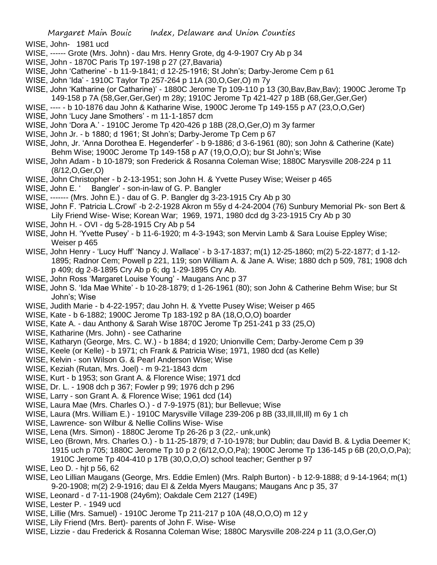- WISE, John- 1981 ucd
- WISE, ------ Grote (Mrs. John) dau Mrs. Henry Grote, dg 4-9-1907 Cry Ab p 34
- WISE, John 1870C Paris Tp 197-198 p 27 (27,Bavaria)
- WISE, John 'Catherine' b 11-9-1841; d 12-25-1916; St John's; Darby-Jerome Cem p 61
- WISE, John 'Ida' 1910C Taylor Tp 257-264 p 11A (30,O,Ger,O) m 7y
- WISE, John 'Katharine (or Catharine)' 1880C Jerome Tp 109-110 p 13 (30, Bav, Bav, Bav); 1900C Jerome Tp 149-158 p 7A (58,Ger,Ger,Ger) m 28y; 1910C Jerome Tp 421-427 p 18B (68,Ger,Ger,Ger)
- WISE, ---- b 10-1876 dau John & Katharine Wise, 1900C Jerome Tp 149-155 p A7 (23,O,O,Ger)
- WISE, John 'Lucy Jane Smothers' m 11-1-1857 dcm
- WISE, John 'Dora A.' 1910C Jerome Tp 420-426 p 18B (28,O,Ger,O) m 3y farmer
- WISE, John Jr. b 1880; d 1961; St John's; Darby-Jerome Tp Cem p 67
- WISE, John, Jr. 'Anna Dorothea E. Hegenderfer' b 9-1886; d 3-6-1961 (80); son John & Catherine (Kate) Behm Wise; 1900C Jerome Tp 149-158 p A7 (19,O,O,O); bur St John's; Wise
- WISE, John Adam b 10-1879; son Frederick & Rosanna Coleman Wise; 1880C Marysville 208-224 p 11 (8/12,O,Ger,O)
- WISE, John Christopher b 2-13-1951; son John H. & Yvette Pusey Wise; Weiser p 465
- WISE, John E. ' Bangler' son-in-law of G. P. Bangler
- WISE, ------- (Mrs. John E.) dau of G. P. Bangler dg 3-23-1915 Cry Ab p 30
- WISE, John F. 'Patricia L.Crowl' -b 2-2-1928 Akron m 55y d 4-24-2004 (76) Sunbury Memorial Pk- son Bert & Lily Friend Wise- Wise; Korean War; 1969, 1971, 1980 dcd dg 3-23-1915 Cry Ab p 30
- WISE, John H. OVI dg 5-28-1915 Cry Ab p 54
- WISE, John H. 'Yvette Pusey' b 11-6-1920; m 4-3-1943; son Mervin Lamb & Sara Louise Eppley Wise; Weiser p 465
- WISE, John Henry 'Lucy Huff' 'Nancy J. Wallace' b 3-17-1837; m(1) 12-25-1860; m(2) 5-22-1877; d 1-12- 1895; Radnor Cem; Powell p 221, 119; son William A. & Jane A. Wise; 1880 dch p 509, 781; 1908 dch p 409; dg 2-8-1895 Cry Ab p 6; dg 1-29-1895 Cry Ab.
- WISE, John Ross 'Margaret Louise Young' Maugans Anc p 37
- WISE, John S. 'Ida Mae White' b 10-28-1879; d 1-26-1961 (80); son John & Catherine Behm Wise; bur St John's; Wise
- WISE, Judith Marie b 4-22-1957; dau John H. & Yvette Pusey Wise; Weiser p 465
- WISE, Kate b 6-1882; 1900C Jerome Tp 183-192 p 8A (18,O,O,O) boarder
- WISE, Kate A. dau Anthony & Sarah Wise 1870C Jerome Tp 251-241 p 33 (25,O)
- WISE, Katharine (Mrs. John) see Catharine
- WISE, Katharyn (George, Mrs. C. W.) b 1884; d 1920; Unionville Cem; Darby-Jerome Cem p 39
- WISE, Keele (or Kelle) b 1971; ch Frank & Patricia Wise; 1971, 1980 dcd (as Kelle)
- WISE, Kelvin son Wilson G. & Pearl Anderson Wise; Wise
- WISE, Keziah (Rutan, Mrs. Joel) m 9-21-1843 dcm
- WISE, Kurt b 1953; son Grant A. & Florence Wise; 1971 dcd
- WISE, Dr. L. 1908 dch p 367; Fowler p 99; 1976 dch p 296
- WISE, Larry son Grant A. & Florence Wise; 1961 dcd (14)
- WISE, Laura Mae (Mrs. Charles O.) d 7-9-1975 (81); bur Bellevue; Wise
- WISE, Laura (Mrs. William E.) 1910C Marysville Village 239-206 p 8B (33,Ill,Ill,Ill) m 6y 1 ch
- WISE, Lawrence- son Wilbur & Nellie Collins Wise- Wise
- WISE, Lena (Mrs. Simon) 1880C Jerome Tp 26-26 p 3 (22,- unk,unk)
- WISE, Leo (Brown, Mrs. Charles O.) b 11-25-1879; d 7-10-1978; bur Dublin; dau David B. & Lydia Deemer K; 1915 uch p 705; 1880C Jerome Tp 10 p 2 (6/12,O,O,Pa); 1900C Jerome Tp 136-145 p 6B (20,O,O,Pa); 1910C Jerome Tp 404-410 p 17B (30,O,O,O) school teacher; Genther p 97
- WISE, Leo D. hjt p 56, 62
- WISE, Leo Lillian Maugans (George, Mrs. Eddie Emlen) (Mrs. Ralph Burton) b 12-9-1888; d 9-14-1964; m(1) 9-20-1908; m(2) 2-9-1916; dau El & Zelda Myers Maugans; Maugans Anc p 35, 37
- WISE, Leonard d 7-11-1908 (24y6m); Oakdale Cem 2127 (149E)
- WISE, Lester P. 1949 ucd
- WISE, Lillie (Mrs. Samuel) 1910C Jerome Tp 211-217 p 10A (48,O,O,O) m 12 y
- WISE, Lily Friend (Mrs. Bert)- parents of John F. Wise- Wise
- WISE, Lizzie dau Frederick & Rosanna Coleman Wise; 1880C Marysville 208-224 p 11 (3,O,Ger,O)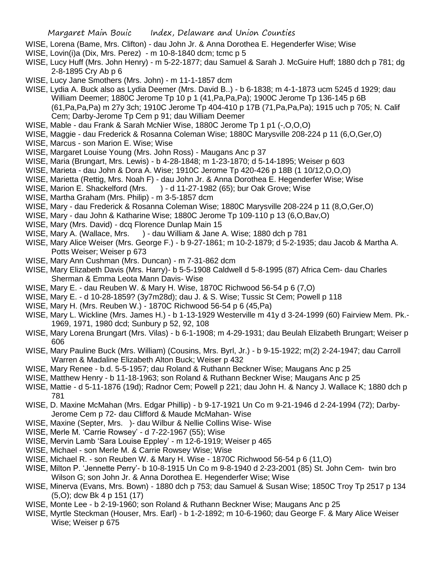- WISE, Lorena (Bame, Mrs. Clifton) dau John Jr. & Anna Dorothea E. Hegenderfer Wise; Wise
- WISE, Lovin(i)a (Dix, Mrs. Perez) m 10-8-1840 dcm; tcmc p 5
- WISE, Lucy Huff (Mrs. John Henry) m 5-22-1877; dau Samuel & Sarah J. McGuire Huff; 1880 dch p 781; dg 2-8-1895 Cry Ab p 6
- WISE, Lucy Jane Smothers (Mrs. John) m 11-1-1857 dcm
- WISE, Lydia A. Buck also as Lydia Deemer (Mrs. David B..) b 6-1838; m 4-1-1873 ucm 5245 d 1929; dau William Deemer; 1880C Jerome Tp 10 p 1 (41,Pa,Pa,Pa); 1900C Jerome Tp 136-145 p 6B (61,Pa,Pa,Pa) m 27y 3ch; 1910C Jerome Tp 404-410 p 17B (71,Pa,Pa,Pa); 1915 uch p 705; N. Calif Cem; Darby-Jerome Tp Cem p 91; dau William Deemer
- WISE, Mable dau Frank & Sarah McNier Wise, 1880C Jerome Tp 1 p1 (-,O,O,O)
- WISE, Maggie dau Frederick & Rosanna Coleman Wise; 1880C Marysville 208-224 p 11 (6,O,Ger,O)
- WISE, Marcus son Marion E. Wise; Wise
- WISE, Margaret Louise Young (Mrs. John Ross) Maugans Anc p 37
- WISE, Maria (Brungart, Mrs. Lewis) b 4-28-1848; m 1-23-1870; d 5-14-1895; Weiser p 603
- WISE, Marieta dau John & Dora A. Wise; 1910C Jerome Tp 420-426 p 18B (1 10/12,O,O,O)
- WISE, Marietta (Rettig, Mrs. Noah F) dau John Jr. & Anna Dorothea E. Hegenderfer Wise; Wise
- WISE, Marion E. Shackelford (Mrs. ) d 11-27-1982 (65); bur Oak Grove; Wise
- WISE, Martha Graham (Mrs. Philip) m 3-5-1857 dcm
- WISE, Mary dau Frederick & Rosanna Coleman Wise; 1880C Marysville 208-224 p 11 (8,O,Ger,O)
- WISE, Mary dau John & Katharine Wise; 1880C Jerome Tp 109-110 p 13 (6,O,Bav,O)
- WISE, Mary (Mrs. David) dcq Florence Dunlap Main 15
- WISE, Mary A. (Wallace, Mrs. ) dau William & Jane A. Wise; 1880 dch p 781
- WISE, Mary Alice Weiser (Mrs. George F.) b 9-27-1861; m 10-2-1879; d 5-2-1935; dau Jacob & Martha A. Potts Weiser; Weiser p 673
- WISE, Mary Ann Cushman (Mrs. Duncan) m 7-31-862 dcm
- WISE, Mary Elizabeth Davis (Mrs. Harry)- b 5-5-1908 Caldwell d 5-8-1995 (87) Africa Cem- dau Charles Sherman & Emma Leota Mann Davis- Wise
- WISE, Mary E. dau Reuben W. & Mary H. Wise, 1870C Richwood 56-54 p 6 (7,O)
- WISE, Mary E. d 10-28-1859? (3y7m28d); dau J. & S. Wise; Tussic St Cem; Powell p 118
- WISE, Mary H. (Mrs. Reuben W.) 1870C Richwood 56-54 p 6 (45,Pa)
- WISE, Mary L. Wickline (Mrs. James H.) b 1-13-1929 Westerville m 41y d 3-24-1999 (60) Fairview Mem. Pk.- 1969, 1971, 1980 dcd; Sunbury p 52, 92, 108
- WISE, Mary Lorena Brungart (Mrs. Vilas) b 6-1-1908; m 4-29-1931; dau Beulah Elizabeth Brungart; Weiser p 606
- WISE, Mary Pauline Buck (Mrs. William) (Cousins, Mrs. Byrl, Jr.) b 9-15-1922; m(2) 2-24-1947; dau Carroll Warren & Madaline Elizabeth Alton Buck; Weiser p 432
- WISE, Mary Renee b.d. 5-5-1957; dau Roland & Ruthann Beckner Wise; Maugans Anc p 25
- WISE, Matthew Henry b 11-18-1963; son Roland & Ruthann Beckner Wise; Maugans Anc p 25
- WISE, Mattie d 5-11-1876 (19d); Radnor Cem; Powell p 221; dau John H. & Nancy J. Wallace K; 1880 dch p 781
- WISE, D. Maxine McMahan (Mrs. Edgar Phillip) b 9-17-1921 Un Co m 9-21-1946 d 2-24-1994 (72); Darby-Jerome Cem p 72- dau Clifford & Maude McMahan- Wise
- WISE, Maxine (Septer, Mrs. )- dau Wilbur & Nellie Collins Wise- Wise
- WISE, Merle M. 'Carrie Rowsey' d 7-22-1967 (55); Wise
- WISE, Mervin Lamb 'Sara Louise Eppley' m 12-6-1919; Weiser p 465
- WISE, Michael son Merle M. & Carrie Rowsey Wise; Wise
- WISE, Michael R. son Reuben W. & Mary H. Wise 1870C Richwood 56-54 p 6 (11,O)
- WISE, Milton P. 'Jennette Perry'- b 10-8-1915 Un Co m 9-8-1940 d 2-23-2001 (85) St. John Cem- twin bro Wilson G; son John Jr. & Anna Dorothea E. Hegenderfer Wise; Wise
- WISE, Minerva (Evans, Mrs. Bown) 1880 dch p 753; dau Samuel & Susan Wise; 1850C Troy Tp 2517 p 134 (5,O); dcw Bk 4 p 151 (17)
- WISE, Monte Lee b 2-19-1960; son Roland & Ruthann Beckner Wise; Maugans Anc p 25
- WISE, Myrtle Steckman (Houser, Mrs. Earl) b 1-2-1892; m 10-6-1960; dau George F. & Mary Alice Weiser Wise; Weiser p 675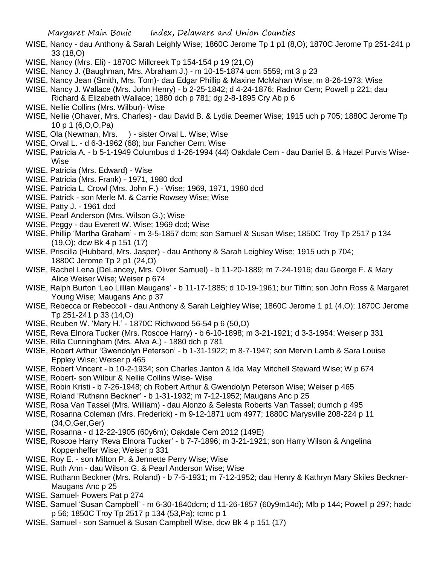- WISE, Nancy dau Anthony & Sarah Leighly Wise; 1860C Jerome Tp 1 p1 (8,O); 1870C Jerome Tp 251-241 p 33 (18,O)
- WISE, Nancy (Mrs. Eli) 1870C Millcreek Tp 154-154 p 19 (21,O)
- WISE, Nancy J. (Baughman, Mrs. Abraham J.) m 10-15-1874 ucm 5559; mt 3 p 23
- WISE, Nancy Jean (Smith, Mrs. Tom)- dau Edgar Phillip & Maxine McMahan Wise; m 8-26-1973; Wise
- WISE, Nancy J. Wallace (Mrs. John Henry) b 2-25-1842; d 4-24-1876; Radnor Cem; Powell p 221; dau Richard & Elizabeth Wallace; 1880 dch p 781; dg 2-8-1895 Cry Ab p 6
- WISE, Nellie Collins (Mrs. Wilbur)- Wise
- WISE, Nellie (Ohaver, Mrs. Charles) dau David B. & Lydia Deemer Wise; 1915 uch p 705; 1880C Jerome Tp 10 p 1 (6,O,O,Pa)
- WISE, Ola (Newman, Mrs. ) sister Orval L. Wise; Wise
- WISE, Orval L. d 6-3-1962 (68); bur Fancher Cem; Wise
- WISE, Patricia A. b 5-1-1949 Columbus d 1-26-1994 (44) Oakdale Cem dau Daniel B. & Hazel Purvis Wise-Wise
- WISE, Patricia (Mrs. Edward) Wise
- WISE, Patricia (Mrs. Frank) 1971, 1980 dcd
- WISE, Patricia L. Crowl (Mrs. John F.) Wise; 1969, 1971, 1980 dcd
- WISE, Patrick son Merle M. & Carrie Rowsey Wise; Wise
- WISE, Patty J. 1961 dcd
- WISE, Pearl Anderson (Mrs. Wilson G.); Wise
- WISE, Peggy dau Everett W. Wise; 1969 dcd; Wise
- WISE, Phillip 'Martha Graham' m 3-5-1857 dcm; son Samuel & Susan Wise; 1850C Troy Tp 2517 p 134 (19,O); dcw Bk 4 p 151 (17)
- WISE, Priscilla (Hubbard, Mrs. Jasper) dau Anthony & Sarah Leighley Wise; 1915 uch p 704; 1880C Jerome Tp 2 p1 (24,O)
- WISE, Rachel Lena (DeLancey, Mrs. Oliver Samuel) b 11-20-1889; m 7-24-1916; dau George F. & Mary Alice Weiser Wise; Weiser p 674
- WISE, Ralph Burton 'Leo Lillian Maugans' b 11-17-1885; d 10-19-1961; bur Tiffin; son John Ross & Margaret Young Wise; Maugans Anc p 37
- WISE, Rebecca or Rebeccoli dau Anthony & Sarah Leighley Wise; 1860C Jerome 1 p1 (4,O); 1870C Jerome Tp 251-241 p 33 (14,O)
- WISE, Reuben W. 'Mary H.' 1870C Richwood 56-54 p 6 (50,O)
- WISE, Reva Elnora Tucker (Mrs. Roscoe Harry) b 6-10-1898; m 3-21-1921; d 3-3-1954; Weiser p 331
- WISE, Rilla Cunningham (Mrs. Alva A.) 1880 dch p 781
- WISE, Robert Arthur 'Gwendolyn Peterson' b 1-31-1922; m 8-7-1947; son Mervin Lamb & Sara Louise Eppley Wise; Weiser p 465
- WISE, Robert Vincent b 10-2-1934; son Charles Janton & Ida May Mitchell Steward Wise; W p 674
- WISE, Robert- son Wilbur & Nellie Collins Wise- Wise
- WISE, Robin Kristi b 7-26-1948; ch Robert Arthur & Gwendolyn Peterson Wise; Weiser p 465
- WISE, Roland 'Ruthann Beckner' b 1-31-1932; m 7-12-1952; Maugans Anc p 25
- WISE, Rosa Van Tassel (Mrs. William) dau Alonzo & Selesta Roberts Van Tassel; dumch p 495
- WISE, Rosanna Coleman (Mrs. Frederick) m 9-12-1871 ucm 4977; 1880C Marysville 208-224 p 11 (34,O,Ger,Ger)
- WISE, Rosanna d 12-22-1905 (60y6m); Oakdale Cem 2012 (149E)
- WISE, Roscoe Harry 'Reva Elnora Tucker' b 7-7-1896; m 3-21-1921; son Harry Wilson & Angelina Koppenheffer Wise; Weiser p 331
- WISE, Roy E. son Milton P. & Jennette Perry Wise; Wise
- WISE, Ruth Ann dau Wilson G. & Pearl Anderson Wise; Wise
- WISE, Ruthann Beckner (Mrs. Roland) b 7-5-1931; m 7-12-1952; dau Henry & Kathryn Mary Skiles Beckner-Maugans Anc p 25
- WISE, Samuel- Powers Pat p 274
- WISE, Samuel 'Susan Campbell' m 6-30-1840dcm; d 11-26-1857 (60y9m14d); Mlb p 144; Powell p 297; hadc p 56; 1850C Troy Tp 2517 p 134 (53,Pa); tcmc p 1
- WISE, Samuel son Samuel & Susan Campbell Wise, dcw Bk 4 p 151 (17)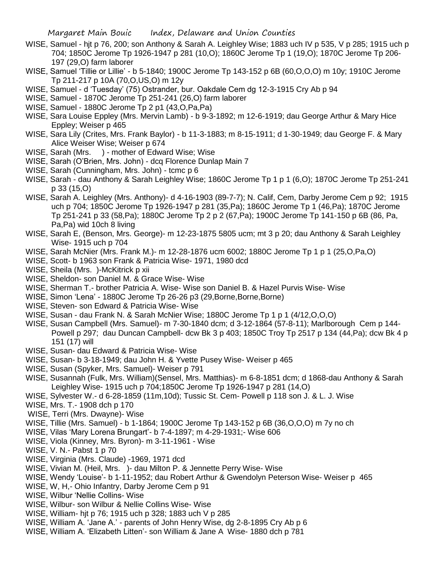- WISE, Samuel hjt p 76, 200; son Anthony & Sarah A. Leighley Wise; 1883 uch IV p 535, V p 285; 1915 uch p 704; 1850C Jerome Tp 1926-1947 p 281 (10,O); 1860C Jerome Tp 1 (19,O); 1870C Jerome Tp 206- 197 (29,O) farm laborer
- WISE, Samuel 'Tillie or Lillie' b 5-1840; 1900C Jerome Tp 143-152 p 6B (60,O,O,O) m 10y; 1910C Jerome Tp 211-217 p 10A (70,O,US,O) m 12y
- WISE, Samuel d 'Tuesday' (75) Ostrander, bur. Oakdale Cem dg 12-3-1915 Cry Ab p 94
- WISE, Samuel 1870C Jerome Tp 251-241 (26,O) farm laborer
- WISE, Samuel 1880C Jerome Tp 2 p1 (43,O,Pa,Pa)
- WISE, Sara Louise Eppley (Mrs. Mervin Lamb) b 9-3-1892; m 12-6-1919; dau George Arthur & Mary Hice Eppley; Weiser p 465
- WISE, Sara Lily (Crites, Mrs. Frank Baylor) b 11-3-1883; m 8-15-1911; d 1-30-1949; dau George F. & Mary Alice Weiser Wise; Weiser p 674
- WISE, Sarah (Mrs. ) mother of Edward Wise; Wise
- WISE, Sarah (O'Brien, Mrs. John) dcq Florence Dunlap Main 7
- WISE, Sarah (Cunningham, Mrs. John) tcmc p 6
- WISE, Sarah dau Anthony & Sarah Leighley Wise; 1860C Jerome Tp 1 p 1 (6,O); 1870C Jerome Tp 251-241 p 33 (15,O)
- WISE, Sarah A. Leighley (Mrs. Anthony)- d 4-16-1903 (89-7-7); N. Calif, Cem, Darby Jerome Cem p 92; 1915 uch p 704; 1850C Jerome Tp 1926-1947 p 281 (35,Pa); 1860C Jerome Tp 1 (46,Pa); 1870C Jerome Tp 251-241 p 33 (58,Pa); 1880C Jerome Tp 2 p 2 (67,Pa); 1900C Jerome Tp 141-150 p 6B (86, Pa, Pa,Pa) wid 10ch 8 living
- WISE, Sarah E, (Benson, Mrs. George)- m 12-23-1875 5805 ucm; mt 3 p 20; dau Anthony & Sarah Leighley Wise- 1915 uch p 704
- WISE, Sarah McNier (Mrs. Frank M.)- m 12-28-1876 ucm 6002; 1880C Jerome Tp 1 p 1 (25,O,Pa,O)
- WISE, Scott- b 1963 son Frank & Patricia Wise- 1971, 1980 dcd
- WISE, Sheila (Mrs.)-McKitrick p xii
- WISE, Sheldon- son Daniel M. & Grace Wise- Wise
- WISE, Sherman T.- brother Patricia A. Wise- Wise son Daniel B. & Hazel Purvis Wise- Wise
- WISE, Simon 'Lena' 1880C Jerome Tp 26-26 p3 (29,Borne,Borne,Borne)
- WISE, Steven- son Edward & Patricia Wise- Wise
- WISE, Susan dau Frank N. & Sarah McNier Wise; 1880C Jerome Tp 1 p 1 (4/12, O, O, O)
- WISE, Susan Campbell (Mrs. Samuel)- m 7-30-1840 dcm; d 3-12-1864 (57-8-11); Marlborough Cem p 144- Powell p 297; dau Duncan Campbell- dcw Bk 3 p 403; 1850C Troy Tp 2517 p 134 (44,Pa); dcw Bk 4 p 151 (17) will
- WISE, Susan- dau Edward & Patricia Wise- Wise
- WISE, Susan- b 3-18-1949; dau John H. & Yvette Pusey Wise- Weiser p 465
- WISE, Susan (Spyker, Mrs. Samuel)- Weiser p 791
- WISE, Susannah (Fulk, Mrs. William)(Sensel, Mrs. Matthias)- m 6-8-1851 dcm; d 1868-dau Anthony & Sarah Leighley Wise- 1915 uch p 704;1850C Jerome Tp 1926-1947 p 281 (14,O)
- WISE, Sylvester W.- d 6-28-1859 (11m,10d); Tussic St. Cem- Powell p 118 son J. & L. J. Wise
- WISE, Mrs. T.- 1908 dch p 170
- WISE, Terri (Mrs. Dwayne)- Wise
- WISE, Tillie (Mrs. Samuel) b 1-1864; 1900C Jerome Tp 143-152 p 6B (36,O,O,O) m 7y no ch
- WISE, Vilas 'Mary Lorena Brungart'- b 7-4-1897; m 4-29-1931;- Wise 606
- WISE, Viola (Kinney, Mrs. Byron)- m 3-11-1961 Wise
- WISE, V. N.- Pabst 1 p 70
- WISE, Virginia (Mrs. Claude) -1969, 1971 dcd
- WISE, Vivian M. (Heil, Mrs. )- dau Milton P. & Jennette Perry Wise- Wise
- WISE, Wendy 'Louise'- b 1-11-1952; dau Robert Arthur & Gwendolyn Peterson Wise- Weiser p 465
- WISE, W, H,- Ohio Infantry, Darby Jerome Cem p 91
- WISE, Wilbur 'Nellie Collins- Wise
- WISE, Wilbur- son Wilbur & Nellie Collins Wise- Wise
- WISE, William- hjt p 76; 1915 uch p 328; 1883 uch V p 285
- WISE, William A. 'Jane A.' parents of John Henry Wise, dg 2-8-1895 Cry Ab p 6
- WISE, William A. 'Elizabeth Litten'- son William & Jane A Wise- 1880 dch p 781